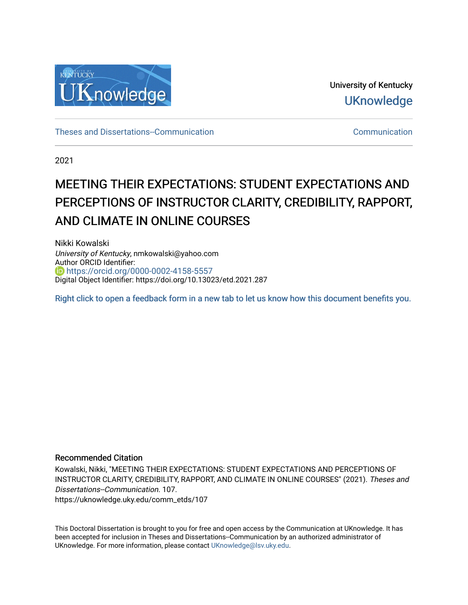

University of Kentucky **UKnowledge** 

[Theses and Dissertations--Communication](https://uknowledge.uky.edu/comm_etds) [Communication](https://uknowledge.uky.edu/comm) 

2021

# MEETING THEIR EXPECTATIONS: STUDENT EXPECTATIONS AND PERCEPTIONS OF INSTRUCTOR CLARITY, CREDIBILITY, RAPPORT, AND CLIMATE IN ONLINE COURSES

Nikki Kowalski University of Kentucky, nmkowalski@yahoo.com Author ORCID Identifier: **b** https://orcid.org/0000-0002-4158-5557 Digital Object Identifier: https://doi.org/10.13023/etd.2021.287

[Right click to open a feedback form in a new tab to let us know how this document benefits you.](https://uky.az1.qualtrics.com/jfe/form/SV_9mq8fx2GnONRfz7)

### Recommended Citation

Kowalski, Nikki, "MEETING THEIR EXPECTATIONS: STUDENT EXPECTATIONS AND PERCEPTIONS OF INSTRUCTOR CLARITY, CREDIBILITY, RAPPORT, AND CLIMATE IN ONLINE COURSES" (2021). Theses and Dissertations--Communication. 107. https://uknowledge.uky.edu/comm\_etds/107

This Doctoral Dissertation is brought to you for free and open access by the Communication at UKnowledge. It has been accepted for inclusion in Theses and Dissertations--Communication by an authorized administrator of UKnowledge. For more information, please contact [UKnowledge@lsv.uky.edu](mailto:UKnowledge@lsv.uky.edu).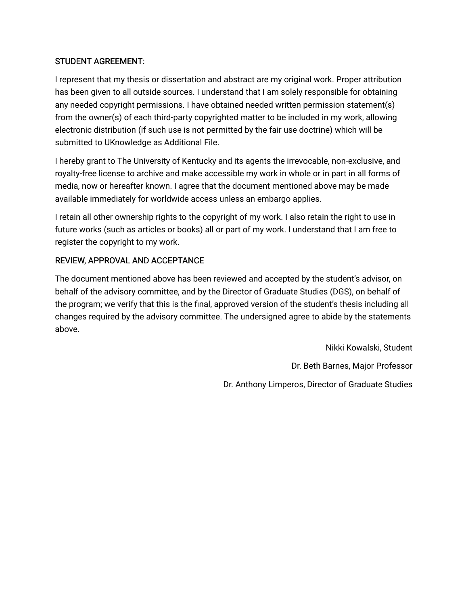# STUDENT AGREEMENT:

I represent that my thesis or dissertation and abstract are my original work. Proper attribution has been given to all outside sources. I understand that I am solely responsible for obtaining any needed copyright permissions. I have obtained needed written permission statement(s) from the owner(s) of each third-party copyrighted matter to be included in my work, allowing electronic distribution (if such use is not permitted by the fair use doctrine) which will be submitted to UKnowledge as Additional File.

I hereby grant to The University of Kentucky and its agents the irrevocable, non-exclusive, and royalty-free license to archive and make accessible my work in whole or in part in all forms of media, now or hereafter known. I agree that the document mentioned above may be made available immediately for worldwide access unless an embargo applies.

I retain all other ownership rights to the copyright of my work. I also retain the right to use in future works (such as articles or books) all or part of my work. I understand that I am free to register the copyright to my work.

# REVIEW, APPROVAL AND ACCEPTANCE

The document mentioned above has been reviewed and accepted by the student's advisor, on behalf of the advisory committee, and by the Director of Graduate Studies (DGS), on behalf of the program; we verify that this is the final, approved version of the student's thesis including all changes required by the advisory committee. The undersigned agree to abide by the statements above.

> Nikki Kowalski, Student Dr. Beth Barnes, Major Professor Dr. Anthony Limperos, Director of Graduate Studies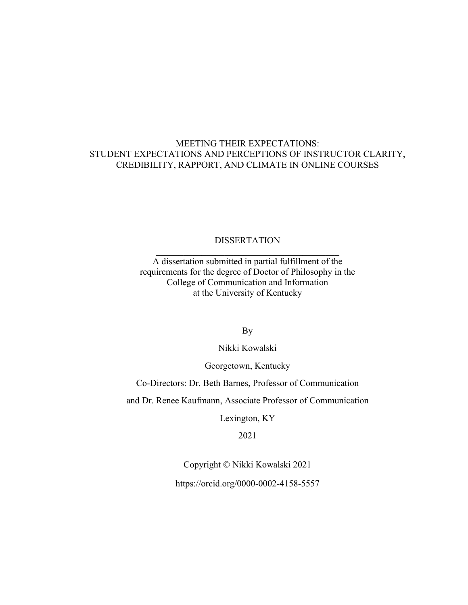### MEETING THEIR EXPECTATIONS: STUDENT EXPECTATIONS AND PERCEPTIONS OF INSTRUCTOR CLARITY, CREDIBILITY, RAPPORT, AND CLIMATE IN ONLINE COURSES

### DISSERTATION  $\mathcal{L}_\mathcal{L}$  , where  $\mathcal{L}_\mathcal{L}$  , we have the set of the set of the set of the set of the set of the set of the set of the set of the set of the set of the set of the set of the set of the set of the set of the set

 $\mathcal{L}_\mathcal{L}$  , where  $\mathcal{L}_\mathcal{L}$  , we have the set of the set of the set of the set of the set of the set of the set of the set of the set of the set of the set of the set of the set of the set of the set of the set

A dissertation submitted in partial fulfillment of the requirements for the degree of Doctor of Philosophy in the College of Communication and Information at the University of Kentucky

By

Nikki Kowalski

Georgetown, Kentucky

Co-Directors: Dr. Beth Barnes, Professor of Communication

and Dr. Renee Kaufmann, Associate Professor of Communication

Lexington, KY

2021

Copyright © Nikki Kowalski 2021

https://orcid.org/0000-0002-4158-5557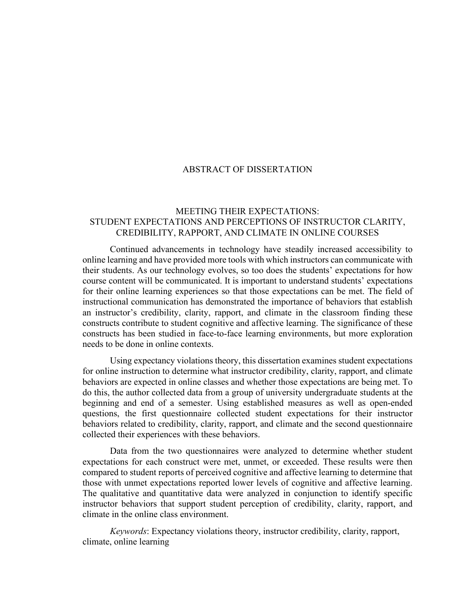### ABSTRACT OF DISSERTATION

### MEETING THEIR EXPECTATIONS: STUDENT EXPECTATIONS AND PERCEPTIONS OF INSTRUCTOR CLARITY, CREDIBILITY, RAPPORT, AND CLIMATE IN ONLINE COURSES

Continued advancements in technology have steadily increased accessibility to online learning and have provided more tools with which instructors can communicate with their students. As our technology evolves, so too does the students' expectations for how course content will be communicated. It is important to understand students' expectations for their online learning experiences so that those expectations can be met. The field of instructional communication has demonstrated the importance of behaviors that establish an instructor's credibility, clarity, rapport, and climate in the classroom finding these constructs contribute to student cognitive and affective learning. The significance of these constructs has been studied in face-to-face learning environments, but more exploration needs to be done in online contexts.

Using expectancy violations theory, this dissertation examines student expectations for online instruction to determine what instructor credibility, clarity, rapport, and climate behaviors are expected in online classes and whether those expectations are being met. To do this, the author collected data from a group of university undergraduate students at the beginning and end of a semester. Using established measures as well as open-ended questions, the first questionnaire collected student expectations for their instructor behaviors related to credibility, clarity, rapport, and climate and the second questionnaire collected their experiences with these behaviors.

Data from the two questionnaires were analyzed to determine whether student expectations for each construct were met, unmet, or exceeded. These results were then compared to student reports of perceived cognitive and affective learning to determine that those with unmet expectations reported lower levels of cognitive and affective learning. The qualitative and quantitative data were analyzed in conjunction to identify specific instructor behaviors that support student perception of credibility, clarity, rapport, and climate in the online class environment.

*Keywords*: Expectancy violations theory, instructor credibility, clarity, rapport, climate, online learning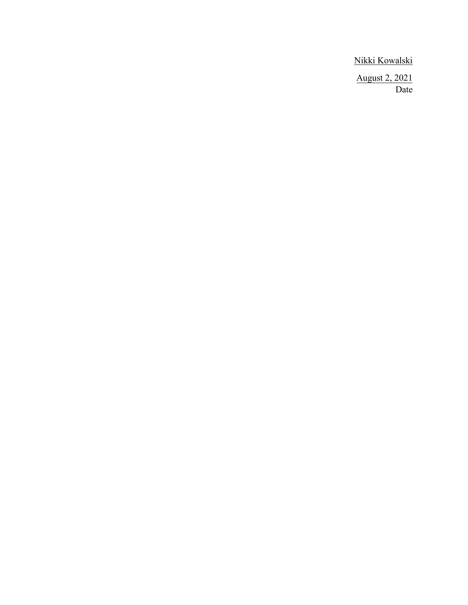Nikki Kowalski

August 2, 2021 Date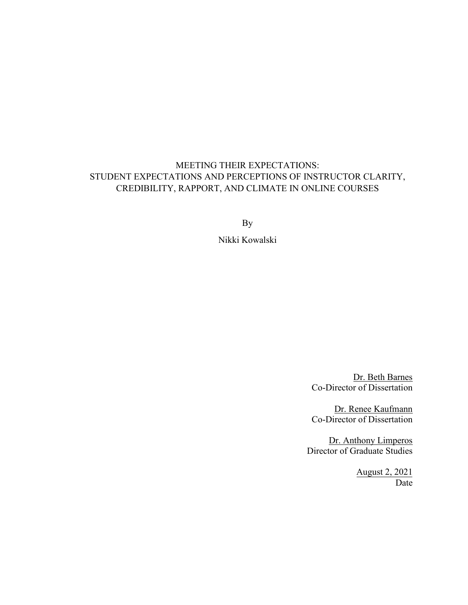# MEETING THEIR EXPECTATIONS: STUDENT EXPECTATIONS AND PERCEPTIONS OF INSTRUCTOR CLARITY, CREDIBILITY, RAPPORT, AND CLIMATE IN ONLINE COURSES

By

Nikki Kowalski

Dr. Beth Barnes Co-Director of Dissertation

Dr. Renee Kaufmann Co-Director of Dissertation

Dr. Anthony Limperos Director of Graduate Studies

> August 2, 2021 Date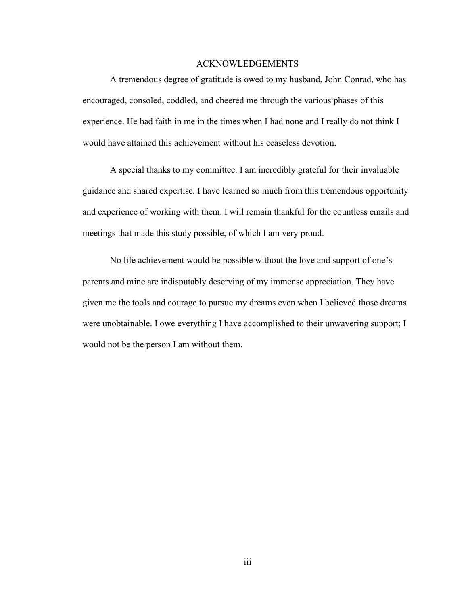### ACKNOWLEDGEMENTS

<span id="page-6-0"></span>A tremendous degree of gratitude is owed to my husband, John Conrad, who has encouraged, consoled, coddled, and cheered me through the various phases of this experience. He had faith in me in the times when I had none and I really do not think I would have attained this achievement without his ceaseless devotion.

A special thanks to my committee. I am incredibly grateful for their invaluable guidance and shared expertise. I have learned so much from this tremendous opportunity and experience of working with them. I will remain thankful for the countless emails and meetings that made this study possible, of which I am very proud.

No life achievement would be possible without the love and support of one's parents and mine are indisputably deserving of my immense appreciation. They have given me the tools and courage to pursue my dreams even when I believed those dreams were unobtainable. I owe everything I have accomplished to their unwavering support; I would not be the person I am without them.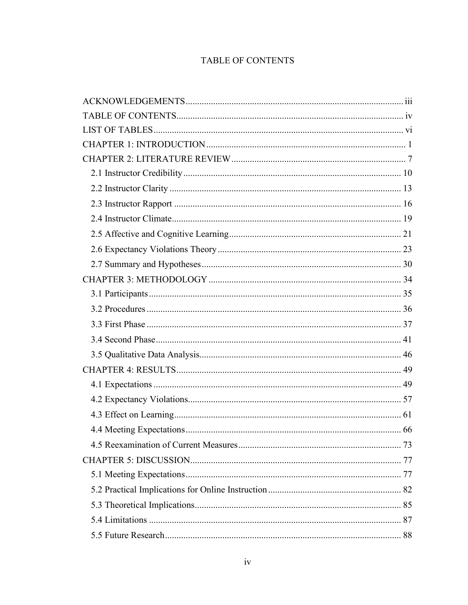# TABLE OF CONTENTS

<span id="page-7-0"></span>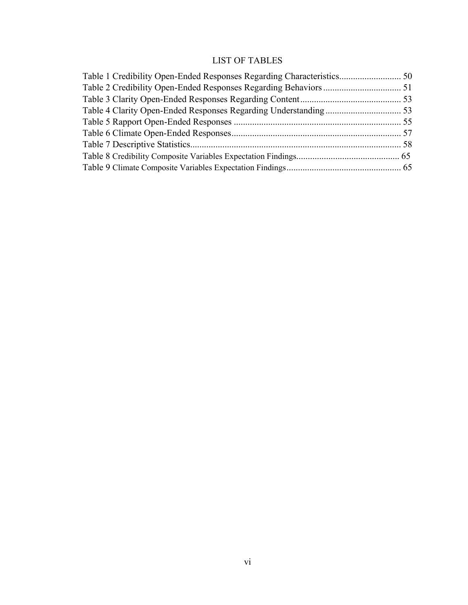# LIST OF TABLES

<span id="page-9-0"></span>

| Table 1 Credibility Open-Ended Responses Regarding Characteristics 50 |  |
|-----------------------------------------------------------------------|--|
|                                                                       |  |
|                                                                       |  |
|                                                                       |  |
|                                                                       |  |
|                                                                       |  |
|                                                                       |  |
|                                                                       |  |
|                                                                       |  |
|                                                                       |  |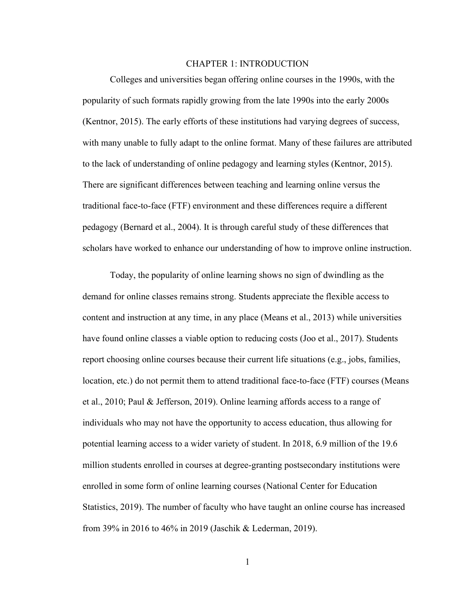### CHAPTER 1: INTRODUCTION

<span id="page-10-0"></span>Colleges and universities began offering online courses in the 1990s, with the popularity of such formats rapidly growing from the late 1990s into the early 2000s (Kentnor, 2015). The early efforts of these institutions had varying degrees of success, with many unable to fully adapt to the online format. Many of these failures are attributed to the lack of understanding of online pedagogy and learning styles (Kentnor, 2015). There are significant differences between teaching and learning online versus the traditional face-to-face (FTF) environment and these differences require a different pedagogy (Bernard et al., 2004). It is through careful study of these differences that scholars have worked to enhance our understanding of how to improve online instruction.

Today, the popularity of online learning shows no sign of dwindling as the demand for online classes remains strong. Students appreciate the flexible access to content and instruction at any time, in any place (Means et al., 2013) while universities have found online classes a viable option to reducing costs (Joo et al., 2017). Students report choosing online courses because their current life situations (e.g., jobs, families, location, etc.) do not permit them to attend traditional face-to-face (FTF) courses (Means et al., 2010; Paul & Jefferson, 2019). Online learning affords access to a range of individuals who may not have the opportunity to access education, thus allowing for potential learning access to a wider variety of student. In 2018, 6.9 million of the 19.6 million students enrolled in courses at degree-granting postsecondary institutions were enrolled in some form of online learning courses (National Center for Education Statistics, 2019). The number of faculty who have taught an online course has increased from 39% in 2016 to 46% in 2019 (Jaschik & Lederman, 2019).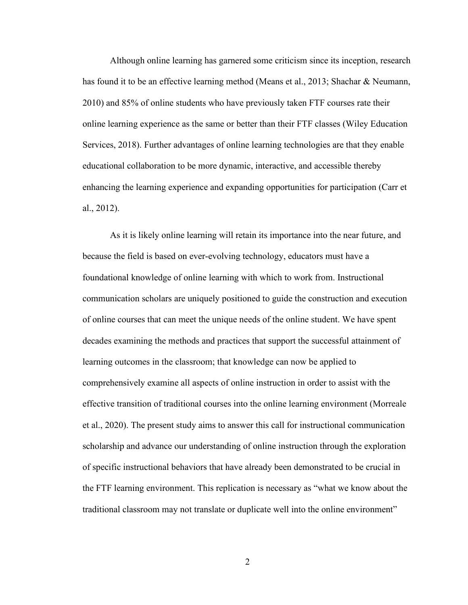Although online learning has garnered some criticism since its inception, research has found it to be an effective learning method (Means et al., 2013; Shachar & Neumann, 2010) and 85% of online students who have previously taken FTF courses rate their online learning experience as the same or better than their FTF classes (Wiley Education Services, 2018). Further advantages of online learning technologies are that they enable educational collaboration to be more dynamic, interactive, and accessible thereby enhancing the learning experience and expanding opportunities for participation (Carr et al., 2012).

As it is likely online learning will retain its importance into the near future, and because the field is based on ever-evolving technology, educators must have a foundational knowledge of online learning with which to work from. Instructional communication scholars are uniquely positioned to guide the construction and execution of online courses that can meet the unique needs of the online student. We have spent decades examining the methods and practices that support the successful attainment of learning outcomes in the classroom; that knowledge can now be applied to comprehensively examine all aspects of online instruction in order to assist with the effective transition of traditional courses into the online learning environment (Morreale et al., 2020). The present study aims to answer this call for instructional communication scholarship and advance our understanding of online instruction through the exploration of specific instructional behaviors that have already been demonstrated to be crucial in the FTF learning environment. This replication is necessary as "what we know about the traditional classroom may not translate or duplicate well into the online environment"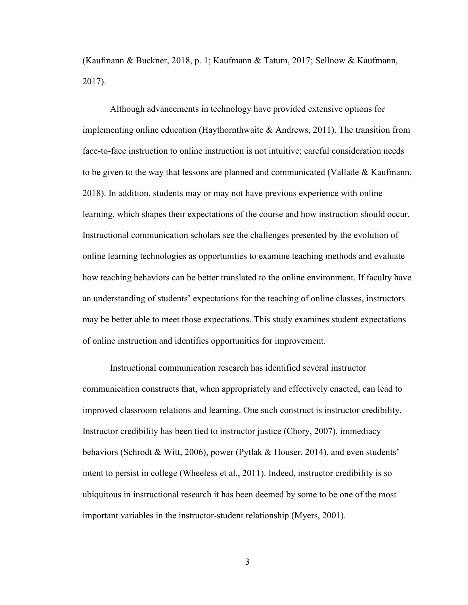(Kaufmann & Buckner, 2018, p. 1; Kaufmann & Tatum, 2017; Sellnow & Kaufmann, 2017).

Although advancements in technology have provided extensive options for implementing online education (Haythornthwaite & Andrews, 2011). The transition from face-to-face instruction to online instruction is not intuitive; careful consideration needs to be given to the way that lessons are planned and communicated (Vallade & Kaufmann, 2018). In addition, students may or may not have previous experience with online learning, which shapes their expectations of the course and how instruction should occur. Instructional communication scholars see the challenges presented by the evolution of online learning technologies as opportunities to examine teaching methods and evaluate how teaching behaviors can be better translated to the online environment. If faculty have an understanding of students' expectations for the teaching of online classes, instructors may be better able to meet those expectations. This study examines student expectations of online instruction and identifies opportunities for improvement.

Instructional communication research has identified several instructor communication constructs that, when appropriately and effectively enacted, can lead to improved classroom relations and learning. One such construct is instructor credibility. Instructor credibility has been tied to instructor justice (Chory, 2007), immediacy behaviors (Schrodt & Witt, 2006), power (Pytlak & Houser, 2014), and even students' intent to persist in college (Wheeless et al., 2011). Indeed, instructor credibility is so ubiquitous in instructional research it has been deemed by some to be one of the most important variables in the instructor-student relationship (Myers, 2001).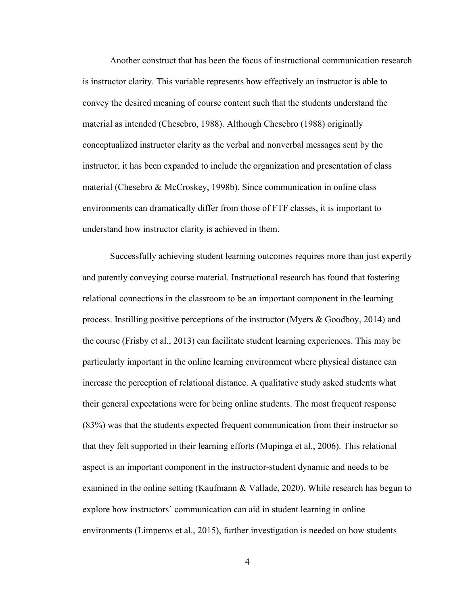Another construct that has been the focus of instructional communication research is instructor clarity. This variable represents how effectively an instructor is able to convey the desired meaning of course content such that the students understand the material as intended (Chesebro, 1988). Although Chesebro (1988) originally conceptualized instructor clarity as the verbal and nonverbal messages sent by the instructor, it has been expanded to include the organization and presentation of class material (Chesebro & McCroskey, 1998b). Since communication in online class environments can dramatically differ from those of FTF classes, it is important to understand how instructor clarity is achieved in them.

Successfully achieving student learning outcomes requires more than just expertly and patently conveying course material. Instructional research has found that fostering relational connections in the classroom to be an important component in the learning process. Instilling positive perceptions of the instructor (Myers & Goodboy, 2014) and the course (Frisby et al., 2013) can facilitate student learning experiences. This may be particularly important in the online learning environment where physical distance can increase the perception of relational distance. A qualitative study asked students what their general expectations were for being online students. The most frequent response (83%) was that the students expected frequent communication from their instructor so that they felt supported in their learning efforts (Mupinga et al., 2006). This relational aspect is an important component in the instructor-student dynamic and needs to be examined in the online setting (Kaufmann & Vallade, 2020). While research has begun to explore how instructors' communication can aid in student learning in online environments (Limperos et al., 2015), further investigation is needed on how students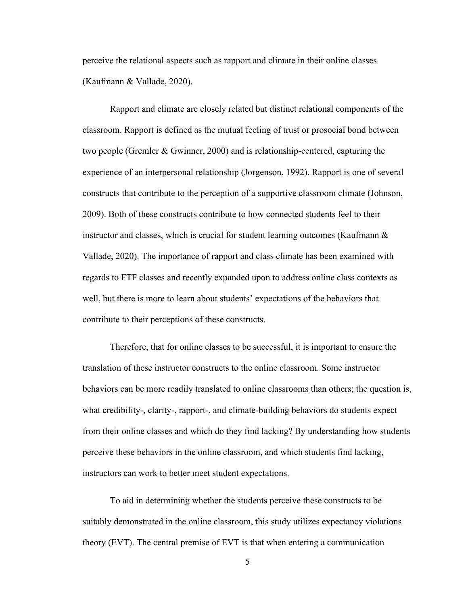perceive the relational aspects such as rapport and climate in their online classes (Kaufmann & Vallade, 2020).

Rapport and climate are closely related but distinct relational components of the classroom. Rapport is defined as the mutual feeling of trust or prosocial bond between two people (Gremler & Gwinner, 2000) and is relationship-centered, capturing the experience of an interpersonal relationship (Jorgenson, 1992). Rapport is one of several constructs that contribute to the perception of a supportive classroom climate (Johnson, 2009). Both of these constructs contribute to how connected students feel to their instructor and classes, which is crucial for student learning outcomes (Kaufmann & Vallade, 2020). The importance of rapport and class climate has been examined with regards to FTF classes and recently expanded upon to address online class contexts as well, but there is more to learn about students' expectations of the behaviors that contribute to their perceptions of these constructs.

Therefore, that for online classes to be successful, it is important to ensure the translation of these instructor constructs to the online classroom. Some instructor behaviors can be more readily translated to online classrooms than others; the question is, what credibility-, clarity-, rapport-, and climate-building behaviors do students expect from their online classes and which do they find lacking? By understanding how students perceive these behaviors in the online classroom, and which students find lacking, instructors can work to better meet student expectations.

To aid in determining whether the students perceive these constructs to be suitably demonstrated in the online classroom, this study utilizes expectancy violations theory (EVT). The central premise of EVT is that when entering a communication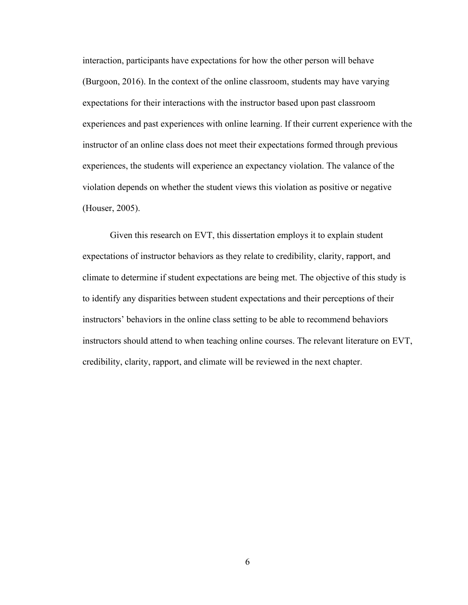interaction, participants have expectations for how the other person will behave (Burgoon, 2016). In the context of the online classroom, students may have varying expectations for their interactions with the instructor based upon past classroom experiences and past experiences with online learning. If their current experience with the instructor of an online class does not meet their expectations formed through previous experiences, the students will experience an expectancy violation. The valance of the violation depends on whether the student views this violation as positive or negative (Houser, 2005).

Given this research on EVT, this dissertation employs it to explain student expectations of instructor behaviors as they relate to credibility, clarity, rapport, and climate to determine if student expectations are being met. The objective of this study is to identify any disparities between student expectations and their perceptions of their instructors' behaviors in the online class setting to be able to recommend behaviors instructors should attend to when teaching online courses. The relevant literature on EVT, credibility, clarity, rapport, and climate will be reviewed in the next chapter.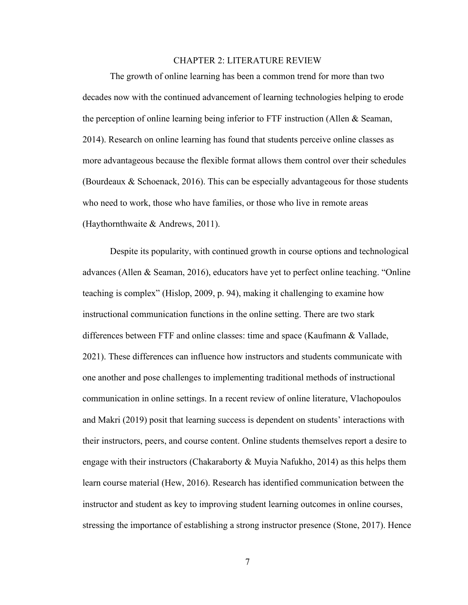### CHAPTER 2: LITERATURE REVIEW

<span id="page-16-0"></span>The growth of online learning has been a common trend for more than two decades now with the continued advancement of learning technologies helping to erode the perception of online learning being inferior to FTF instruction (Allen & Seaman, 2014). Research on online learning has found that students perceive online classes as more advantageous because the flexible format allows them control over their schedules (Bourdeaux & Schoenack, 2016). This can be especially advantageous for those students who need to work, those who have families, or those who live in remote areas (Haythornthwaite & Andrews, 2011).

Despite its popularity, with continued growth in course options and technological advances (Allen & Seaman, 2016), educators have yet to perfect online teaching. "Online teaching is complex" (Hislop, 2009, p. 94), making it challenging to examine how instructional communication functions in the online setting. There are two stark differences between FTF and online classes: time and space (Kaufmann & Vallade, 2021). These differences can influence how instructors and students communicate with one another and pose challenges to implementing traditional methods of instructional communication in online settings. In a recent review of online literature, Vlachopoulos and Makri (2019) posit that learning success is dependent on students' interactions with their instructors, peers, and course content. Online students themselves report a desire to engage with their instructors (Chakaraborty & Muyia Nafukho, 2014) as this helps them learn course material (Hew, 2016). Research has identified communication between the instructor and student as key to improving student learning outcomes in online courses, stressing the importance of establishing a strong instructor presence (Stone, 2017). Hence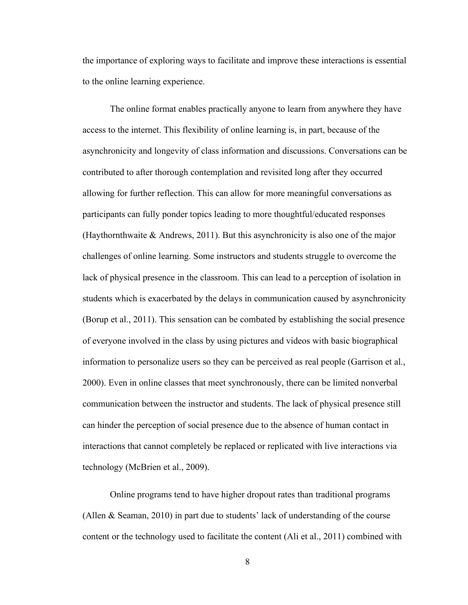the importance of exploring ways to facilitate and improve these interactions is essential to the online learning experience.

The online format enables practically anyone to learn from anywhere they have access to the internet. This flexibility of online learning is, in part, because of the asynchronicity and longevity of class information and discussions. Conversations can be contributed to after thorough contemplation and revisited long after they occurred allowing for further reflection. This can allow for more meaningful conversations as participants can fully ponder topics leading to more thoughtful/educated responses (Haythornthwaite & Andrews, 2011). But this asynchronicity is also one of the major challenges of online learning. Some instructors and students struggle to overcome the lack of physical presence in the classroom. This can lead to a perception of isolation in students which is exacerbated by the delays in communication caused by asynchronicity (Borup et al., 2011). This sensation can be combated by establishing the social presence of everyone involved in the class by using pictures and videos with basic biographical information to personalize users so they can be perceived as real people (Garrison et al., 2000). Even in online classes that meet synchronously, there can be limited nonverbal communication between the instructor and students. The lack of physical presence still can hinder the perception of social presence due to the absence of human contact in interactions that cannot completely be replaced or replicated with live interactions via technology (McBrien et al., 2009).

Online programs tend to have higher dropout rates than traditional programs (Allen & Seaman, 2010) in part due to students' lack of understanding of the course content or the technology used to facilitate the content (Ali et al., 2011) combined with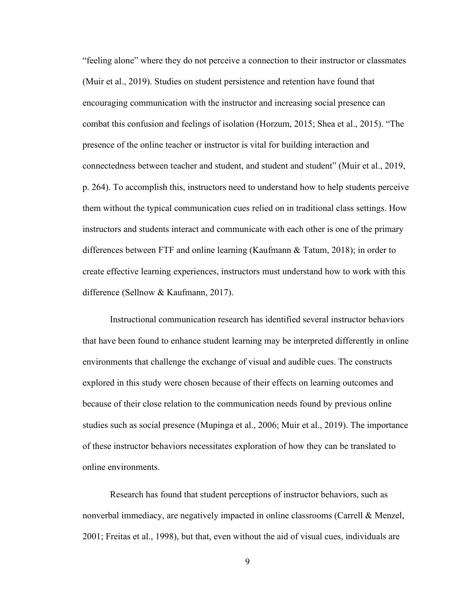"feeling alone" where they do not perceive a connection to their instructor or classmates (Muir et al., 2019). Studies on student persistence and retention have found that encouraging communication with the instructor and increasing social presence can combat this confusion and feelings of isolation (Horzum, 2015; Shea et al., 2015). "The presence of the online teacher or instructor is vital for building interaction and connectedness between teacher and student, and student and student" (Muir et al., 2019, p. 264). To accomplish this, instructors need to understand how to help students perceive them without the typical communication cues relied on in traditional class settings. How instructors and students interact and communicate with each other is one of the primary differences between FTF and online learning (Kaufmann & Tatum, 2018); in order to create effective learning experiences, instructors must understand how to work with this difference (Sellnow & Kaufmann, 2017).

Instructional communication research has identified several instructor behaviors that have been found to enhance student learning may be interpreted differently in online environments that challenge the exchange of visual and audible cues. The constructs explored in this study were chosen because of their effects on learning outcomes and because of their close relation to the communication needs found by previous online studies such as social presence (Mupinga et al., 2006; Muir et al., 2019). The importance of these instructor behaviors necessitates exploration of how they can be translated to online environments.

Research has found that student perceptions of instructor behaviors, such as nonverbal immediacy, are negatively impacted in online classrooms (Carrell & Menzel, 2001; Freitas et al., 1998), but that, even without the aid of visual cues, individuals are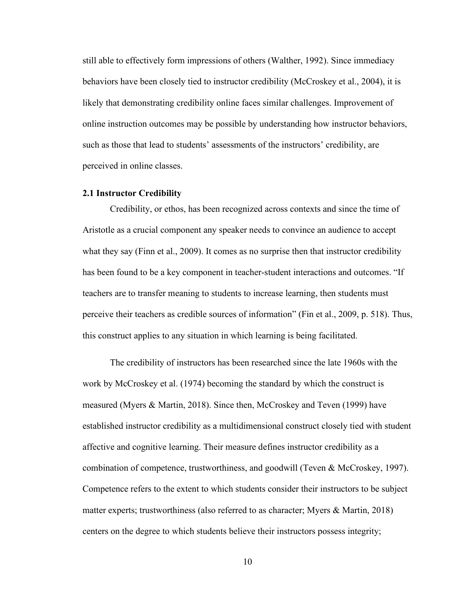still able to effectively form impressions of others (Walther, 1992). Since immediacy behaviors have been closely tied to instructor credibility (McCroskey et al., 2004), it is likely that demonstrating credibility online faces similar challenges. Improvement of online instruction outcomes may be possible by understanding how instructor behaviors, such as those that lead to students' assessments of the instructors' credibility, are perceived in online classes.

### <span id="page-19-0"></span>**2.1 Instructor Credibility**

Credibility, or ethos, has been recognized across contexts and since the time of Aristotle as a crucial component any speaker needs to convince an audience to accept what they say (Finn et al., 2009). It comes as no surprise then that instructor credibility has been found to be a key component in teacher-student interactions and outcomes. "If teachers are to transfer meaning to students to increase learning, then students must perceive their teachers as credible sources of information" (Fin et al., 2009, p. 518). Thus, this construct applies to any situation in which learning is being facilitated.

The credibility of instructors has been researched since the late 1960s with the work by McCroskey et al. (1974) becoming the standard by which the construct is measured (Myers & Martin, 2018). Since then, McCroskey and Teven (1999) have established instructor credibility as a multidimensional construct closely tied with student affective and cognitive learning. Their measure defines instructor credibility as a combination of competence, trustworthiness, and goodwill (Teven & McCroskey, 1997). Competence refers to the extent to which students consider their instructors to be subject matter experts; trustworthiness (also referred to as character; Myers & Martin, 2018) centers on the degree to which students believe their instructors possess integrity;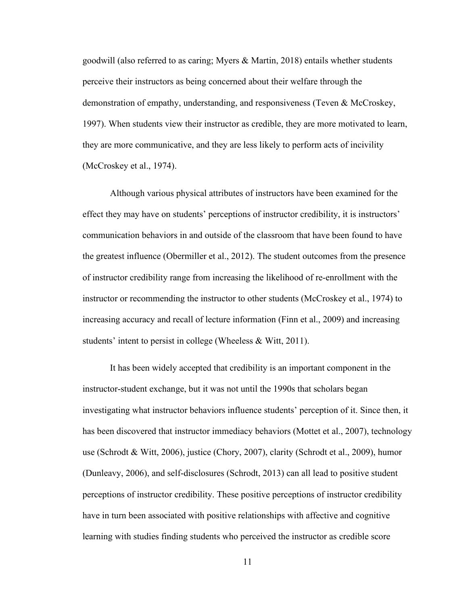goodwill (also referred to as caring; Myers & Martin, 2018) entails whether students perceive their instructors as being concerned about their welfare through the demonstration of empathy, understanding, and responsiveness (Teven & McCroskey, 1997). When students view their instructor as credible, they are more motivated to learn, they are more communicative, and they are less likely to perform acts of incivility (McCroskey et al., 1974).

Although various physical attributes of instructors have been examined for the effect they may have on students' perceptions of instructor credibility, it is instructors' communication behaviors in and outside of the classroom that have been found to have the greatest influence (Obermiller et al., 2012). The student outcomes from the presence of instructor credibility range from increasing the likelihood of re-enrollment with the instructor or recommending the instructor to other students (McCroskey et al., 1974) to increasing accuracy and recall of lecture information (Finn et al., 2009) and increasing students' intent to persist in college (Wheeless & Witt, 2011).

It has been widely accepted that credibility is an important component in the instructor-student exchange, but it was not until the 1990s that scholars began investigating what instructor behaviors influence students' perception of it. Since then, it has been discovered that instructor immediacy behaviors (Mottet et al., 2007), technology use (Schrodt & Witt, 2006), justice (Chory, 2007), clarity (Schrodt et al., 2009), humor (Dunleavy, 2006), and self-disclosures (Schrodt, 2013) can all lead to positive student perceptions of instructor credibility. These positive perceptions of instructor credibility have in turn been associated with positive relationships with affective and cognitive learning with studies finding students who perceived the instructor as credible score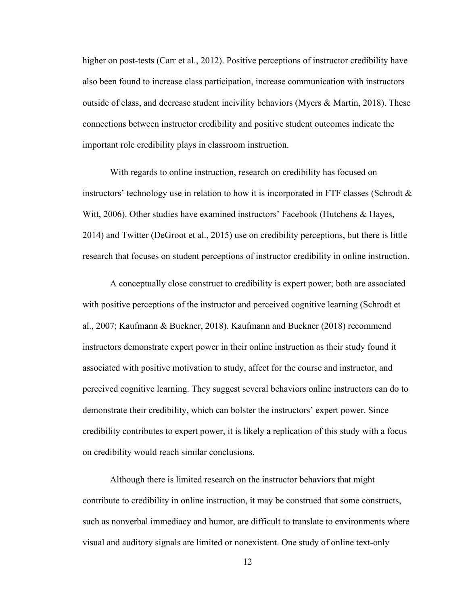higher on post-tests (Carr et al., 2012). Positive perceptions of instructor credibility have also been found to increase class participation, increase communication with instructors outside of class, and decrease student incivility behaviors (Myers & Martin, 2018). These connections between instructor credibility and positive student outcomes indicate the important role credibility plays in classroom instruction.

With regards to online instruction, research on credibility has focused on instructors' technology use in relation to how it is incorporated in FTF classes (Schrodt  $\&$ Witt, 2006). Other studies have examined instructors' Facebook (Hutchens & Hayes, 2014) and Twitter (DeGroot et al., 2015) use on credibility perceptions, but there is little research that focuses on student perceptions of instructor credibility in online instruction.

A conceptually close construct to credibility is expert power; both are associated with positive perceptions of the instructor and perceived cognitive learning (Schrodt et al., 2007; Kaufmann & Buckner, 2018). Kaufmann and Buckner (2018) recommend instructors demonstrate expert power in their online instruction as their study found it associated with positive motivation to study, affect for the course and instructor, and perceived cognitive learning. They suggest several behaviors online instructors can do to demonstrate their credibility, which can bolster the instructors' expert power. Since credibility contributes to expert power, it is likely a replication of this study with a focus on credibility would reach similar conclusions.

Although there is limited research on the instructor behaviors that might contribute to credibility in online instruction, it may be construed that some constructs, such as nonverbal immediacy and humor, are difficult to translate to environments where visual and auditory signals are limited or nonexistent. One study of online text-only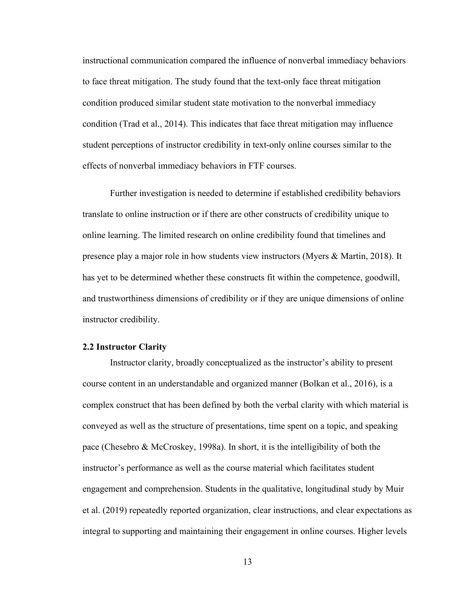instructional communication compared the influence of nonverbal immediacy behaviors to face threat mitigation. The study found that the text-only face threat mitigation condition produced similar student state motivation to the nonverbal immediacy condition (Trad et al., 2014). This indicates that face threat mitigation may influence student perceptions of instructor credibility in text-only online courses similar to the effects of nonverbal immediacy behaviors in FTF courses.

Further investigation is needed to determine if established credibility behaviors translate to online instruction or if there are other constructs of credibility unique to online learning. The limited research on online credibility found that timelines and presence play a major role in how students view instructors (Myers & Martin, 2018). It has yet to be determined whether these constructs fit within the competence, goodwill, and trustworthiness dimensions of credibility or if they are unique dimensions of online instructor credibility.

#### <span id="page-22-0"></span>**2.2 Instructor Clarity**

Instructor clarity, broadly conceptualized as the instructor's ability to present course content in an understandable and organized manner (Bolkan et al., 2016), is a complex construct that has been defined by both the verbal clarity with which material is conveyed as well as the structure of presentations, time spent on a topic, and speaking pace (Chesebro & McCroskey, 1998a). In short, it is the intelligibility of both the instructor's performance as well as the course material which facilitates student engagement and comprehension. Students in the qualitative, longitudinal study by Muir et al. (2019) repeatedly reported organization, clear instructions, and clear expectations as integral to supporting and maintaining their engagement in online courses. Higher levels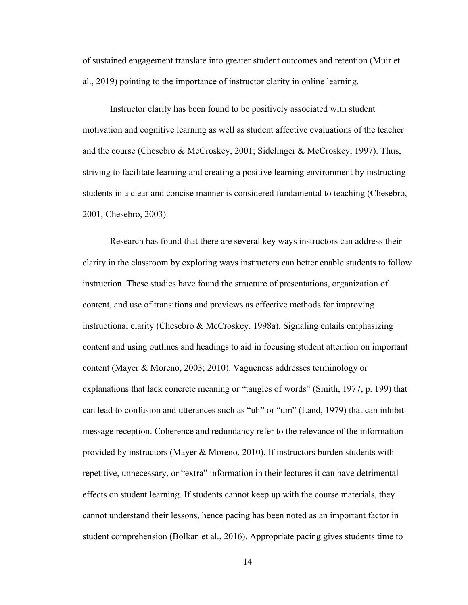of sustained engagement translate into greater student outcomes and retention (Muir et al., 2019) pointing to the importance of instructor clarity in online learning.

Instructor clarity has been found to be positively associated with student motivation and cognitive learning as well as student affective evaluations of the teacher and the course (Chesebro & McCroskey, 2001; Sidelinger & McCroskey, 1997). Thus, striving to facilitate learning and creating a positive learning environment by instructing students in a clear and concise manner is considered fundamental to teaching (Chesebro, 2001, Chesebro, 2003).

Research has found that there are several key ways instructors can address their clarity in the classroom by exploring ways instructors can better enable students to follow instruction. These studies have found the structure of presentations, organization of content, and use of transitions and previews as effective methods for improving instructional clarity (Chesebro & McCroskey, 1998a). Signaling entails emphasizing content and using outlines and headings to aid in focusing student attention on important content (Mayer & Moreno, 2003; 2010). Vagueness addresses terminology or explanations that lack concrete meaning or "tangles of words" (Smith, 1977, p. 199) that can lead to confusion and utterances such as "uh" or "um" (Land, 1979) that can inhibit message reception. Coherence and redundancy refer to the relevance of the information provided by instructors (Mayer & Moreno, 2010). If instructors burden students with repetitive, unnecessary, or "extra" information in their lectures it can have detrimental effects on student learning. If students cannot keep up with the course materials, they cannot understand their lessons, hence pacing has been noted as an important factor in student comprehension (Bolkan et al., 2016). Appropriate pacing gives students time to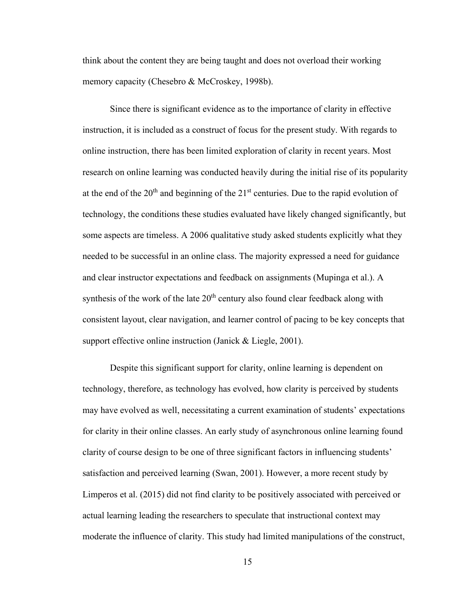think about the content they are being taught and does not overload their working memory capacity (Chesebro & McCroskey, 1998b).

Since there is significant evidence as to the importance of clarity in effective instruction, it is included as a construct of focus for the present study. With regards to online instruction, there has been limited exploration of clarity in recent years. Most research on online learning was conducted heavily during the initial rise of its popularity at the end of the  $20<sup>th</sup>$  and beginning of the  $21<sup>st</sup>$  centuries. Due to the rapid evolution of technology, the conditions these studies evaluated have likely changed significantly, but some aspects are timeless. A 2006 qualitative study asked students explicitly what they needed to be successful in an online class. The majority expressed a need for guidance and clear instructor expectations and feedback on assignments (Mupinga et al.). A synthesis of the work of the late 20<sup>th</sup> century also found clear feedback along with consistent layout, clear navigation, and learner control of pacing to be key concepts that support effective online instruction (Janick & Liegle, 2001).

Despite this significant support for clarity, online learning is dependent on technology, therefore, as technology has evolved, how clarity is perceived by students may have evolved as well, necessitating a current examination of students' expectations for clarity in their online classes. An early study of asynchronous online learning found clarity of course design to be one of three significant factors in influencing students' satisfaction and perceived learning (Swan, 2001). However, a more recent study by Limperos et al. (2015) did not find clarity to be positively associated with perceived or actual learning leading the researchers to speculate that instructional context may moderate the influence of clarity. This study had limited manipulations of the construct,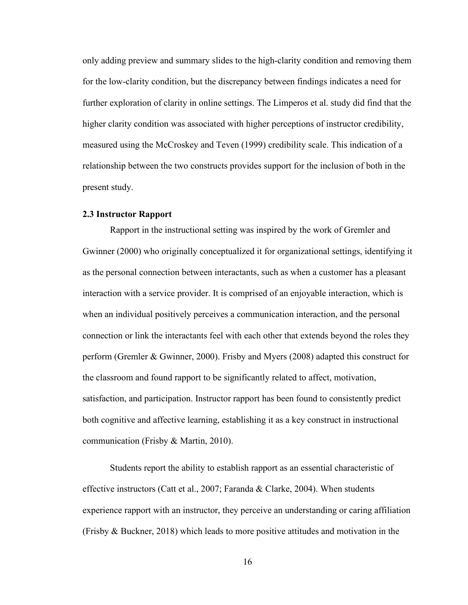only adding preview and summary slides to the high-clarity condition and removing them for the low-clarity condition, but the discrepancy between findings indicates a need for further exploration of clarity in online settings. The Limperos et al. study did find that the higher clarity condition was associated with higher perceptions of instructor credibility, measured using the McCroskey and Teven (1999) credibility scale. This indication of a relationship between the two constructs provides support for the inclusion of both in the present study.

### <span id="page-25-0"></span>**2.3 Instructor Rapport**

Rapport in the instructional setting was inspired by the work of Gremler and Gwinner (2000) who originally conceptualized it for organizational settings, identifying it as the personal connection between interactants, such as when a customer has a pleasant interaction with a service provider. It is comprised of an enjoyable interaction, which is when an individual positively perceives a communication interaction, and the personal connection or link the interactants feel with each other that extends beyond the roles they perform (Gremler & Gwinner, 2000). Frisby and Myers (2008) adapted this construct for the classroom and found rapport to be significantly related to affect, motivation, satisfaction, and participation. Instructor rapport has been found to consistently predict both cognitive and affective learning, establishing it as a key construct in instructional communication (Frisby & Martin, 2010).

Students report the ability to establish rapport as an essential characteristic of effective instructors (Catt et al., 2007; Faranda & Clarke, 2004). When students experience rapport with an instructor, they perceive an understanding or caring affiliation (Frisby & Buckner, 2018) which leads to more positive attitudes and motivation in the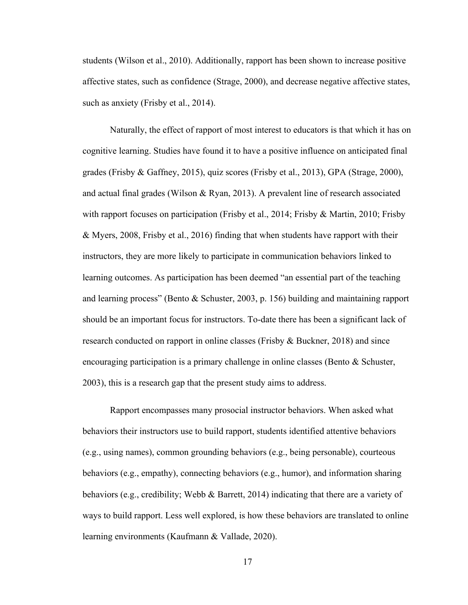students (Wilson et al., 2010). Additionally, rapport has been shown to increase positive affective states, such as confidence (Strage, 2000), and decrease negative affective states, such as anxiety (Frisby et al., 2014).

Naturally, the effect of rapport of most interest to educators is that which it has on cognitive learning. Studies have found it to have a positive influence on anticipated final grades (Frisby & Gaffney, 2015), quiz scores (Frisby et al., 2013), GPA (Strage, 2000), and actual final grades (Wilson & Ryan, 2013). A prevalent line of research associated with rapport focuses on participation (Frisby et al., 2014; Frisby & Martin, 2010; Frisby & Myers, 2008, Frisby et al., 2016) finding that when students have rapport with their instructors, they are more likely to participate in communication behaviors linked to learning outcomes. As participation has been deemed "an essential part of the teaching and learning process" (Bento & Schuster, 2003, p. 156) building and maintaining rapport should be an important focus for instructors. To-date there has been a significant lack of research conducted on rapport in online classes (Frisby & Buckner, 2018) and since encouraging participation is a primary challenge in online classes (Bento & Schuster, 2003), this is a research gap that the present study aims to address.

Rapport encompasses many prosocial instructor behaviors. When asked what behaviors their instructors use to build rapport, students identified attentive behaviors (e.g., using names), common grounding behaviors (e.g., being personable), courteous behaviors (e.g., empathy), connecting behaviors (e.g., humor), and information sharing behaviors (e.g., credibility; Webb & Barrett, 2014) indicating that there are a variety of ways to build rapport. Less well explored, is how these behaviors are translated to online learning environments (Kaufmann & Vallade, 2020).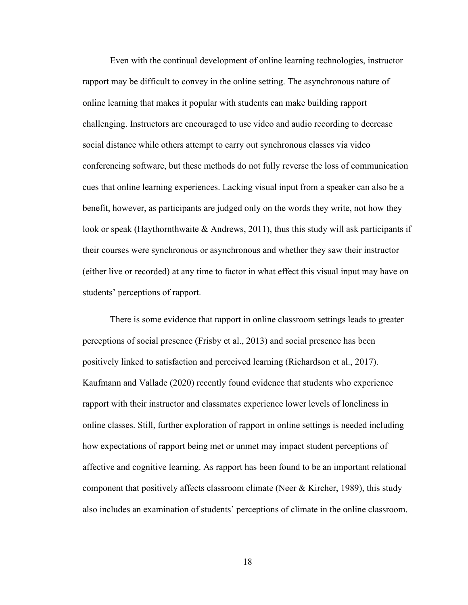Even with the continual development of online learning technologies, instructor rapport may be difficult to convey in the online setting. The asynchronous nature of online learning that makes it popular with students can make building rapport challenging. Instructors are encouraged to use video and audio recording to decrease social distance while others attempt to carry out synchronous classes via video conferencing software, but these methods do not fully reverse the loss of communication cues that online learning experiences. Lacking visual input from a speaker can also be a benefit, however, as participants are judged only on the words they write, not how they look or speak (Haythornthwaite & Andrews, 2011), thus this study will ask participants if their courses were synchronous or asynchronous and whether they saw their instructor (either live or recorded) at any time to factor in what effect this visual input may have on students' perceptions of rapport.

There is some evidence that rapport in online classroom settings leads to greater perceptions of social presence (Frisby et al., 2013) and social presence has been positively linked to satisfaction and perceived learning (Richardson et al., 2017). Kaufmann and Vallade (2020) recently found evidence that students who experience rapport with their instructor and classmates experience lower levels of loneliness in online classes. Still, further exploration of rapport in online settings is needed including how expectations of rapport being met or unmet may impact student perceptions of affective and cognitive learning. As rapport has been found to be an important relational component that positively affects classroom climate (Neer  $&$  Kircher, 1989), this study also includes an examination of students' perceptions of climate in the online classroom.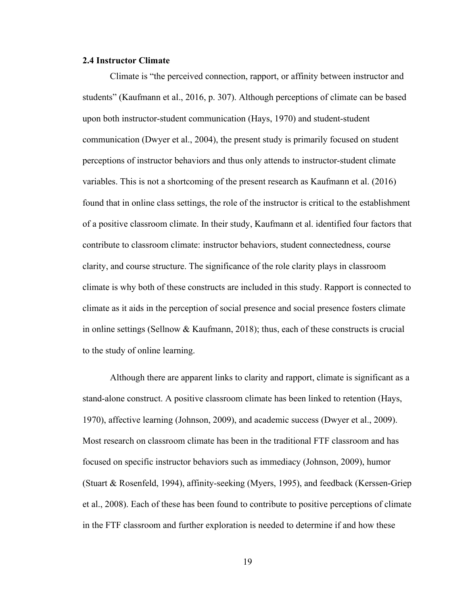### <span id="page-28-0"></span>**2.4 Instructor Climate**

Climate is "the perceived connection, rapport, or affinity between instructor and students" (Kaufmann et al., 2016, p. 307). Although perceptions of climate can be based upon both instructor-student communication (Hays, 1970) and student-student communication (Dwyer et al., 2004), the present study is primarily focused on student perceptions of instructor behaviors and thus only attends to instructor-student climate variables. This is not a shortcoming of the present research as Kaufmann et al. (2016) found that in online class settings, the role of the instructor is critical to the establishment of a positive classroom climate. In their study, Kaufmann et al. identified four factors that contribute to classroom climate: instructor behaviors, student connectedness, course clarity, and course structure. The significance of the role clarity plays in classroom climate is why both of these constructs are included in this study. Rapport is connected to climate as it aids in the perception of social presence and social presence fosters climate in online settings (Sellnow & Kaufmann, 2018); thus, each of these constructs is crucial to the study of online learning.

Although there are apparent links to clarity and rapport, climate is significant as a stand-alone construct. A positive classroom climate has been linked to retention (Hays, 1970), affective learning (Johnson, 2009), and academic success (Dwyer et al., 2009). Most research on classroom climate has been in the traditional FTF classroom and has focused on specific instructor behaviors such as immediacy (Johnson, 2009), humor (Stuart & Rosenfeld, 1994), affinity-seeking (Myers, 1995), and feedback (Kerssen-Griep et al., 2008). Each of these has been found to contribute to positive perceptions of climate in the FTF classroom and further exploration is needed to determine if and how these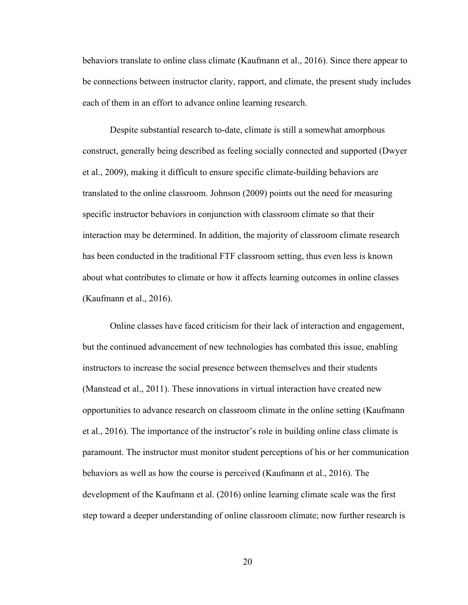behaviors translate to online class climate (Kaufmann et al., 2016). Since there appear to be connections between instructor clarity, rapport, and climate, the present study includes each of them in an effort to advance online learning research.

Despite substantial research to-date, climate is still a somewhat amorphous construct, generally being described as feeling socially connected and supported (Dwyer et al., 2009), making it difficult to ensure specific climate-building behaviors are translated to the online classroom. Johnson (2009) points out the need for measuring specific instructor behaviors in conjunction with classroom climate so that their interaction may be determined. In addition, the majority of classroom climate research has been conducted in the traditional FTF classroom setting, thus even less is known about what contributes to climate or how it affects learning outcomes in online classes (Kaufmann et al., 2016).

Online classes have faced criticism for their lack of interaction and engagement, but the continued advancement of new technologies has combated this issue, enabling instructors to increase the social presence between themselves and their students (Manstead et al., 2011). These innovations in virtual interaction have created new opportunities to advance research on classroom climate in the online setting (Kaufmann et al., 2016). The importance of the instructor's role in building online class climate is paramount. The instructor must monitor student perceptions of his or her communication behaviors as well as how the course is perceived (Kaufmann et al., 2016). The development of the Kaufmann et al. (2016) online learning climate scale was the first step toward a deeper understanding of online classroom climate; now further research is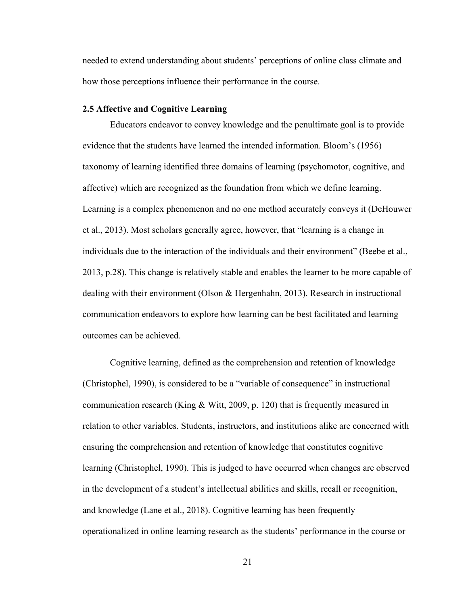needed to extend understanding about students' perceptions of online class climate and how those perceptions influence their performance in the course.

### <span id="page-30-0"></span>**2.5 Affective and Cognitive Learning**

Educators endeavor to convey knowledge and the penultimate goal is to provide evidence that the students have learned the intended information. Bloom's (1956) taxonomy of learning identified three domains of learning (psychomotor, cognitive, and affective) which are recognized as the foundation from which we define learning. Learning is a complex phenomenon and no one method accurately conveys it (DeHouwer et al., 2013). Most scholars generally agree, however, that "learning is a change in individuals due to the interaction of the individuals and their environment" (Beebe et al., 2013, p.28). This change is relatively stable and enables the learner to be more capable of dealing with their environment (Olson & Hergenhahn, 2013). Research in instructional communication endeavors to explore how learning can be best facilitated and learning outcomes can be achieved.

Cognitive learning, defined as the comprehension and retention of knowledge (Christophel, 1990), is considered to be a "variable of consequence" in instructional communication research (King  $\&$  Witt, 2009, p. 120) that is frequently measured in relation to other variables. Students, instructors, and institutions alike are concerned with ensuring the comprehension and retention of knowledge that constitutes cognitive learning (Christophel, 1990). This is judged to have occurred when changes are observed in the development of a student's intellectual abilities and skills, recall or recognition, and knowledge (Lane et al., 2018). Cognitive learning has been frequently operationalized in online learning research as the students' performance in the course or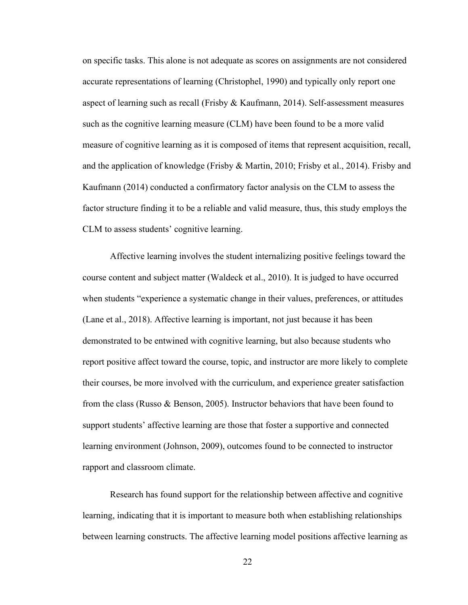on specific tasks. This alone is not adequate as scores on assignments are not considered accurate representations of learning (Christophel, 1990) and typically only report one aspect of learning such as recall (Frisby  $& Kaufmann, 2014$ ). Self-assessment measures such as the cognitive learning measure (CLM) have been found to be a more valid measure of cognitive learning as it is composed of items that represent acquisition, recall, and the application of knowledge (Frisby & Martin, 2010; Frisby et al., 2014). Frisby and Kaufmann (2014) conducted a confirmatory factor analysis on the CLM to assess the factor structure finding it to be a reliable and valid measure, thus, this study employs the CLM to assess students' cognitive learning.

Affective learning involves the student internalizing positive feelings toward the course content and subject matter (Waldeck et al., 2010). It is judged to have occurred when students "experience a systematic change in their values, preferences, or attitudes (Lane et al., 2018). Affective learning is important, not just because it has been demonstrated to be entwined with cognitive learning, but also because students who report positive affect toward the course, topic, and instructor are more likely to complete their courses, be more involved with the curriculum, and experience greater satisfaction from the class (Russo & Benson, 2005). Instructor behaviors that have been found to support students' affective learning are those that foster a supportive and connected learning environment (Johnson, 2009), outcomes found to be connected to instructor rapport and classroom climate.

Research has found support for the relationship between affective and cognitive learning, indicating that it is important to measure both when establishing relationships between learning constructs. The affective learning model positions affective learning as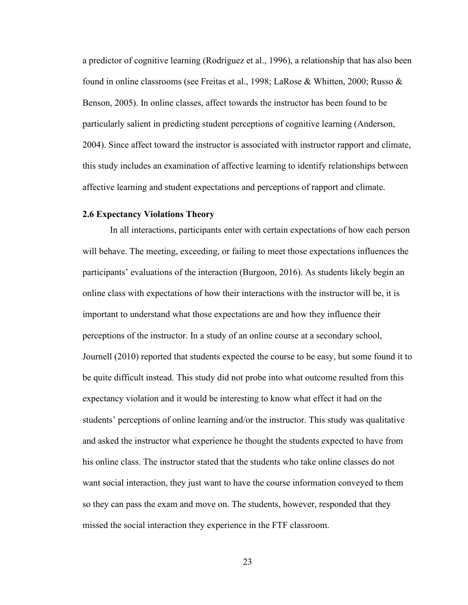a predictor of cognitive learning (Rodriguez et al., 1996), a relationship that has also been found in online classrooms (see Freitas et al., 1998; LaRose & Whitten, 2000; Russo & Benson, 2005). In online classes, affect towards the instructor has been found to be particularly salient in predicting student perceptions of cognitive learning (Anderson, 2004). Since affect toward the instructor is associated with instructor rapport and climate, this study includes an examination of affective learning to identify relationships between affective learning and student expectations and perceptions of rapport and climate.

### <span id="page-32-0"></span>**2.6 Expectancy Violations Theory**

In all interactions, participants enter with certain expectations of how each person will behave. The meeting, exceeding, or failing to meet those expectations influences the participants' evaluations of the interaction (Burgoon, 2016). As students likely begin an online class with expectations of how their interactions with the instructor will be, it is important to understand what those expectations are and how they influence their perceptions of the instructor. In a study of an online course at a secondary school, Journell (2010) reported that students expected the course to be easy, but some found it to be quite difficult instead. This study did not probe into what outcome resulted from this expectancy violation and it would be interesting to know what effect it had on the students' perceptions of online learning and/or the instructor. This study was qualitative and asked the instructor what experience he thought the students expected to have from his online class. The instructor stated that the students who take online classes do not want social interaction, they just want to have the course information conveyed to them so they can pass the exam and move on. The students, however, responded that they missed the social interaction they experience in the FTF classroom.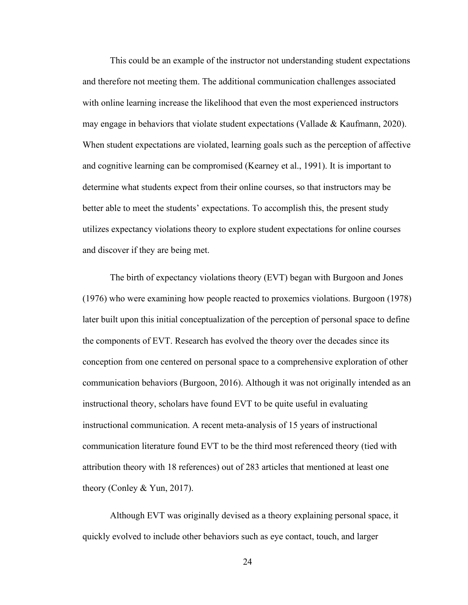This could be an example of the instructor not understanding student expectations and therefore not meeting them. The additional communication challenges associated with online learning increase the likelihood that even the most experienced instructors may engage in behaviors that violate student expectations (Vallade  $& Kaufmann, 2020$ ). When student expectations are violated, learning goals such as the perception of affective and cognitive learning can be compromised (Kearney et al., 1991). It is important to determine what students expect from their online courses, so that instructors may be better able to meet the students' expectations. To accomplish this, the present study utilizes expectancy violations theory to explore student expectations for online courses and discover if they are being met.

The birth of expectancy violations theory (EVT) began with Burgoon and Jones (1976) who were examining how people reacted to proxemics violations. Burgoon (1978) later built upon this initial conceptualization of the perception of personal space to define the components of EVT. Research has evolved the theory over the decades since its conception from one centered on personal space to a comprehensive exploration of other communication behaviors (Burgoon, 2016). Although it was not originally intended as an instructional theory, scholars have found EVT to be quite useful in evaluating instructional communication. A recent meta-analysis of 15 years of instructional communication literature found EVT to be the third most referenced theory (tied with attribution theory with 18 references) out of 283 articles that mentioned at least one theory (Conley & Yun, 2017).

Although EVT was originally devised as a theory explaining personal space, it quickly evolved to include other behaviors such as eye contact, touch, and larger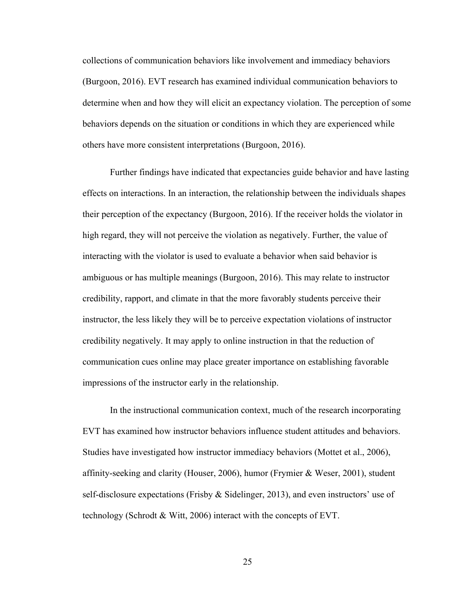collections of communication behaviors like involvement and immediacy behaviors (Burgoon, 2016). EVT research has examined individual communication behaviors to determine when and how they will elicit an expectancy violation. The perception of some behaviors depends on the situation or conditions in which they are experienced while others have more consistent interpretations (Burgoon, 2016).

Further findings have indicated that expectancies guide behavior and have lasting effects on interactions. In an interaction, the relationship between the individuals shapes their perception of the expectancy (Burgoon, 2016). If the receiver holds the violator in high regard, they will not perceive the violation as negatively. Further, the value of interacting with the violator is used to evaluate a behavior when said behavior is ambiguous or has multiple meanings (Burgoon, 2016). This may relate to instructor credibility, rapport, and climate in that the more favorably students perceive their instructor, the less likely they will be to perceive expectation violations of instructor credibility negatively. It may apply to online instruction in that the reduction of communication cues online may place greater importance on establishing favorable impressions of the instructor early in the relationship.

In the instructional communication context, much of the research incorporating EVT has examined how instructor behaviors influence student attitudes and behaviors. Studies have investigated how instructor immediacy behaviors (Mottet et al., 2006), affinity-seeking and clarity (Houser, 2006), humor (Frymier & Weser, 2001), student self-disclosure expectations (Frisby & Sidelinger, 2013), and even instructors' use of technology (Schrodt & Witt, 2006) interact with the concepts of EVT.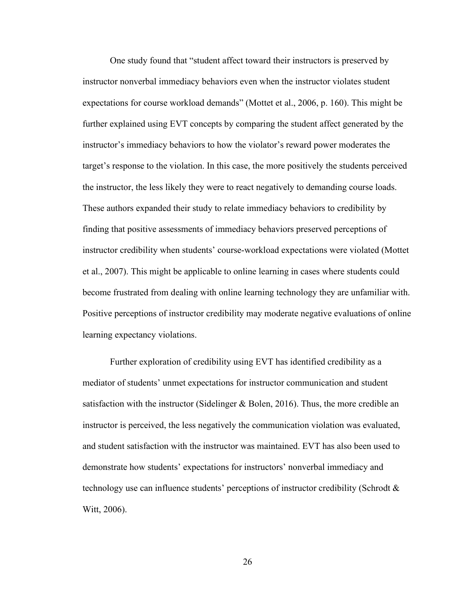One study found that "student affect toward their instructors is preserved by instructor nonverbal immediacy behaviors even when the instructor violates student expectations for course workload demands" (Mottet et al., 2006, p. 160). This might be further explained using EVT concepts by comparing the student affect generated by the instructor's immediacy behaviors to how the violator's reward power moderates the target's response to the violation. In this case, the more positively the students perceived the instructor, the less likely they were to react negatively to demanding course loads. These authors expanded their study to relate immediacy behaviors to credibility by finding that positive assessments of immediacy behaviors preserved perceptions of instructor credibility when students' course-workload expectations were violated (Mottet et al., 2007). This might be applicable to online learning in cases where students could become frustrated from dealing with online learning technology they are unfamiliar with. Positive perceptions of instructor credibility may moderate negative evaluations of online learning expectancy violations.

Further exploration of credibility using EVT has identified credibility as a mediator of students' unmet expectations for instructor communication and student satisfaction with the instructor (Sidelinger & Bolen, 2016). Thus, the more credible an instructor is perceived, the less negatively the communication violation was evaluated, and student satisfaction with the instructor was maintained. EVT has also been used to demonstrate how students' expectations for instructors' nonverbal immediacy and technology use can influence students' perceptions of instructor credibility (Schrodt & Witt, 2006).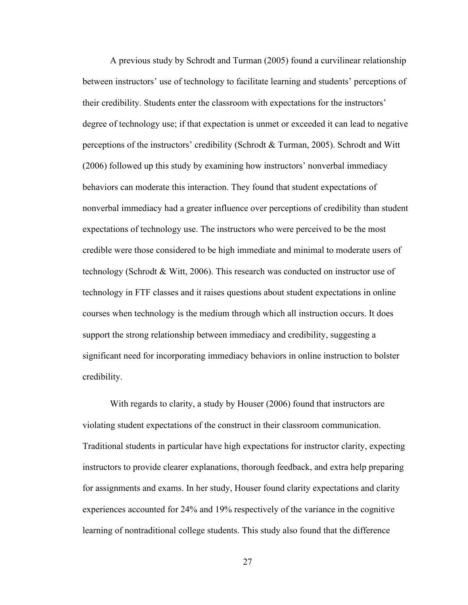A previous study by Schrodt and Turman (2005) found a curvilinear relationship between instructors' use of technology to facilitate learning and students' perceptions of their credibility. Students enter the classroom with expectations for the instructors' degree of technology use; if that expectation is unmet or exceeded it can lead to negative perceptions of the instructors' credibility (Schrodt & Turman, 2005). Schrodt and Witt (2006) followed up this study by examining how instructors' nonverbal immediacy behaviors can moderate this interaction. They found that student expectations of nonverbal immediacy had a greater influence over perceptions of credibility than student expectations of technology use. The instructors who were perceived to be the most credible were those considered to be high immediate and minimal to moderate users of technology (Schrodt & Witt, 2006). This research was conducted on instructor use of technology in FTF classes and it raises questions about student expectations in online courses when technology is the medium through which all instruction occurs. It does support the strong relationship between immediacy and credibility, suggesting a significant need for incorporating immediacy behaviors in online instruction to bolster credibility.

With regards to clarity, a study by Houser (2006) found that instructors are violating student expectations of the construct in their classroom communication. Traditional students in particular have high expectations for instructor clarity, expecting instructors to provide clearer explanations, thorough feedback, and extra help preparing for assignments and exams. In her study, Houser found clarity expectations and clarity experiences accounted for 24% and 19% respectively of the variance in the cognitive learning of nontraditional college students. This study also found that the difference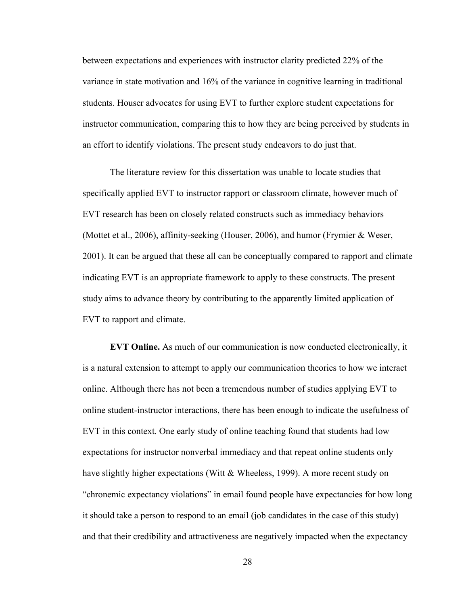between expectations and experiences with instructor clarity predicted 22% of the variance in state motivation and 16% of the variance in cognitive learning in traditional students. Houser advocates for using EVT to further explore student expectations for instructor communication, comparing this to how they are being perceived by students in an effort to identify violations. The present study endeavors to do just that.

The literature review for this dissertation was unable to locate studies that specifically applied EVT to instructor rapport or classroom climate, however much of EVT research has been on closely related constructs such as immediacy behaviors (Mottet et al., 2006), affinity-seeking (Houser, 2006), and humor (Frymier & Weser, 2001). It can be argued that these all can be conceptually compared to rapport and climate indicating EVT is an appropriate framework to apply to these constructs. The present study aims to advance theory by contributing to the apparently limited application of EVT to rapport and climate.

**EVT Online.** As much of our communication is now conducted electronically, it is a natural extension to attempt to apply our communication theories to how we interact online. Although there has not been a tremendous number of studies applying EVT to online student-instructor interactions, there has been enough to indicate the usefulness of EVT in this context. One early study of online teaching found that students had low expectations for instructor nonverbal immediacy and that repeat online students only have slightly higher expectations (Witt & Wheeless, 1999). A more recent study on "chronemic expectancy violations" in email found people have expectancies for how long it should take a person to respond to an email (job candidates in the case of this study) and that their credibility and attractiveness are negatively impacted when the expectancy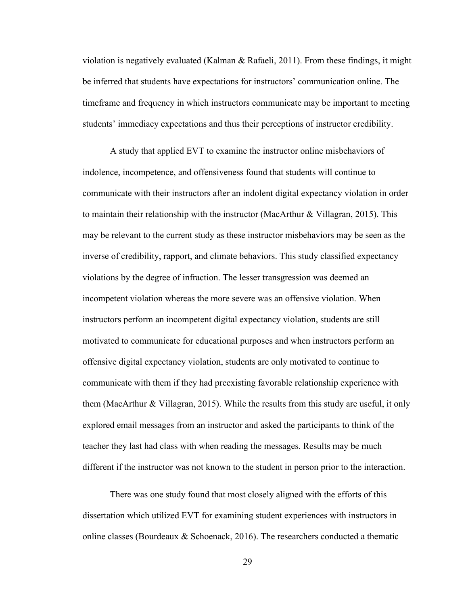violation is negatively evaluated (Kalman  $\&$  Rafaeli, 2011). From these findings, it might be inferred that students have expectations for instructors' communication online. The timeframe and frequency in which instructors communicate may be important to meeting students' immediacy expectations and thus their perceptions of instructor credibility.

A study that applied EVT to examine the instructor online misbehaviors of indolence, incompetence, and offensiveness found that students will continue to communicate with their instructors after an indolent digital expectancy violation in order to maintain their relationship with the instructor (MacArthur & Villagran, 2015). This may be relevant to the current study as these instructor misbehaviors may be seen as the inverse of credibility, rapport, and climate behaviors. This study classified expectancy violations by the degree of infraction. The lesser transgression was deemed an incompetent violation whereas the more severe was an offensive violation. When instructors perform an incompetent digital expectancy violation, students are still motivated to communicate for educational purposes and when instructors perform an offensive digital expectancy violation, students are only motivated to continue to communicate with them if they had preexisting favorable relationship experience with them (MacArthur & Villagran, 2015). While the results from this study are useful, it only explored email messages from an instructor and asked the participants to think of the teacher they last had class with when reading the messages. Results may be much different if the instructor was not known to the student in person prior to the interaction.

There was one study found that most closely aligned with the efforts of this dissertation which utilized EVT for examining student experiences with instructors in online classes (Bourdeaux & Schoenack, 2016). The researchers conducted a thematic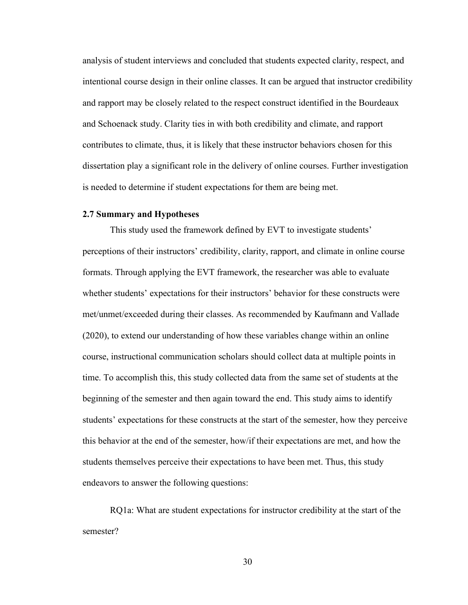analysis of student interviews and concluded that students expected clarity, respect, and intentional course design in their online classes. It can be argued that instructor credibility and rapport may be closely related to the respect construct identified in the Bourdeaux and Schoenack study. Clarity ties in with both credibility and climate, and rapport contributes to climate, thus, it is likely that these instructor behaviors chosen for this dissertation play a significant role in the delivery of online courses. Further investigation is needed to determine if student expectations for them are being met.

### **2.7 Summary and Hypotheses**

This study used the framework defined by EVT to investigate students' perceptions of their instructors' credibility, clarity, rapport, and climate in online course formats. Through applying the EVT framework, the researcher was able to evaluate whether students' expectations for their instructors' behavior for these constructs were met/unmet/exceeded during their classes. As recommended by Kaufmann and Vallade (2020), to extend our understanding of how these variables change within an online course, instructional communication scholars should collect data at multiple points in time. To accomplish this, this study collected data from the same set of students at the beginning of the semester and then again toward the end. This study aims to identify students' expectations for these constructs at the start of the semester, how they perceive this behavior at the end of the semester, how/if their expectations are met, and how the students themselves perceive their expectations to have been met. Thus, this study endeavors to answer the following questions:

RQ1a: What are student expectations for instructor credibility at the start of the semester?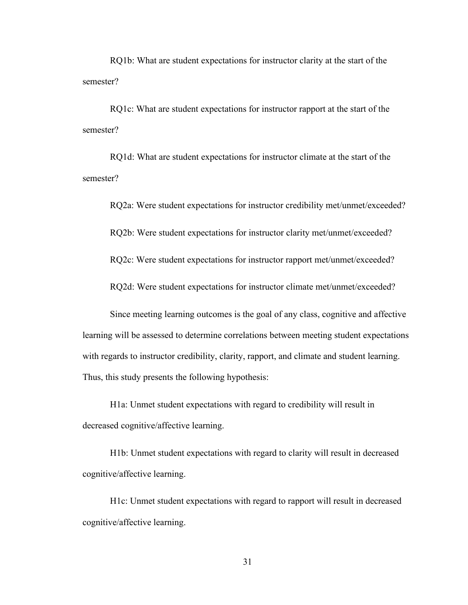RQ1b: What are student expectations for instructor clarity at the start of the semester?

RQ1c: What are student expectations for instructor rapport at the start of the semester?

RQ1d: What are student expectations for instructor climate at the start of the semester?

RQ2a: Were student expectations for instructor credibility met/unmet/exceeded? RQ2b: Were student expectations for instructor clarity met/unmet/exceeded? RQ2c: Were student expectations for instructor rapport met/unmet/exceeded? RQ2d: Were student expectations for instructor climate met/unmet/exceeded?

Since meeting learning outcomes is the goal of any class, cognitive and affective learning will be assessed to determine correlations between meeting student expectations with regards to instructor credibility, clarity, rapport, and climate and student learning. Thus, this study presents the following hypothesis:

H1a: Unmet student expectations with regard to credibility will result in decreased cognitive/affective learning.

H1b: Unmet student expectations with regard to clarity will result in decreased cognitive/affective learning.

H1c: Unmet student expectations with regard to rapport will result in decreased cognitive/affective learning.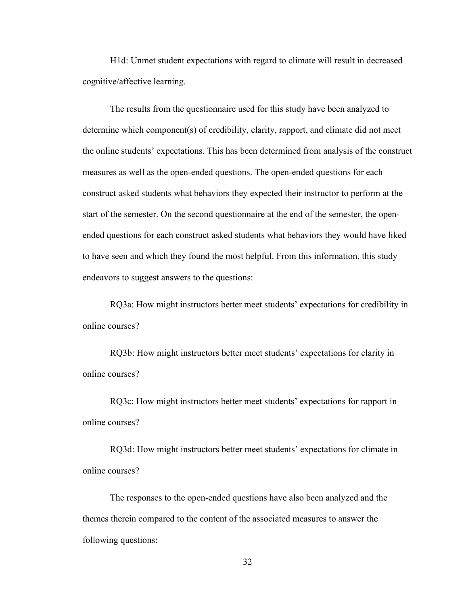H1d: Unmet student expectations with regard to climate will result in decreased cognitive/affective learning.

The results from the questionnaire used for this study have been analyzed to determine which component(s) of credibility, clarity, rapport, and climate did not meet the online students' expectations. This has been determined from analysis of the construct measures as well as the open-ended questions. The open-ended questions for each construct asked students what behaviors they expected their instructor to perform at the start of the semester. On the second questionnaire at the end of the semester, the openended questions for each construct asked students what behaviors they would have liked to have seen and which they found the most helpful. From this information, this study endeavors to suggest answers to the questions:

RQ3a: How might instructors better meet students' expectations for credibility in online courses?

RQ3b: How might instructors better meet students' expectations for clarity in online courses?

RQ3c: How might instructors better meet students' expectations for rapport in online courses?

RQ3d: How might instructors better meet students' expectations for climate in online courses?

The responses to the open-ended questions have also been analyzed and the themes therein compared to the content of the associated measures to answer the following questions: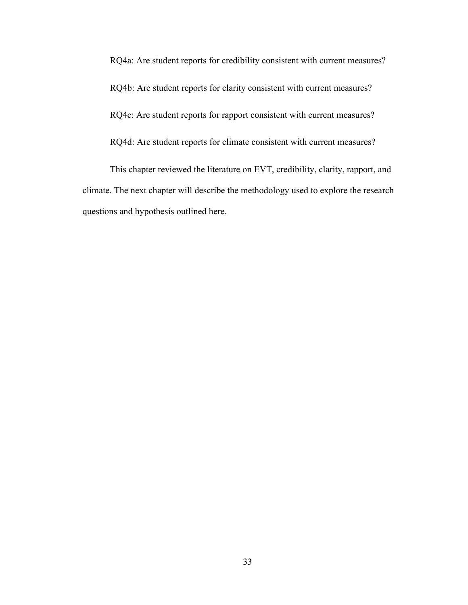RQ4a: Are student reports for credibility consistent with current measures? RQ4b: Are student reports for clarity consistent with current measures? RQ4c: Are student reports for rapport consistent with current measures? RQ4d: Are student reports for climate consistent with current measures?

This chapter reviewed the literature on EVT, credibility, clarity, rapport, and climate. The next chapter will describe the methodology used to explore the research questions and hypothesis outlined here.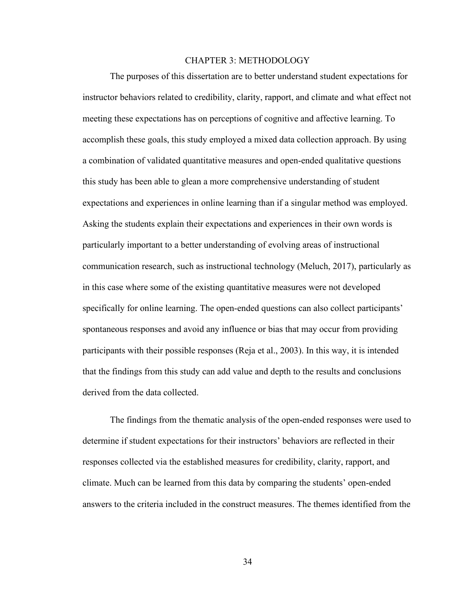### CHAPTER 3: METHODOLOGY

The purposes of this dissertation are to better understand student expectations for instructor behaviors related to credibility, clarity, rapport, and climate and what effect not meeting these expectations has on perceptions of cognitive and affective learning. To accomplish these goals, this study employed a mixed data collection approach. By using a combination of validated quantitative measures and open-ended qualitative questions this study has been able to glean a more comprehensive understanding of student expectations and experiences in online learning than if a singular method was employed. Asking the students explain their expectations and experiences in their own words is particularly important to a better understanding of evolving areas of instructional communication research, such as instructional technology (Meluch, 2017), particularly as in this case where some of the existing quantitative measures were not developed specifically for online learning. The open-ended questions can also collect participants' spontaneous responses and avoid any influence or bias that may occur from providing participants with their possible responses (Reja et al., 2003). In this way, it is intended that the findings from this study can add value and depth to the results and conclusions derived from the data collected.

The findings from the thematic analysis of the open-ended responses were used to determine if student expectations for their instructors' behaviors are reflected in their responses collected via the established measures for credibility, clarity, rapport, and climate. Much can be learned from this data by comparing the students' open-ended answers to the criteria included in the construct measures. The themes identified from the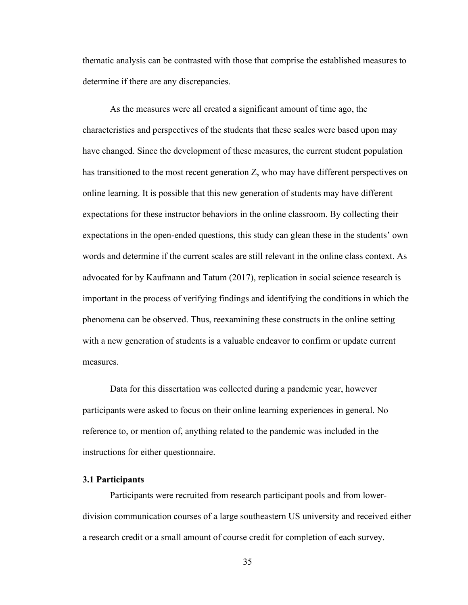thematic analysis can be contrasted with those that comprise the established measures to determine if there are any discrepancies.

As the measures were all created a significant amount of time ago, the characteristics and perspectives of the students that these scales were based upon may have changed. Since the development of these measures, the current student population has transitioned to the most recent generation Z, who may have different perspectives on online learning. It is possible that this new generation of students may have different expectations for these instructor behaviors in the online classroom. By collecting their expectations in the open-ended questions, this study can glean these in the students' own words and determine if the current scales are still relevant in the online class context. As advocated for by Kaufmann and Tatum (2017), replication in social science research is important in the process of verifying findings and identifying the conditions in which the phenomena can be observed. Thus, reexamining these constructs in the online setting with a new generation of students is a valuable endeavor to confirm or update current measures.

Data for this dissertation was collected during a pandemic year, however participants were asked to focus on their online learning experiences in general. No reference to, or mention of, anything related to the pandemic was included in the instructions for either questionnaire.

### **3.1 Participants**

Participants were recruited from research participant pools and from lowerdivision communication courses of a large southeastern US university and received either a research credit or a small amount of course credit for completion of each survey.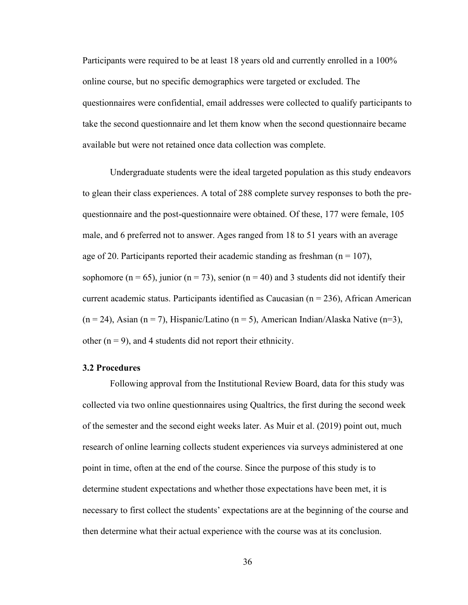Participants were required to be at least 18 years old and currently enrolled in a 100% online course, but no specific demographics were targeted or excluded. The questionnaires were confidential, email addresses were collected to qualify participants to take the second questionnaire and let them know when the second questionnaire became available but were not retained once data collection was complete.

Undergraduate students were the ideal targeted population as this study endeavors to glean their class experiences. A total of 288 complete survey responses to both the prequestionnaire and the post-questionnaire were obtained. Of these, 177 were female, 105 male, and 6 preferred not to answer. Ages ranged from 18 to 51 years with an average age of 20. Participants reported their academic standing as freshman  $(n = 107)$ , sophomore ( $n = 65$ ), junior ( $n = 73$ ), senior ( $n = 40$ ) and 3 students did not identify their current academic status. Participants identified as Caucasian ( $n = 236$ ), African American  $(n = 24)$ , Asian  $(n = 7)$ , Hispanic/Latino  $(n = 5)$ , American Indian/Alaska Native  $(n = 3)$ , other  $(n = 9)$ , and 4 students did not report their ethnicity.

### **3.2 Procedures**

Following approval from the Institutional Review Board, data for this study was collected via two online questionnaires using Qualtrics, the first during the second week of the semester and the second eight weeks later. As Muir et al. (2019) point out, much research of online learning collects student experiences via surveys administered at one point in time, often at the end of the course. Since the purpose of this study is to determine student expectations and whether those expectations have been met, it is necessary to first collect the students' expectations are at the beginning of the course and then determine what their actual experience with the course was at its conclusion.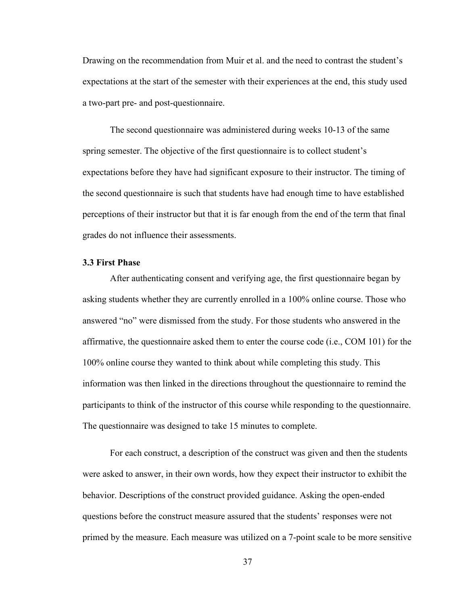Drawing on the recommendation from Muir et al. and the need to contrast the student's expectations at the start of the semester with their experiences at the end, this study used a two-part pre- and post-questionnaire.

The second questionnaire was administered during weeks 10-13 of the same spring semester. The objective of the first questionnaire is to collect student's expectations before they have had significant exposure to their instructor. The timing of the second questionnaire is such that students have had enough time to have established perceptions of their instructor but that it is far enough from the end of the term that final grades do not influence their assessments.

### **3.3 First Phase**

After authenticating consent and verifying age, the first questionnaire began by asking students whether they are currently enrolled in a 100% online course. Those who answered "no" were dismissed from the study. For those students who answered in the affirmative, the questionnaire asked them to enter the course code (i.e., COM 101) for the 100% online course they wanted to think about while completing this study. This information was then linked in the directions throughout the questionnaire to remind the participants to think of the instructor of this course while responding to the questionnaire. The questionnaire was designed to take 15 minutes to complete.

For each construct, a description of the construct was given and then the students were asked to answer, in their own words, how they expect their instructor to exhibit the behavior. Descriptions of the construct provided guidance. Asking the open-ended questions before the construct measure assured that the students' responses were not primed by the measure. Each measure was utilized on a 7-point scale to be more sensitive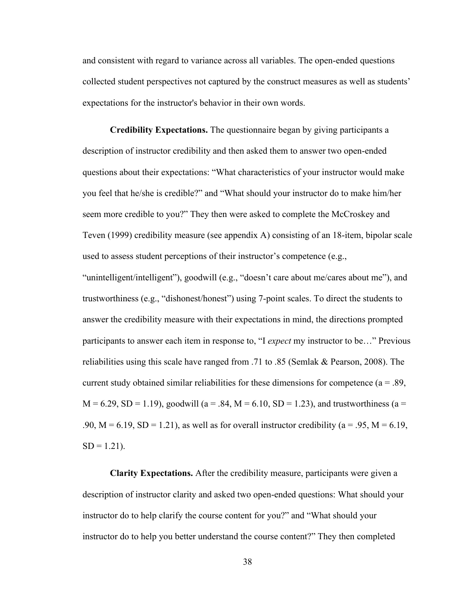and consistent with regard to variance across all variables. The open-ended questions collected student perspectives not captured by the construct measures as well as students' expectations for the instructor's behavior in their own words.

**Credibility Expectations.** The questionnaire began by giving participants a description of instructor credibility and then asked them to answer two open-ended questions about their expectations: "What characteristics of your instructor would make you feel that he/she is credible?" and "What should your instructor do to make him/her seem more credible to you?" They then were asked to complete the McCroskey and Teven (1999) credibility measure (see appendix A) consisting of an 18-item, bipolar scale used to assess student perceptions of their instructor's competence (e.g.,

"unintelligent/intelligent"), goodwill (e.g., "doesn't care about me/cares about me"), and trustworthiness (e.g., "dishonest/honest") using 7-point scales. To direct the students to answer the credibility measure with their expectations in mind, the directions prompted participants to answer each item in response to, "I *expect* my instructor to be…" Previous reliabilities using this scale have ranged from .71 to .85 (Semlak & Pearson, 2008). The current study obtained similar reliabilities for these dimensions for competence ( $a = .89$ ,  $M = 6.29$ , SD = 1.19), goodwill (a = .84, M = 6.10, SD = 1.23), and trustworthiness (a = .90,  $M = 6.19$ ,  $SD = 1.21$ , as well as for overall instructor credibility ( $a = .95$ ,  $M = 6.19$ ,  $SD = 1.21$ ).

**Clarity Expectations.** After the credibility measure, participants were given a description of instructor clarity and asked two open-ended questions: What should your instructor do to help clarify the course content for you?" and "What should your instructor do to help you better understand the course content?" They then completed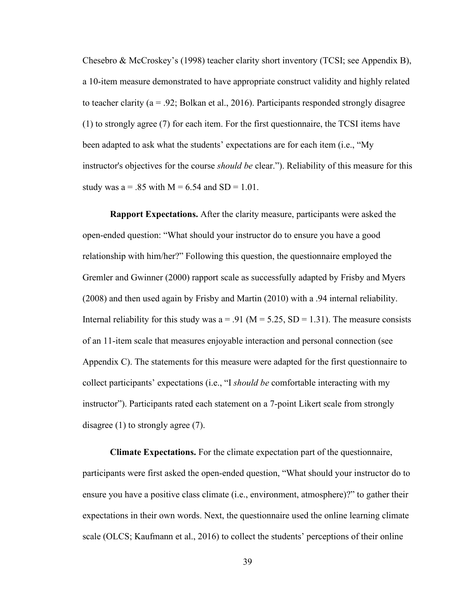Chesebro & McCroskey's (1998) teacher clarity short inventory (TCSI; see Appendix B), a 10-item measure demonstrated to have appropriate construct validity and highly related to teacher clarity ( $a = .92$ ; Bolkan et al., 2016). Participants responded strongly disagree (1) to strongly agree (7) for each item. For the first questionnaire, the TCSI items have been adapted to ask what the students' expectations are for each item (i.e., "My instructor's objectives for the course *should be* clear."). Reliability of this measure for this study was  $a = .85$  with  $M = 6.54$  and  $SD = 1.01$ .

**Rapport Expectations.** After the clarity measure, participants were asked the open-ended question: "What should your instructor do to ensure you have a good relationship with him/her?" Following this question, the questionnaire employed the Gremler and Gwinner (2000) rapport scale as successfully adapted by Frisby and Myers (2008) and then used again by Frisby and Martin (2010) with a .94 internal reliability. Internal reliability for this study was  $a = .91$  (M = 5.25, SD = 1.31). The measure consists of an 11-item scale that measures enjoyable interaction and personal connection (see Appendix C). The statements for this measure were adapted for the first questionnaire to collect participants' expectations (i.e., "I *should be* comfortable interacting with my instructor"). Participants rated each statement on a 7-point Likert scale from strongly disagree (1) to strongly agree (7).

**Climate Expectations.** For the climate expectation part of the questionnaire, participants were first asked the open-ended question, "What should your instructor do to ensure you have a positive class climate (i.e., environment, atmosphere)?" to gather their expectations in their own words. Next, the questionnaire used the online learning climate scale (OLCS; Kaufmann et al., 2016) to collect the students' perceptions of their online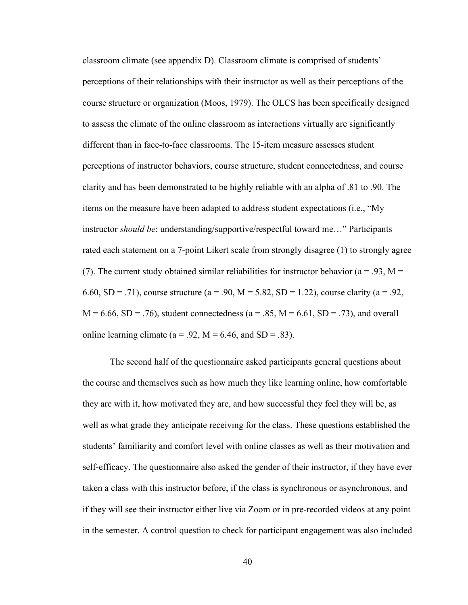classroom climate (see appendix D). Classroom climate is comprised of students' perceptions of their relationships with their instructor as well as their perceptions of the course structure or organization (Moos, 1979). The OLCS has been specifically designed to assess the climate of the online classroom as interactions virtually are significantly different than in face-to-face classrooms. The 15-item measure assesses student perceptions of instructor behaviors, course structure, student connectedness, and course clarity and has been demonstrated to be highly reliable with an alpha of .81 to .90. The items on the measure have been adapted to address student expectations (i.e., "My instructor *should be*: understanding/supportive/respectful toward me…" Participants rated each statement on a 7-point Likert scale from strongly disagree (1) to strongly agree (7). The current study obtained similar reliabilities for instructor behavior ( $a = .93$ , M = 6.60, SD = .71), course structure ( $a = .90$ , M = 5.82, SD = 1.22), course clarity ( $a = .92$ ,  $M = 6.66$ , SD = .76), student connectedness (a = .85, M = 6.61, SD = .73), and overall online learning climate ( $a = .92$ ,  $M = 6.46$ , and SD = .83).

The second half of the questionnaire asked participants general questions about the course and themselves such as how much they like learning online, how comfortable they are with it, how motivated they are, and how successful they feel they will be, as well as what grade they anticipate receiving for the class. These questions established the students' familiarity and comfort level with online classes as well as their motivation and self-efficacy. The questionnaire also asked the gender of their instructor, if they have ever taken a class with this instructor before, if the class is synchronous or asynchronous, and if they will see their instructor either live via Zoom or in pre-recorded videos at any point in the semester. A control question to check for participant engagement was also included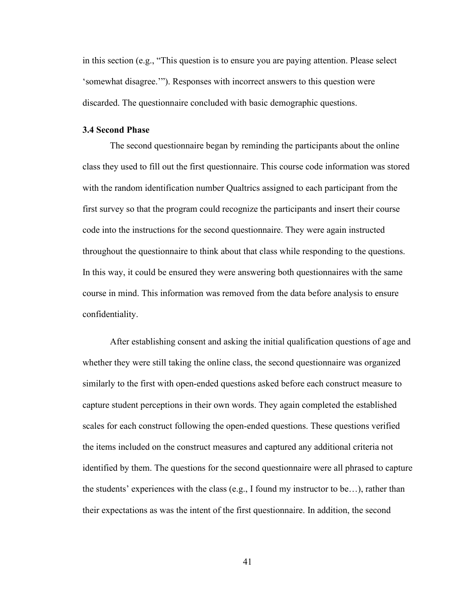in this section (e.g., "This question is to ensure you are paying attention. Please select 'somewhat disagree.'"). Responses with incorrect answers to this question were discarded. The questionnaire concluded with basic demographic questions.

### **3.4 Second Phase**

The second questionnaire began by reminding the participants about the online class they used to fill out the first questionnaire. This course code information was stored with the random identification number Qualtrics assigned to each participant from the first survey so that the program could recognize the participants and insert their course code into the instructions for the second questionnaire. They were again instructed throughout the questionnaire to think about that class while responding to the questions. In this way, it could be ensured they were answering both questionnaires with the same course in mind. This information was removed from the data before analysis to ensure confidentiality.

After establishing consent and asking the initial qualification questions of age and whether they were still taking the online class, the second questionnaire was organized similarly to the first with open-ended questions asked before each construct measure to capture student perceptions in their own words. They again completed the established scales for each construct following the open-ended questions. These questions verified the items included on the construct measures and captured any additional criteria not identified by them. The questions for the second questionnaire were all phrased to capture the students' experiences with the class (e.g., I found my instructor to be…), rather than their expectations as was the intent of the first questionnaire. In addition, the second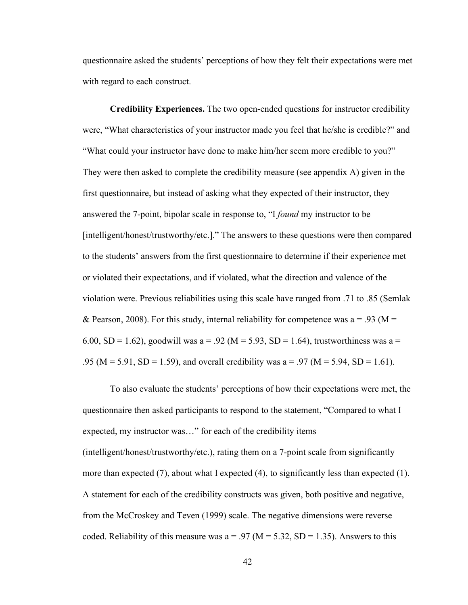questionnaire asked the students' perceptions of how they felt their expectations were met with regard to each construct.

**Credibility Experiences.** The two open-ended questions for instructor credibility were, "What characteristics of your instructor made you feel that he/she is credible?" and "What could your instructor have done to make him/her seem more credible to you?" They were then asked to complete the credibility measure (see appendix A) given in the first questionnaire, but instead of asking what they expected of their instructor, they answered the 7-point, bipolar scale in response to, "I *found* my instructor to be [intelligent/honest/trustworthy/etc.]." The answers to these questions were then compared to the students' answers from the first questionnaire to determine if their experience met or violated their expectations, and if violated, what the direction and valence of the violation were. Previous reliabilities using this scale have ranged from .71 to .85 (Semlak & Pearson, 2008). For this study, internal reliability for competence was  $a = .93$  (M = 6.00, SD = 1.62), goodwill was a = .92 ( $M = 5.93$ , SD = 1.64), trustworthiness was a = .95 (M = 5.91, SD = 1.59), and overall credibility was a = .97 (M = 5.94, SD = 1.61).

To also evaluate the students' perceptions of how their expectations were met, the questionnaire then asked participants to respond to the statement, "Compared to what I expected, my instructor was…" for each of the credibility items (intelligent/honest/trustworthy/etc.), rating them on a 7-point scale from significantly more than expected  $(7)$ , about what I expected  $(4)$ , to significantly less than expected  $(1)$ . A statement for each of the credibility constructs was given, both positive and negative, from the McCroskey and Teven (1999) scale. The negative dimensions were reverse coded. Reliability of this measure was  $a = .97$  (M = 5.32, SD = 1.35). Answers to this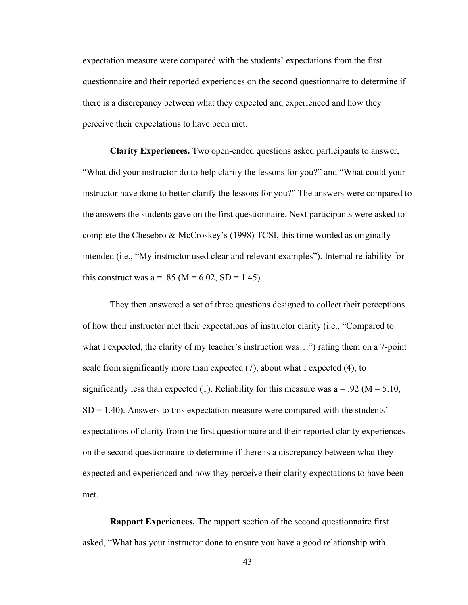expectation measure were compared with the students' expectations from the first questionnaire and their reported experiences on the second questionnaire to determine if there is a discrepancy between what they expected and experienced and how they perceive their expectations to have been met.

**Clarity Experiences.** Two open-ended questions asked participants to answer, "What did your instructor do to help clarify the lessons for you?" and "What could your instructor have done to better clarify the lessons for you?" The answers were compared to the answers the students gave on the first questionnaire. Next participants were asked to complete the Chesebro & McCroskey's (1998) TCSI, this time worded as originally intended (i.e., "My instructor used clear and relevant examples"). Internal reliability for this construct was  $a = .85$  (M = 6.02, SD = 1.45).

They then answered a set of three questions designed to collect their perceptions of how their instructor met their expectations of instructor clarity (i.e., "Compared to what I expected, the clarity of my teacher's instruction was...") rating them on a 7-point scale from significantly more than expected (7), about what I expected (4), to significantly less than expected (1). Reliability for this measure was  $a = .92$  (M = 5.10,  $SD = 1.40$ ). Answers to this expectation measure were compared with the students' expectations of clarity from the first questionnaire and their reported clarity experiences on the second questionnaire to determine if there is a discrepancy between what they expected and experienced and how they perceive their clarity expectations to have been met.

**Rapport Experiences.** The rapport section of the second questionnaire first asked, "What has your instructor done to ensure you have a good relationship with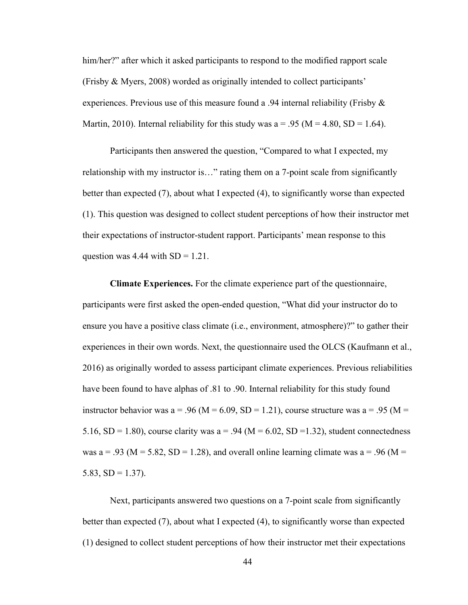him/her?" after which it asked participants to respond to the modified rapport scale (Frisby & Myers, 2008) worded as originally intended to collect participants' experiences. Previous use of this measure found a .94 internal reliability (Frisby & Martin, 2010). Internal reliability for this study was  $a = .95$  (M = 4.80, SD = 1.64).

Participants then answered the question, "Compared to what I expected, my relationship with my instructor is…" rating them on a 7-point scale from significantly better than expected (7), about what I expected (4), to significantly worse than expected (1). This question was designed to collect student perceptions of how their instructor met their expectations of instructor-student rapport. Participants' mean response to this question was 4.44 with  $SD = 1.21$ .

**Climate Experiences.** For the climate experience part of the questionnaire, participants were first asked the open-ended question, "What did your instructor do to ensure you have a positive class climate (i.e., environment, atmosphere)?" to gather their experiences in their own words. Next, the questionnaire used the OLCS (Kaufmann et al., 2016) as originally worded to assess participant climate experiences. Previous reliabilities have been found to have alphas of .81 to .90. Internal reliability for this study found instructor behavior was  $a = .96$  (M = 6.09, SD = 1.21), course structure was  $a = .95$  (M = 5.16, SD = 1.80), course clarity was  $a = .94$  (M = 6.02, SD = 1.32), student connectedness was  $a = .93$  (M = 5.82, SD = 1.28), and overall online learning climate was  $a = .96$  (M = 5.83,  $SD = 1.37$ ).

Next, participants answered two questions on a 7-point scale from significantly better than expected (7), about what I expected (4), to significantly worse than expected (1) designed to collect student perceptions of how their instructor met their expectations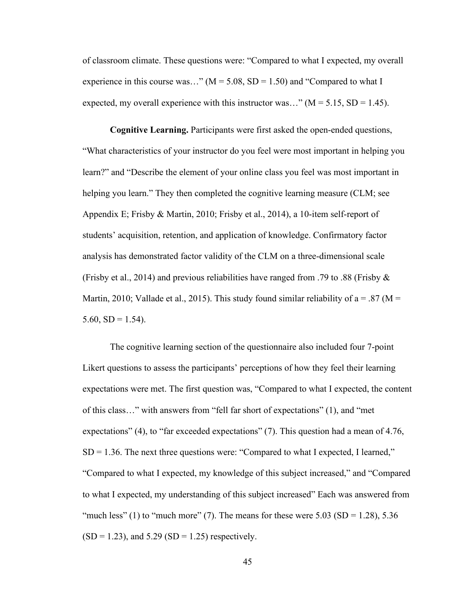of classroom climate. These questions were: "Compared to what I expected, my overall experience in this course was..."  $(M = 5.08, SD = 1.50)$  and "Compared to what I expected, my overall experience with this instructor was..." ( $M = 5.15$ , SD = 1.45).

**Cognitive Learning.** Participants were first asked the open-ended questions, "What characteristics of your instructor do you feel were most important in helping you learn?" and "Describe the element of your online class you feel was most important in helping you learn." They then completed the cognitive learning measure (CLM; see Appendix E; Frisby & Martin, 2010; Frisby et al., 2014), a 10-item self-report of students' acquisition, retention, and application of knowledge. Confirmatory factor analysis has demonstrated factor validity of the CLM on a three-dimensional scale (Frisby et al., 2014) and previous reliabilities have ranged from .79 to .88 (Frisby & Martin, 2010; Vallade et al., 2015). This study found similar reliability of  $a = .87$  (M =  $5.60, SD = 1.54$ ).

The cognitive learning section of the questionnaire also included four 7-point Likert questions to assess the participants' perceptions of how they feel their learning expectations were met. The first question was, "Compared to what I expected, the content of this class…" with answers from "fell far short of expectations" (1), and "met expectations" (4), to "far exceeded expectations" (7). This question had a mean of 4.76,  $SD = 1.36$ . The next three questions were: "Compared to what I expected, I learned," "Compared to what I expected, my knowledge of this subject increased," and "Compared to what I expected, my understanding of this subject increased" Each was answered from "much less" (1) to "much more" (7). The means for these were  $5.03$  (SD = 1.28),  $5.36$  $(SD = 1.23)$ , and 5.29  $(SD = 1.25)$  respectively.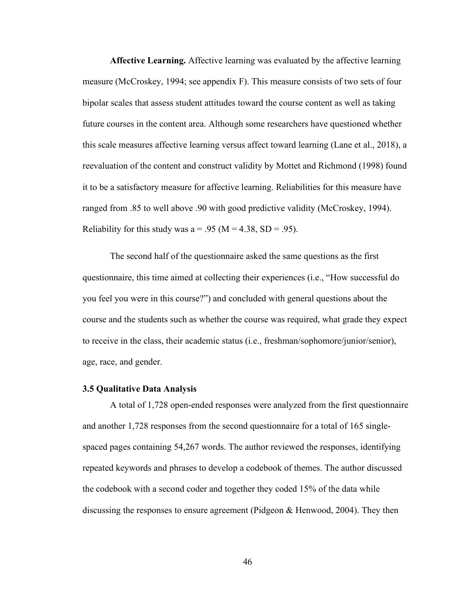**Affective Learning.** Affective learning was evaluated by the affective learning measure (McCroskey, 1994; see appendix F). This measure consists of two sets of four bipolar scales that assess student attitudes toward the course content as well as taking future courses in the content area. Although some researchers have questioned whether this scale measures affective learning versus affect toward learning (Lane et al., 2018), a reevaluation of the content and construct validity by Mottet and Richmond (1998) found it to be a satisfactory measure for affective learning. Reliabilities for this measure have ranged from .85 to well above .90 with good predictive validity (McCroskey, 1994). Reliability for this study was  $a = .95$  (M = 4.38, SD = .95).

The second half of the questionnaire asked the same questions as the first questionnaire, this time aimed at collecting their experiences (i.e., "How successful do you feel you were in this course?") and concluded with general questions about the course and the students such as whether the course was required, what grade they expect to receive in the class, their academic status (i.e., freshman/sophomore/junior/senior), age, race, and gender.

#### **3.5 Qualitative Data Analysis**

A total of 1,728 open-ended responses were analyzed from the first questionnaire and another 1,728 responses from the second questionnaire for a total of 165 singlespaced pages containing 54,267 words. The author reviewed the responses, identifying repeated keywords and phrases to develop a codebook of themes. The author discussed the codebook with a second coder and together they coded 15% of the data while discussing the responses to ensure agreement (Pidgeon & Henwood, 2004). They then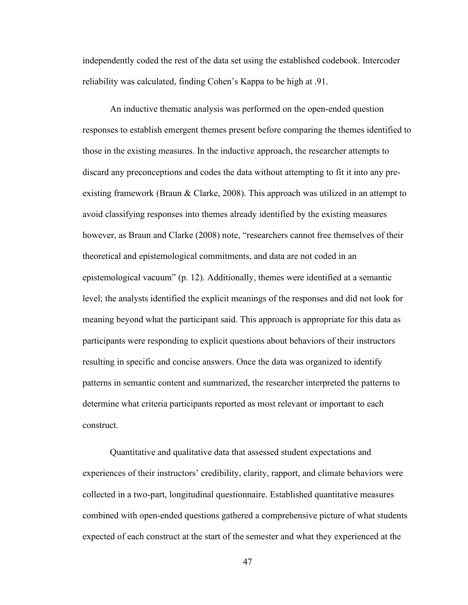independently coded the rest of the data set using the established codebook. Intercoder reliability was calculated, finding Cohen's Kappa to be high at .91.

An inductive thematic analysis was performed on the open-ended question responses to establish emergent themes present before comparing the themes identified to those in the existing measures. In the inductive approach, the researcher attempts to discard any preconceptions and codes the data without attempting to fit it into any preexisting framework (Braun & Clarke, 2008). This approach was utilized in an attempt to avoid classifying responses into themes already identified by the existing measures however, as Braun and Clarke (2008) note, "researchers cannot free themselves of their theoretical and epistemological commitments, and data are not coded in an epistemological vacuum" (p. 12). Additionally, themes were identified at a semantic level; the analysts identified the explicit meanings of the responses and did not look for meaning beyond what the participant said. This approach is appropriate for this data as participants were responding to explicit questions about behaviors of their instructors resulting in specific and concise answers. Once the data was organized to identify patterns in semantic content and summarized, the researcher interpreted the patterns to determine what criteria participants reported as most relevant or important to each construct.

Quantitative and qualitative data that assessed student expectations and experiences of their instructors' credibility, clarity, rapport, and climate behaviors were collected in a two-part, longitudinal questionnaire. Established quantitative measures combined with open-ended questions gathered a comprehensive picture of what students expected of each construct at the start of the semester and what they experienced at the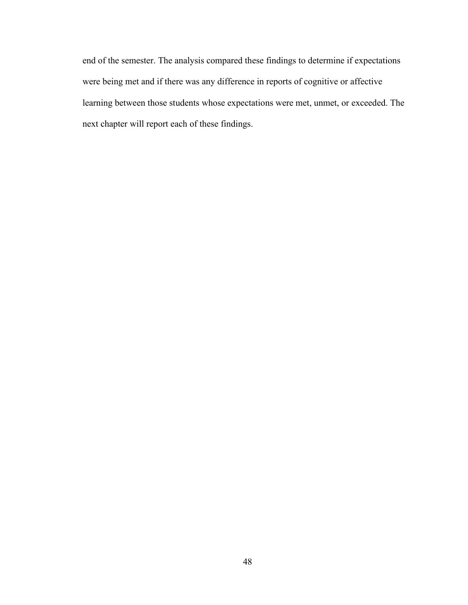end of the semester. The analysis compared these findings to determine if expectations were being met and if there was any difference in reports of cognitive or affective learning between those students whose expectations were met, unmet, or exceeded. The next chapter will report each of these findings.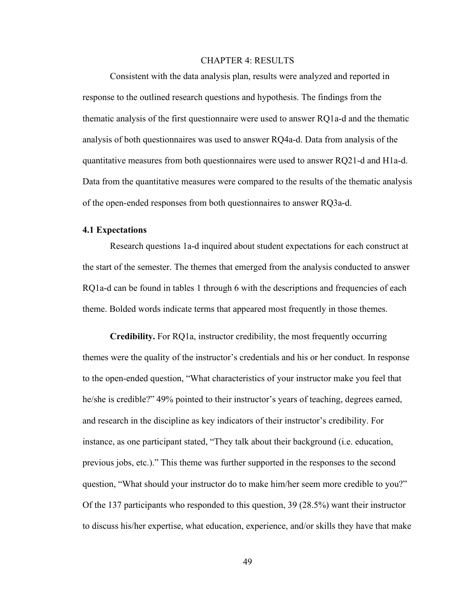### CHAPTER 4: RESULTS

Consistent with the data analysis plan, results were analyzed and reported in response to the outlined research questions and hypothesis. The findings from the thematic analysis of the first questionnaire were used to answer RQ1a-d and the thematic analysis of both questionnaires was used to answer RQ4a-d. Data from analysis of the quantitative measures from both questionnaires were used to answer RQ21-d and H1a-d. Data from the quantitative measures were compared to the results of the thematic analysis of the open-ended responses from both questionnaires to answer RQ3a-d.

#### **4.1 Expectations**

Research questions 1a-d inquired about student expectations for each construct at the start of the semester. The themes that emerged from the analysis conducted to answer RQ1a-d can be found in tables 1 through 6 with the descriptions and frequencies of each theme. Bolded words indicate terms that appeared most frequently in those themes.

**Credibility.** For RQ1a, instructor credibility, the most frequently occurring themes were the quality of the instructor's credentials and his or her conduct. In response to the open-ended question, "What characteristics of your instructor make you feel that he/she is credible?" 49% pointed to their instructor's years of teaching, degrees earned, and research in the discipline as key indicators of their instructor's credibility. For instance, as one participant stated, "They talk about their background (i.e. education, previous jobs, etc.)." This theme was further supported in the responses to the second question, "What should your instructor do to make him/her seem more credible to you?" Of the 137 participants who responded to this question, 39 (28.5%) want their instructor to discuss his/her expertise, what education, experience, and/or skills they have that make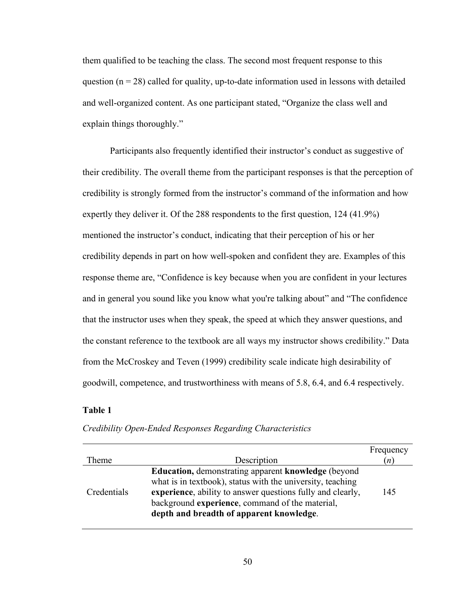them qualified to be teaching the class. The second most frequent response to this question  $(n = 28)$  called for quality, up-to-date information used in lessons with detailed and well-organized content. As one participant stated, "Organize the class well and explain things thoroughly."

Participants also frequently identified their instructor's conduct as suggestive of their credibility. The overall theme from the participant responses is that the perception of credibility is strongly formed from the instructor's command of the information and how expertly they deliver it. Of the 288 respondents to the first question, 124 (41.9%) mentioned the instructor's conduct, indicating that their perception of his or her credibility depends in part on how well-spoken and confident they are. Examples of this response theme are, "Confidence is key because when you are confident in your lectures and in general you sound like you know what you're talking about" and "The confidence that the instructor uses when they speak, the speed at which they answer questions, and the constant reference to the textbook are all ways my instructor shows credibility." Data from the McCroskey and Teven (1999) credibility scale indicate high desirability of goodwill, competence, and trustworthiness with means of 5.8, 6.4, and 6.4 respectively.

### **Table 1**

|             |                                                                                                                                                                                                                                                                                        | Frequency |
|-------------|----------------------------------------------------------------------------------------------------------------------------------------------------------------------------------------------------------------------------------------------------------------------------------------|-----------|
| Theme       | Description                                                                                                                                                                                                                                                                            | n)        |
| Credentials | <b>Education, demonstrating apparent knowledge (beyond)</b><br>what is in textbook), status with the university, teaching<br>experience, ability to answer questions fully and clearly,<br>background experience, command of the material,<br>depth and breadth of apparent knowledge. | 145       |

*Credibility Open-Ended Responses Regarding Characteristics*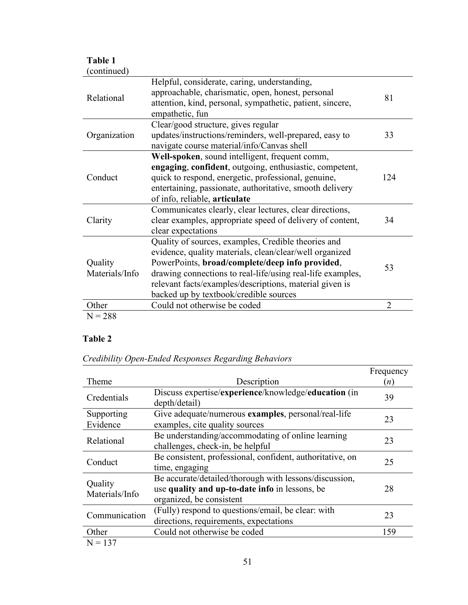| Table 1<br>(continued)    |                                                                                                                                                                                                                                                                                                                                      |                |
|---------------------------|--------------------------------------------------------------------------------------------------------------------------------------------------------------------------------------------------------------------------------------------------------------------------------------------------------------------------------------|----------------|
| Relational                | Helpful, considerate, caring, understanding,<br>approachable, charismatic, open, honest, personal<br>attention, kind, personal, sympathetic, patient, sincere,<br>empathetic, fun                                                                                                                                                    | 81             |
| Organization              | Clear/good structure, gives regular<br>updates/instructions/reminders, well-prepared, easy to<br>navigate course material/info/Canvas shell                                                                                                                                                                                          | 33             |
| Conduct                   | Well-spoken, sound intelligent, frequent comm,<br>engaging, confident, outgoing, enthusiastic, competent,<br>quick to respond, energetic, professional, genuine,<br>entertaining, passionate, authoritative, smooth delivery<br>of info, reliable, articulate                                                                        | 124            |
| Clarity                   | Communicates clearly, clear lectures, clear directions,<br>clear examples, appropriate speed of delivery of content,<br>clear expectations                                                                                                                                                                                           | 34             |
| Quality<br>Materials/Info | Quality of sources, examples, Credible theories and<br>evidence, quality materials, clean/clear/well organized<br>PowerPoints, broad/complete/deep info provided,<br>drawing connections to real-life/using real-life examples,<br>relevant facts/examples/descriptions, material given is<br>backed up by textbook/credible sources | 53             |
| Other                     | Could not otherwise be coded                                                                                                                                                                                                                                                                                                         | $\overline{2}$ |
| $N = 288$                 |                                                                                                                                                                                                                                                                                                                                      |                |

## **Table 2**

|                           |                                                                                                                                      | Frequency |
|---------------------------|--------------------------------------------------------------------------------------------------------------------------------------|-----------|
| Theme                     | Description                                                                                                                          | (n)       |
| Credentials               | Discuss expertise/experience/knowledge/education (in<br>depth/detail)                                                                | 39        |
| Supporting<br>Evidence    | Give adequate/numerous examples, personal/real-life<br>examples, cite quality sources                                                | 23        |
| Relational                | Be understanding/accommodating of online learning<br>challenges, check-in, be helpful                                                | 23        |
| Conduct                   | Be consistent, professional, confident, authoritative, on<br>time, engaging                                                          | 25        |
| Quality<br>Materials/Info | Be accurate/detailed/thorough with lessons/discussion,<br>use quality and up-to-date info in lessons, be<br>organized, be consistent | 28        |
| Communication             | (Fully) respond to questions/email, be clear: with<br>directions, requirements, expectations                                         | 23        |
| Other                     | Could not otherwise be coded                                                                                                         | 159       |
| $N = 137$                 |                                                                                                                                      |           |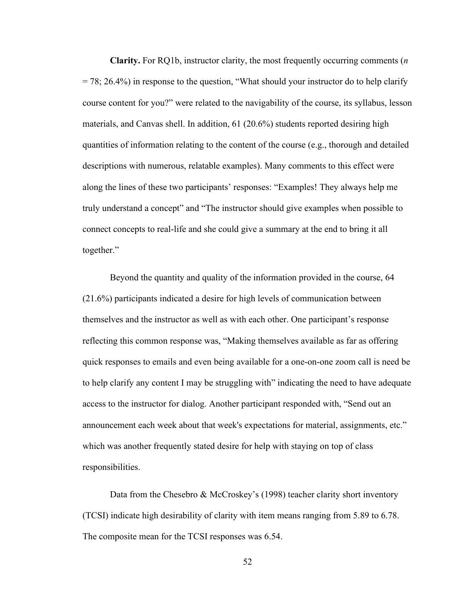**Clarity.** For RQ1b, instructor clarity, the most frequently occurring comments (*n*  $= 78$ ; 26.4%) in response to the question, "What should your instructor do to help clarify course content for you?" were related to the navigability of the course, its syllabus, lesson materials, and Canvas shell. In addition, 61 (20.6%) students reported desiring high quantities of information relating to the content of the course (e.g., thorough and detailed descriptions with numerous, relatable examples). Many comments to this effect were along the lines of these two participants' responses: "Examples! They always help me truly understand a concept" and "The instructor should give examples when possible to connect concepts to real-life and she could give a summary at the end to bring it all together."

Beyond the quantity and quality of the information provided in the course, 64 (21.6%) participants indicated a desire for high levels of communication between themselves and the instructor as well as with each other. One participant's response reflecting this common response was, "Making themselves available as far as offering quick responses to emails and even being available for a one-on-one zoom call is need be to help clarify any content I may be struggling with" indicating the need to have adequate access to the instructor for dialog. Another participant responded with, "Send out an announcement each week about that week's expectations for material, assignments, etc." which was another frequently stated desire for help with staying on top of class responsibilities.

Data from the Chesebro & McCroskey's (1998) teacher clarity short inventory (TCSI) indicate high desirability of clarity with item means ranging from 5.89 to 6.78. The composite mean for the TCSI responses was 6.54.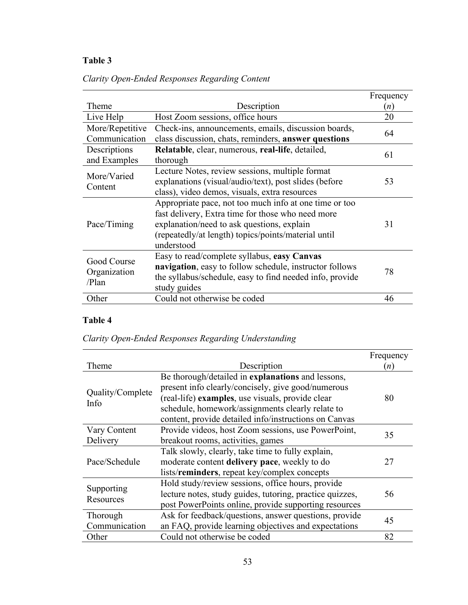### **Table 3**

|                                      |                                                                                                                                                                                                                                | Frequency |
|--------------------------------------|--------------------------------------------------------------------------------------------------------------------------------------------------------------------------------------------------------------------------------|-----------|
| Theme                                | Description                                                                                                                                                                                                                    | (n)       |
| Live Help                            | Host Zoom sessions, office hours                                                                                                                                                                                               | 20        |
| More/Repetitive<br>Communication     | Check-ins, announcements, emails, discussion boards,<br>class discussion, chats, reminders, answer questions                                                                                                                   | 64        |
| Descriptions<br>and Examples         | Relatable, clear, numerous, real-life, detailed,<br>thorough                                                                                                                                                                   | 61        |
| More/Varied<br>Content               | Lecture Notes, review sessions, multiple format<br>explanations (visual/audio/text), post slides (before<br>class), video demos, visuals, extra resources                                                                      | 53        |
| Pace/Timing                          | Appropriate pace, not too much info at one time or too<br>fast delivery, Extra time for those who need more<br>explanation/need to ask questions, explain<br>(repeatedly/at length) topics/points/material until<br>understood | 31        |
| Good Course<br>Organization<br>/Plan | Easy to read/complete syllabus, easy Canvas<br>navigation, easy to follow schedule, instructor follows<br>the syllabus/schedule, easy to find needed info, provide<br>study guides                                             | 78        |
| Other                                | Could not otherwise be coded                                                                                                                                                                                                   | 46        |

## *Clarity Open-Ended Responses Regarding Content*

### **Table 4**

|  |  | Clarity Open-Ended Responses Regarding Understanding |
|--|--|------------------------------------------------------|
|  |  |                                                      |

|                          |                                                          | Frequency |
|--------------------------|----------------------------------------------------------|-----------|
| Theme                    | Description                                              | (n)       |
|                          | Be thorough/detailed in explanations and lessons,        |           |
|                          | present info clearly/concisely, give good/numerous       |           |
| Quality/Complete<br>Info | (real-life) examples, use visuals, provide clear         | 80        |
|                          | schedule, homework/assignments clearly relate to         |           |
|                          | content, provide detailed info/instructions on Canvas    |           |
| Vary Content             | Provide videos, host Zoom sessions, use PowerPoint,      |           |
| Delivery                 | breakout rooms, activities, games                        | 35        |
|                          | Talk slowly, clearly, take time to fully explain,        |           |
| Pace/Schedule            | moderate content delivery pace, weekly to do             | 27        |
|                          | lists/reminders, repeat key/complex concepts             |           |
|                          | Hold study/review sessions, office hours, provide        |           |
| Supporting<br>Resources  | lecture notes, study guides, tutoring, practice quizzes, | 56        |
|                          | post PowerPoints online, provide supporting resources    |           |
| Thorough                 | Ask for feedback/questions, answer questions, provide    | 45        |
| Communication            | an FAQ, provide learning objectives and expectations     |           |
| Other                    | Could not otherwise be coded                             | 82        |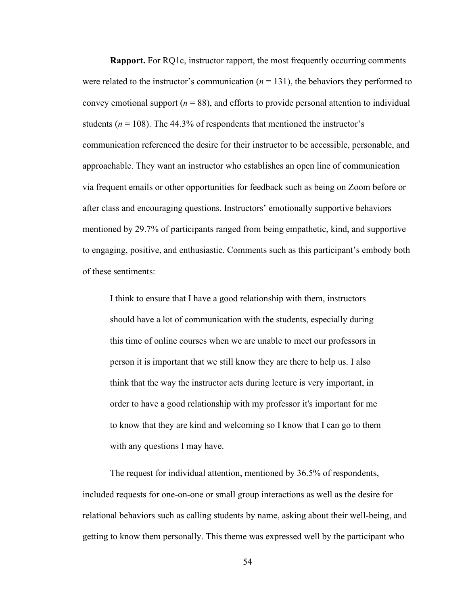**Rapport.** For RQ1c, instructor rapport, the most frequently occurring comments were related to the instructor's communication  $(n = 131)$ , the behaviors they performed to convey emotional support  $(n = 88)$ , and efforts to provide personal attention to individual students ( $n = 108$ ). The 44.3% of respondents that mentioned the instructor's communication referenced the desire for their instructor to be accessible, personable, and approachable. They want an instructor who establishes an open line of communication via frequent emails or other opportunities for feedback such as being on Zoom before or after class and encouraging questions. Instructors' emotionally supportive behaviors mentioned by 29.7% of participants ranged from being empathetic, kind, and supportive to engaging, positive, and enthusiastic. Comments such as this participant's embody both of these sentiments:

I think to ensure that I have a good relationship with them, instructors should have a lot of communication with the students, especially during this time of online courses when we are unable to meet our professors in person it is important that we still know they are there to help us. I also think that the way the instructor acts during lecture is very important, in order to have a good relationship with my professor it's important for me to know that they are kind and welcoming so I know that I can go to them with any questions I may have.

The request for individual attention, mentioned by 36.5% of respondents, included requests for one-on-one or small group interactions as well as the desire for relational behaviors such as calling students by name, asking about their well-being, and getting to know them personally. This theme was expressed well by the participant who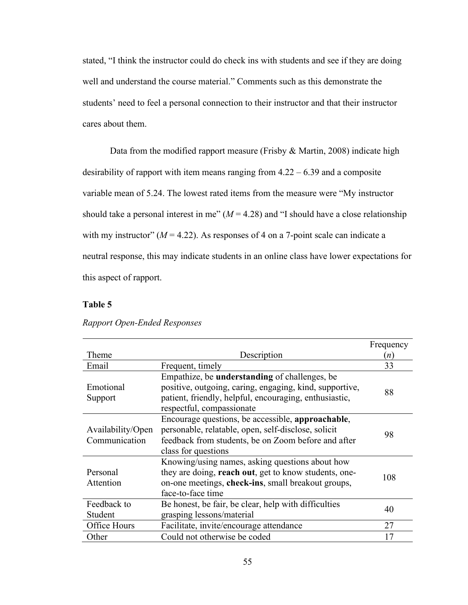stated, "I think the instructor could do check ins with students and see if they are doing well and understand the course material." Comments such as this demonstrate the students' need to feel a personal connection to their instructor and that their instructor cares about them.

Data from the modified rapport measure (Frisby & Martin, 2008) indicate high desirability of rapport with item means ranging from 4.22 – 6.39 and a composite variable mean of 5.24. The lowest rated items from the measure were "My instructor should take a personal interest in me"  $(M = 4.28)$  and "I should have a close relationship with my instructor"  $(M = 4.22)$ . As responses of 4 on a 7-point scale can indicate a neutral response, this may indicate students in an online class have lower expectations for this aspect of rapport.

### **Table 5**

|                                    |                                                                                                                                                                                                        | Frequency |
|------------------------------------|--------------------------------------------------------------------------------------------------------------------------------------------------------------------------------------------------------|-----------|
| Theme                              | Description                                                                                                                                                                                            | (n)       |
| Email                              | Frequent, timely                                                                                                                                                                                       | 33        |
| Emotional<br>Support               | Empathize, be <b>understanding</b> of challenges, be<br>positive, outgoing, caring, engaging, kind, supportive,<br>patient, friendly, helpful, encouraging, enthusiastic,<br>respectful, compassionate | 88        |
| Availability/Open<br>Communication | Encourage questions, be accessible, approachable,<br>personable, relatable, open, self-disclose, solicit<br>feedback from students, be on Zoom before and after<br>class for questions                 | 98        |
| Personal<br>Attention              | Knowing/using names, asking questions about how<br>they are doing, reach out, get to know students, one-<br>on-one meetings, check-ins, small breakout groups,<br>face-to-face time                    | 108       |
| Feedback to<br>Student             | Be honest, be fair, be clear, help with difficulties<br>grasping lessons/material                                                                                                                      | 40        |
| Office Hours                       | Facilitate, invite/encourage attendance                                                                                                                                                                | 27        |
| Other                              | Could not otherwise be coded                                                                                                                                                                           | 17        |

### *Rapport Open-Ended Responses*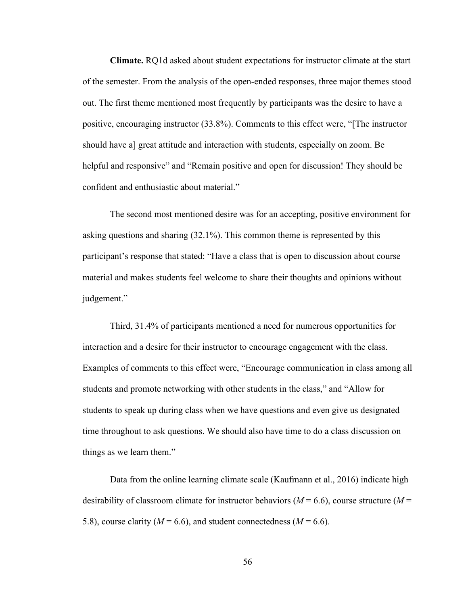**Climate.** RQ1d asked about student expectations for instructor climate at the start of the semester. From the analysis of the open-ended responses, three major themes stood out. The first theme mentioned most frequently by participants was the desire to have a positive, encouraging instructor (33.8%). Comments to this effect were, "[The instructor should have a] great attitude and interaction with students, especially on zoom. Be helpful and responsive" and "Remain positive and open for discussion! They should be confident and enthusiastic about material."

The second most mentioned desire was for an accepting, positive environment for asking questions and sharing (32.1%). This common theme is represented by this participant's response that stated: "Have a class that is open to discussion about course material and makes students feel welcome to share their thoughts and opinions without judgement."

Third, 31.4% of participants mentioned a need for numerous opportunities for interaction and a desire for their instructor to encourage engagement with the class. Examples of comments to this effect were, "Encourage communication in class among all students and promote networking with other students in the class," and "Allow for students to speak up during class when we have questions and even give us designated time throughout to ask questions. We should also have time to do a class discussion on things as we learn them."

Data from the online learning climate scale (Kaufmann et al., 2016) indicate high desirability of classroom climate for instructor behaviors (*M* = 6.6), course structure (*M* = 5.8), course clarity ( $M = 6.6$ ), and student connectedness ( $M = 6.6$ ).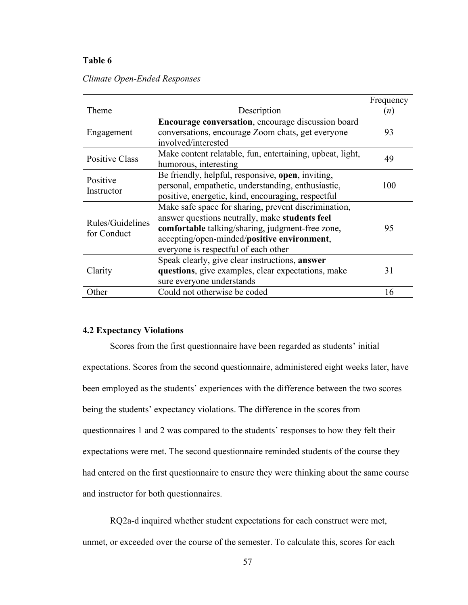### **Table 6**

| Climate Open-Ended Responses |  |
|------------------------------|--|
|                              |  |

|                       |                                                           | Frequency |  |  |
|-----------------------|-----------------------------------------------------------|-----------|--|--|
| Theme                 | Description                                               | (n)       |  |  |
|                       | Encourage conversation, encourage discussion board        |           |  |  |
| Engagement            | conversations, encourage Zoom chats, get everyone         | 93        |  |  |
|                       | involved/interested                                       |           |  |  |
| <b>Positive Class</b> | Make content relatable, fun, entertaining, upbeat, light, | 49        |  |  |
|                       | humorous, interesting                                     |           |  |  |
| Positive              | Be friendly, helpful, responsive, open, inviting,         |           |  |  |
| Instructor            | personal, empathetic, understanding, enthusiastic,        | 100       |  |  |
|                       | positive, energetic, kind, encouraging, respectful        |           |  |  |
|                       | Make safe space for sharing, prevent discrimination,      |           |  |  |
| Rules/Guidelines      | answer questions neutrally, make students feel            |           |  |  |
| for Conduct           | comfortable talking/sharing, judgment-free zone,          | 95        |  |  |
|                       | accepting/open-minded/positive environment,               |           |  |  |
|                       | everyone is respectful of each other                      |           |  |  |
|                       | Speak clearly, give clear instructions, answer            |           |  |  |
| Clarity               | questions, give examples, clear expectations, make        | 31        |  |  |
|                       | sure everyone understands                                 |           |  |  |
| Other                 | Could not otherwise be coded                              | 16        |  |  |

#### **4.2 Expectancy Violations**

Scores from the first questionnaire have been regarded as students' initial expectations. Scores from the second questionnaire, administered eight weeks later, have been employed as the students' experiences with the difference between the two scores being the students' expectancy violations. The difference in the scores from questionnaires 1 and 2 was compared to the students' responses to how they felt their expectations were met. The second questionnaire reminded students of the course they had entered on the first questionnaire to ensure they were thinking about the same course and instructor for both questionnaires.

RQ2a-d inquired whether student expectations for each construct were met, unmet, or exceeded over the course of the semester. To calculate this, scores for each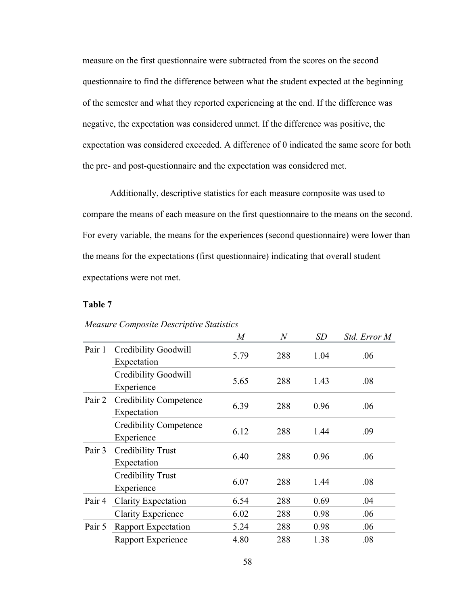measure on the first questionnaire were subtracted from the scores on the second questionnaire to find the difference between what the student expected at the beginning of the semester and what they reported experiencing at the end. If the difference was negative, the expectation was considered unmet. If the difference was positive, the expectation was considered exceeded. A difference of 0 indicated the same score for both the pre- and post-questionnaire and the expectation was considered met.

Additionally, descriptive statistics for each measure composite was used to compare the means of each measure on the first questionnaire to the means on the second. For every variable, the means for the experiences (second questionnaire) were lower than the means for the expectations (first questionnaire) indicating that overall student expectations were not met.

### **Table 7**

|        |                                              | $\it{M}$ | $\,N$ | SD   | Std. Error M |
|--------|----------------------------------------------|----------|-------|------|--------------|
| Pair 1 | Credibility Goodwill<br>Expectation          | 5.79     | 288   | 1.04 | .06          |
|        | Credibility Goodwill<br>Experience           | 5.65     | 288   | 1.43 | .08          |
| Pair 2 | <b>Credibility Competence</b><br>Expectation | 6.39     | 288   | 0.96 | .06          |
|        | <b>Credibility Competence</b><br>Experience  | 6.12     | 288   | 1.44 | .09          |
| Pair 3 | Credibility Trust<br>Expectation             | 6.40     | 288   | 0.96 | .06          |
|        | Credibility Trust<br>Experience              | 6.07     | 288   | 1.44 | .08          |
| Pair 4 | <b>Clarity Expectation</b>                   | 6.54     | 288   | 0.69 | .04          |
|        | <b>Clarity Experience</b>                    | 6.02     | 288   | 0.98 | .06          |
| Pair 5 | <b>Rapport Expectation</b>                   | 5.24     | 288   | 0.98 | .06          |
|        | Rapport Experience                           | 4.80     | 288   | 1.38 | .08          |

# *Measure Composite Descriptive Statistics*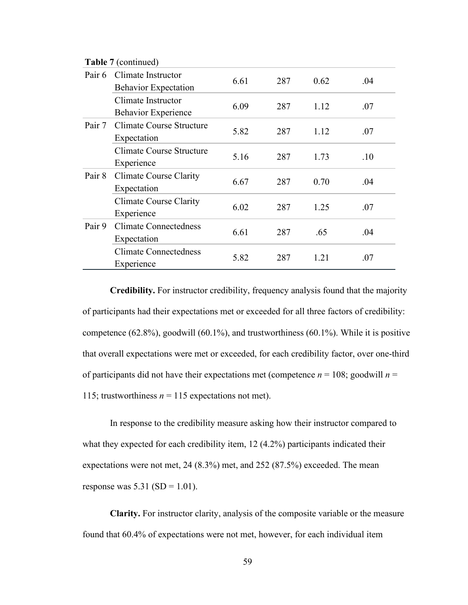**Table 7** (continued)

| Pair 6 | Climate Instructor<br><b>Behavior Expectation</b> | 6.61 | 287 | 0.62 | .04 |
|--------|---------------------------------------------------|------|-----|------|-----|
|        | Climate Instructor<br><b>Behavior Experience</b>  | 6.09 | 287 | 1.12 | .07 |
| Pair 7 | Climate Course Structure<br>Expectation           | 5.82 | 287 | 1.12 | .07 |
|        | Climate Course Structure<br>Experience            | 5.16 | 287 | 1.73 | .10 |
| Pair 8 | <b>Climate Course Clarity</b><br>Expectation      | 6.67 | 287 | 0.70 | .04 |
|        | <b>Climate Course Clarity</b><br>Experience       | 6.02 | 287 | 1.25 | .07 |
| Pair 9 | <b>Climate Connectedness</b><br>Expectation       | 6.61 | 287 | .65  | .04 |
|        | <b>Climate Connectedness</b><br>Experience        | 5.82 | 287 | 1.21 | .07 |

**Credibility.** For instructor credibility, frequency analysis found that the majority of participants had their expectations met or exceeded for all three factors of credibility: competence  $(62.8\%)$ , goodwill  $(60.1\%)$ , and trustworthiness  $(60.1\%)$ . While it is positive that overall expectations were met or exceeded, for each credibility factor, over one-third of participants did not have their expectations met (competence  $n = 108$ ; goodwill  $n =$ 115; trustworthiness  $n = 115$  expectations not met).

In response to the credibility measure asking how their instructor compared to what they expected for each credibility item, 12 (4.2%) participants indicated their expectations were not met, 24 (8.3%) met, and 252 (87.5%) exceeded. The mean response was  $5.31$  (SD = 1.01).

**Clarity.** For instructor clarity, analysis of the composite variable or the measure found that 60.4% of expectations were not met, however, for each individual item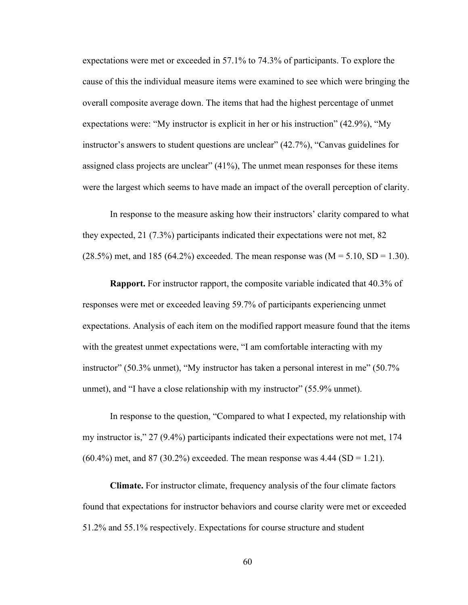expectations were met or exceeded in 57.1% to 74.3% of participants. To explore the cause of this the individual measure items were examined to see which were bringing the overall composite average down. The items that had the highest percentage of unmet expectations were: "My instructor is explicit in her or his instruction" (42.9%), "My instructor's answers to student questions are unclear" (42.7%), "Canvas guidelines for assigned class projects are unclear" (41%), The unmet mean responses for these items were the largest which seems to have made an impact of the overall perception of clarity.

In response to the measure asking how their instructors' clarity compared to what they expected, 21 (7.3%) participants indicated their expectations were not met, 82  $(28.5\%)$  met, and 185  $(64.2\%)$  exceeded. The mean response was  $(M = 5.10, SD = 1.30)$ .

**Rapport.** For instructor rapport, the composite variable indicated that 40.3% of responses were met or exceeded leaving 59.7% of participants experiencing unmet expectations. Analysis of each item on the modified rapport measure found that the items with the greatest unmet expectations were, "I am comfortable interacting with my instructor" (50.3% unmet), "My instructor has taken a personal interest in me" (50.7% unmet), and "I have a close relationship with my instructor" (55.9% unmet).

In response to the question, "Compared to what I expected, my relationship with my instructor is," 27 (9.4%) participants indicated their expectations were not met, 174  $(60.4\%)$  met, and 87 (30.2%) exceeded. The mean response was 4.44 (SD = 1.21).

**Climate.** For instructor climate, frequency analysis of the four climate factors found that expectations for instructor behaviors and course clarity were met or exceeded 51.2% and 55.1% respectively. Expectations for course structure and student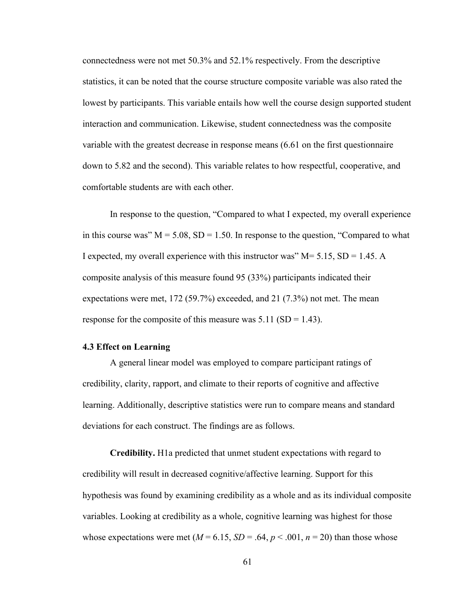connectedness were not met 50.3% and 52.1% respectively. From the descriptive statistics, it can be noted that the course structure composite variable was also rated the lowest by participants. This variable entails how well the course design supported student interaction and communication. Likewise, student connectedness was the composite variable with the greatest decrease in response means (6.61 on the first questionnaire down to 5.82 and the second). This variable relates to how respectful, cooperative, and comfortable students are with each other.

In response to the question, "Compared to what I expected, my overall experience in this course was"  $M = 5.08$ ,  $SD = 1.50$ . In response to the question, "Compared to what I expected, my overall experience with this instructor was"  $M = 5.15$ ,  $SD = 1.45$ . A composite analysis of this measure found 95 (33%) participants indicated their expectations were met, 172 (59.7%) exceeded, and 21 (7.3%) not met. The mean response for the composite of this measure was  $5.11$  (SD = 1.43).

### **4.3 Effect on Learning**

A general linear model was employed to compare participant ratings of credibility, clarity, rapport, and climate to their reports of cognitive and affective learning. Additionally, descriptive statistics were run to compare means and standard deviations for each construct. The findings are as follows.

**Credibility.** H1a predicted that unmet student expectations with regard to credibility will result in decreased cognitive/affective learning. Support for this hypothesis was found by examining credibility as a whole and as its individual composite variables. Looking at credibility as a whole, cognitive learning was highest for those whose expectations were met  $(M = 6.15, SD = .64, p < .001, n = 20)$  than those whose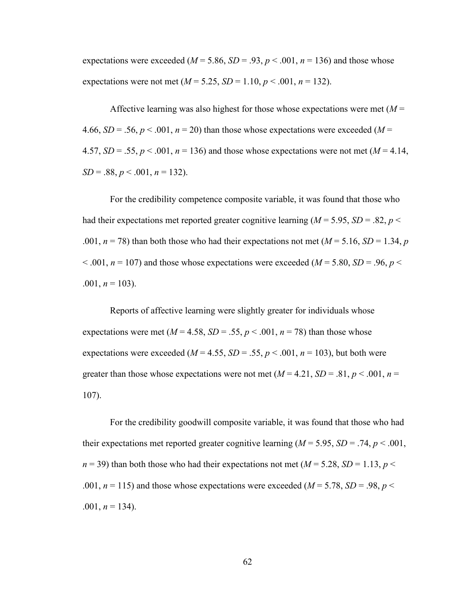expectations were exceeded ( $M = 5.86$ ,  $SD = .93$ ,  $p < .001$ ,  $n = 136$ ) and those whose expectations were not met  $(M = 5.25, SD = 1.10, p < .001, n = 132)$ .

Affective learning was also highest for those whose expectations were met (*M* = 4.66,  $SD = .56$ ,  $p < .001$ ,  $n = 20$ ) than those whose expectations were exceeded ( $M =$ 4.57, *SD* = .55, *p* < .001, *n* = 136) and those whose expectations were not met (*M* = 4.14, *SD* = .88, *p* < .001, *n* = 132).

For the credibility competence composite variable, it was found that those who had their expectations met reported greater cognitive learning ( $M = 5.95$ ,  $SD = .82$ ,  $p <$ .001,  $n = 78$ ) than both those who had their expectations not met ( $M = 5.16$ ,  $SD = 1.34$ , *p*  $<$  0.01, *n* = 107) and those whose expectations were exceeded (*M* = 5.80, *SD* = .96, *p*  $<$  $.001, n = 103$ ).

Reports of affective learning were slightly greater for individuals whose expectations were met ( $M = 4.58$ ,  $SD = .55$ ,  $p < .001$ ,  $n = 78$ ) than those whose expectations were exceeded ( $M = 4.55$ ,  $SD = .55$ ,  $p < .001$ ,  $n = 103$ ), but both were greater than those whose expectations were not met  $(M = 4.21, SD = .81, p < .001, n =$ 107).

For the credibility goodwill composite variable, it was found that those who had their expectations met reported greater cognitive learning  $(M = 5.95, SD = .74, p < .001,$  $n = 39$ ) than both those who had their expectations not met ( $M = 5.28$ ,  $SD = 1.13$ ,  $p <$ .001,  $n = 115$ ) and those whose expectations were exceeded ( $M = 5.78$ ,  $SD = .98$ ,  $p <$  $.001, n = 134$ .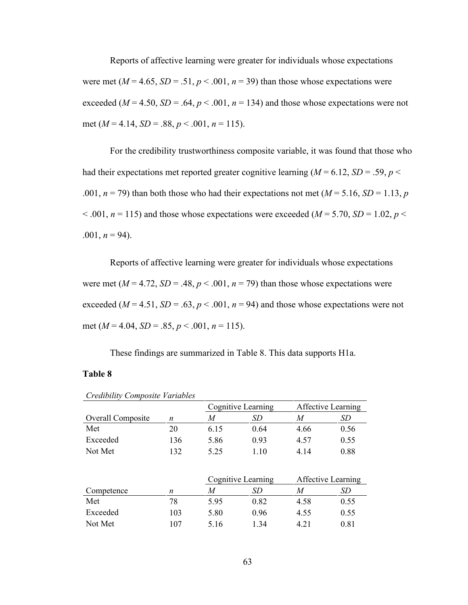Reports of affective learning were greater for individuals whose expectations were met ( $M = 4.65$ ,  $SD = .51$ ,  $p < .001$ ,  $n = 39$ ) than those whose expectations were exceeded ( $M = 4.50$ ,  $SD = .64$ ,  $p < .001$ ,  $n = 134$ ) and those whose expectations were not met (*M* = 4.14, *SD* = .88, *p* < .001, *n* = 115).

For the credibility trustworthiness composite variable, it was found that those who had their expectations met reported greater cognitive learning ( $M = 6.12$ ,  $SD = .59$ ,  $p <$ .001,  $n = 79$ ) than both those who had their expectations not met ( $M = 5.16$ ,  $SD = 1.13$ ,  $p$  $<$  0.01, *n* = 115) and those whose expectations were exceeded (*M* = 5.70, *SD* = 1.02, *p*  $<$  $.001, n = 94$ ).

Reports of affective learning were greater for individuals whose expectations were met  $(M = 4.72, SD = .48, p < .001, n = 79)$  than those whose expectations were exceeded ( $M = 4.51$ ,  $SD = .63$ ,  $p < .001$ ,  $n = 94$ ) and those whose expectations were not met (*M* = 4.04, *SD* = .85, *p* < .001, *n* = 115).

These findings are summarized in Table 8. This data supports H1a.

## **Table 8**

|                          |     | Cognitive Learning |          |      | Affective Learning |  |
|--------------------------|-----|--------------------|----------|------|--------------------|--|
| <b>Overall Composite</b> | n   | M                  | SD       | M    | SD.                |  |
| Met                      | 20  | 6.15               | 0.64     | 4.66 | 0.56               |  |
| Exceeded                 | 136 | 5.86               | 0.93     | 4.57 | 0.55               |  |
| Not Met                  | 137 | 5.25               | $\Box$ 0 | 4.14 | 0.88               |  |

|            |     | Cognitive Learning |      | <b>Affective Learning</b> |      |
|------------|-----|--------------------|------|---------------------------|------|
| Competence | n   | M                  | SD   |                           | SD   |
| Met        | 78  | 5.95               | 0.82 | 4.58                      | 0.55 |
| Exceeded   | 103 | 5.80               | 0.96 | 4.55                      | 0.55 |
| Not Met    | 107 | 5.16               | 1.34 | 4.21                      | 0.81 |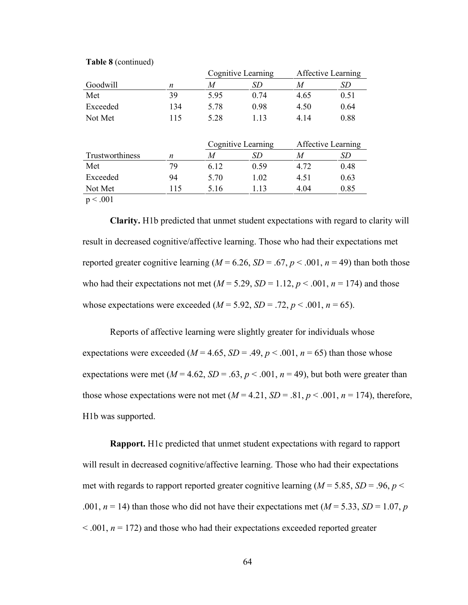|                 |     | Cognitive Learning |                    | Affective Learning |                    |
|-----------------|-----|--------------------|--------------------|--------------------|--------------------|
| Goodwill        | n   | M                  | SD                 | M                  | SD                 |
| Met             | 39  | 5.95               | 0.74               | 4.65               | 0.51               |
| Exceeded        | 134 | 5.78               | 0.98               | 4.50               | 0.64               |
| Not Met         | 115 | 5.28               | 1.13               | 4.14               | 0.88               |
|                 |     |                    |                    |                    |                    |
|                 |     |                    | Cognitive Learning |                    | Affective Learning |
| Trustworthiness | n   | M                  | SD                 | $\overline{M}$     | SD                 |
| Met             | 79  | 6.12               | 0.59               | 4.72               | 0.48               |
| Exceeded        | 94  | 5.70               | 1.02               | 4.51               | 0.63               |
| Not Met         | 115 | 5.16               | 1.13               | 4.04               | 0.85               |
| p < .001        |     |                    |                    |                    |                    |

#### **Table 8** (continued)

**Clarity.** H1b predicted that unmet student expectations with regard to clarity will result in decreased cognitive/affective learning. Those who had their expectations met reported greater cognitive learning  $(M = 6.26, SD = .67, p < .001, n = 49)$  than both those who had their expectations not met  $(M = 5.29, SD = 1.12, p < .001, n = 174)$  and those whose expectations were exceeded  $(M = 5.92, SD = .72, p < .001, n = 65)$ .

Reports of affective learning were slightly greater for individuals whose expectations were exceeded  $(M = 4.65, SD = .49, p < .001, n = 65)$  than those whose expectations were met  $(M = 4.62, SD = .63, p < .001, n = 49)$ , but both were greater than those whose expectations were not met  $(M = 4.21, SD = .81, p < .001, n = 174)$ , therefore, H1b was supported.

**Rapport.** H1c predicted that unmet student expectations with regard to rapport will result in decreased cognitive/affective learning. Those who had their expectations met with regards to rapport reported greater cognitive learning ( $M = 5.85$ ,  $SD = .96$ ,  $p <$ .001,  $n = 14$ ) than those who did not have their expectations met ( $M = 5.33$ ,  $SD = 1.07$ , *p*  $\leq$  0.001,  $n = 172$ ) and those who had their expectations exceeded reported greater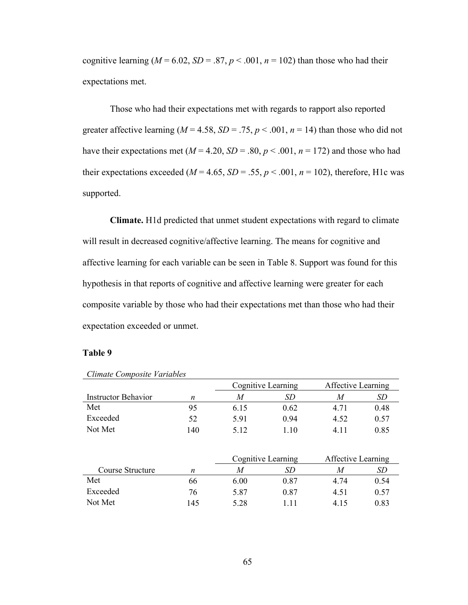cognitive learning ( $M = 6.02$ ,  $SD = .87$ ,  $p < .001$ ,  $n = 102$ ) than those who had their expectations met.

Those who had their expectations met with regards to rapport also reported greater affective learning ( $M = 4.58$ ,  $SD = .75$ ,  $p < .001$ ,  $n = 14$ ) than those who did not have their expectations met ( $M = 4.20$ ,  $SD = .80$ ,  $p < .001$ ,  $n = 172$ ) and those who had their expectations exceeded ( $M = 4.65$ ,  $SD = .55$ ,  $p < .001$ ,  $n = 102$ ), therefore, H1c was supported.

**Climate.** H1d predicted that unmet student expectations with regard to climate will result in decreased cognitive/affective learning. The means for cognitive and affective learning for each variable can be seen in Table 8. Support was found for this hypothesis in that reports of cognitive and affective learning were greater for each composite variable by those who had their expectations met than those who had their expectation exceeded or unmet.

### **Table 9**

|                            |     | Cognitive Learning |                    | <b>Affective Learning</b> |      |
|----------------------------|-----|--------------------|--------------------|---------------------------|------|
| <b>Instructor Behavior</b> | n   | M                  | SD                 | M                         | SD   |
| Met                        | 95  | 6.15               | 0.62               | 4.71                      | 0.48 |
| Exceeded                   | 52  | 5.91               | 0.94               | 4.52                      | 0.57 |
| Not Met                    | 140 | 5.12               | 1.10               | 4.11                      | 0.85 |
|                            |     |                    |                    |                           |      |
|                            |     |                    | Cognitive Learning | <b>Affective Learning</b> |      |
| Course Structure           | n   | M                  | SD.                | M                         | SD   |
| Met                        | 66  | 6.00               | 0.87               | 4.74                      | 0.54 |
| Exceeded                   | 76  | 5.87               | 0.87               | 4.51                      | 0.57 |

Not Met 145 5.28 1.11 4.15 0.83

### *Climate Composite Variables*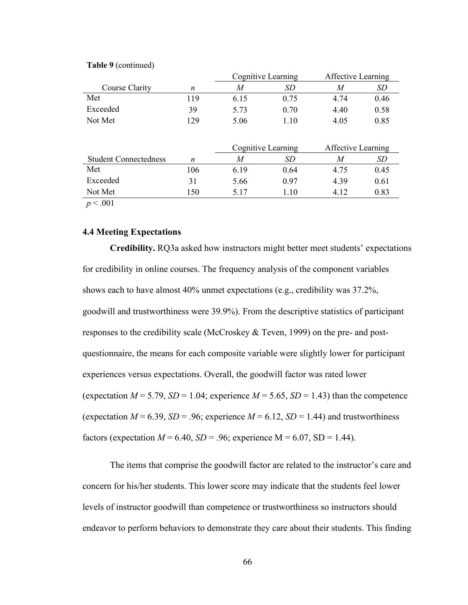|                              |     |      | Cognitive Learning | Affective Learning        |      |
|------------------------------|-----|------|--------------------|---------------------------|------|
| Course Clarity               | n   | M    | SD                 | M                         | SD   |
| Met                          | 119 | 6.15 | 0.75               | 4.74                      | 0.46 |
| Exceeded                     | 39  | 5.73 | 0.70               | 4.40                      | 0.58 |
| Not Met                      | 129 | 5.06 | 1.10               | 4.05                      | 0.85 |
|                              |     |      |                    |                           |      |
|                              |     |      |                    |                           |      |
|                              |     |      | Cognitive Learning | <b>Affective Learning</b> |      |
| <b>Student Connectedness</b> | n   | M    | SD                 | M                         | SD   |
| Met                          | 106 | 6.19 | 0.64               | 4.75                      | 0.45 |
| Exceeded                     | 31  | 5.66 | 0.97               | 4.39                      | 0.61 |
| Not Met                      | 150 | 5.17 | 1.10               | 4.12                      | 0.83 |

#### **Table 9** (continued)

## **4.4 Meeting Expectations**

**Credibility.** RQ3a asked how instructors might better meet students' expectations for credibility in online courses. The frequency analysis of the component variables shows each to have almost 40% unmet expectations (e.g., credibility was 37.2%, goodwill and trustworthiness were 39.9%). From the descriptive statistics of participant responses to the credibility scale (McCroskey & Teven, 1999) on the pre- and postquestionnaire, the means for each composite variable were slightly lower for participant experiences versus expectations. Overall, the goodwill factor was rated lower (expectation  $M = 5.79$ ,  $SD = 1.04$ ; experience  $M = 5.65$ ,  $SD = 1.43$ ) than the competence (expectation  $M = 6.39$ ,  $SD = .96$ ; experience  $M = 6.12$ ,  $SD = 1.44$ ) and trustworthiness factors (expectation  $M = 6.40$ ,  $SD = .96$ ; experience  $M = 6.07$ ,  $SD = 1.44$ ).

The items that comprise the goodwill factor are related to the instructor's care and concern for his/her students. This lower score may indicate that the students feel lower levels of instructor goodwill than competence or trustworthiness so instructors should endeavor to perform behaviors to demonstrate they care about their students. This finding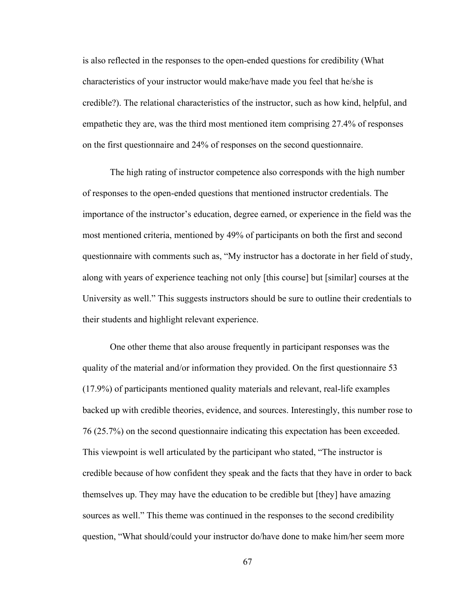is also reflected in the responses to the open-ended questions for credibility (What characteristics of your instructor would make/have made you feel that he/she is credible?). The relational characteristics of the instructor, such as how kind, helpful, and empathetic they are, was the third most mentioned item comprising 27.4% of responses on the first questionnaire and 24% of responses on the second questionnaire.

The high rating of instructor competence also corresponds with the high number of responses to the open-ended questions that mentioned instructor credentials. The importance of the instructor's education, degree earned, or experience in the field was the most mentioned criteria, mentioned by 49% of participants on both the first and second questionnaire with comments such as, "My instructor has a doctorate in her field of study, along with years of experience teaching not only [this course] but [similar] courses at the University as well." This suggests instructors should be sure to outline their credentials to their students and highlight relevant experience.

One other theme that also arouse frequently in participant responses was the quality of the material and/or information they provided. On the first questionnaire 53 (17.9%) of participants mentioned quality materials and relevant, real-life examples backed up with credible theories, evidence, and sources. Interestingly, this number rose to 76 (25.7%) on the second questionnaire indicating this expectation has been exceeded. This viewpoint is well articulated by the participant who stated, "The instructor is credible because of how confident they speak and the facts that they have in order to back themselves up. They may have the education to be credible but [they] have amazing sources as well." This theme was continued in the responses to the second credibility question, "What should/could your instructor do/have done to make him/her seem more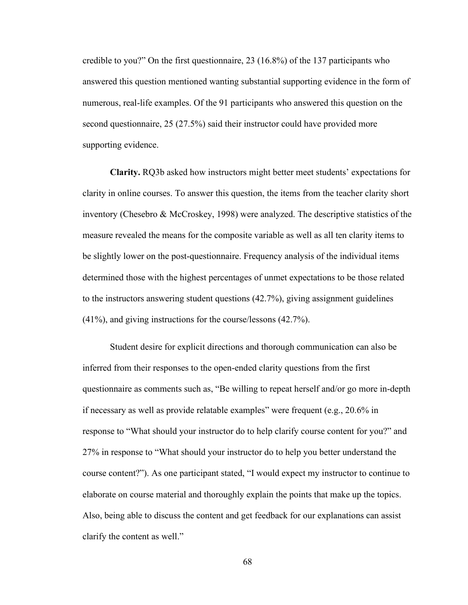credible to you?" On the first questionnaire, 23 (16.8%) of the 137 participants who answered this question mentioned wanting substantial supporting evidence in the form of numerous, real-life examples. Of the 91 participants who answered this question on the second questionnaire, 25 (27.5%) said their instructor could have provided more supporting evidence.

**Clarity.** RQ3b asked how instructors might better meet students' expectations for clarity in online courses. To answer this question, the items from the teacher clarity short inventory (Chesebro & McCroskey, 1998) were analyzed. The descriptive statistics of the measure revealed the means for the composite variable as well as all ten clarity items to be slightly lower on the post-questionnaire. Frequency analysis of the individual items determined those with the highest percentages of unmet expectations to be those related to the instructors answering student questions (42.7%), giving assignment guidelines (41%), and giving instructions for the course/lessons (42.7%).

Student desire for explicit directions and thorough communication can also be inferred from their responses to the open-ended clarity questions from the first questionnaire as comments such as, "Be willing to repeat herself and/or go more in-depth if necessary as well as provide relatable examples" were frequent (e.g., 20.6% in response to "What should your instructor do to help clarify course content for you?" and 27% in response to "What should your instructor do to help you better understand the course content?"). As one participant stated, "I would expect my instructor to continue to elaborate on course material and thoroughly explain the points that make up the topics. Also, being able to discuss the content and get feedback for our explanations can assist clarify the content as well."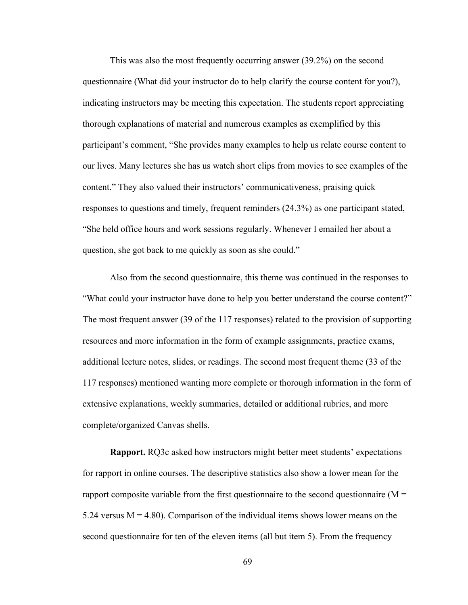This was also the most frequently occurring answer (39.2%) on the second questionnaire (What did your instructor do to help clarify the course content for you?), indicating instructors may be meeting this expectation. The students report appreciating thorough explanations of material and numerous examples as exemplified by this participant's comment, "She provides many examples to help us relate course content to our lives. Many lectures she has us watch short clips from movies to see examples of the content." They also valued their instructors' communicativeness, praising quick responses to questions and timely, frequent reminders (24.3%) as one participant stated, "She held office hours and work sessions regularly. Whenever I emailed her about a question, she got back to me quickly as soon as she could."

Also from the second questionnaire, this theme was continued in the responses to "What could your instructor have done to help you better understand the course content?" The most frequent answer (39 of the 117 responses) related to the provision of supporting resources and more information in the form of example assignments, practice exams, additional lecture notes, slides, or readings. The second most frequent theme (33 of the 117 responses) mentioned wanting more complete or thorough information in the form of extensive explanations, weekly summaries, detailed or additional rubrics, and more complete/organized Canvas shells.

**Rapport.** RQ3c asked how instructors might better meet students' expectations for rapport in online courses. The descriptive statistics also show a lower mean for the rapport composite variable from the first questionnaire to the second questionnaire  $(M =$ 5.24 versus  $M = 4.80$ ). Comparison of the individual items shows lower means on the second questionnaire for ten of the eleven items (all but item 5). From the frequency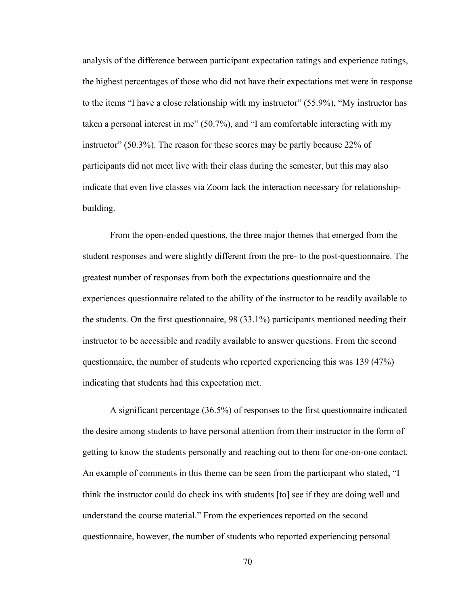analysis of the difference between participant expectation ratings and experience ratings, the highest percentages of those who did not have their expectations met were in response to the items "I have a close relationship with my instructor" (55.9%), "My instructor has taken a personal interest in me" (50.7%), and "I am comfortable interacting with my instructor" (50.3%). The reason for these scores may be partly because 22% of participants did not meet live with their class during the semester, but this may also indicate that even live classes via Zoom lack the interaction necessary for relationshipbuilding.

From the open-ended questions, the three major themes that emerged from the student responses and were slightly different from the pre- to the post-questionnaire. The greatest number of responses from both the expectations questionnaire and the experiences questionnaire related to the ability of the instructor to be readily available to the students. On the first questionnaire, 98 (33.1%) participants mentioned needing their instructor to be accessible and readily available to answer questions. From the second questionnaire, the number of students who reported experiencing this was 139 (47%) indicating that students had this expectation met.

A significant percentage (36.5%) of responses to the first questionnaire indicated the desire among students to have personal attention from their instructor in the form of getting to know the students personally and reaching out to them for one-on-one contact. An example of comments in this theme can be seen from the participant who stated, "I think the instructor could do check ins with students [to] see if they are doing well and understand the course material." From the experiences reported on the second questionnaire, however, the number of students who reported experiencing personal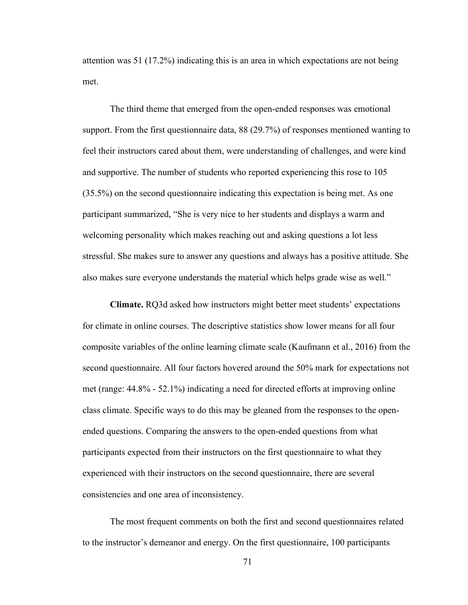attention was 51 (17.2%) indicating this is an area in which expectations are not being met.

The third theme that emerged from the open-ended responses was emotional support. From the first questionnaire data, 88 (29.7%) of responses mentioned wanting to feel their instructors cared about them, were understanding of challenges, and were kind and supportive. The number of students who reported experiencing this rose to 105 (35.5%) on the second questionnaire indicating this expectation is being met. As one participant summarized, "She is very nice to her students and displays a warm and welcoming personality which makes reaching out and asking questions a lot less stressful. She makes sure to answer any questions and always has a positive attitude. She also makes sure everyone understands the material which helps grade wise as well."

**Climate.** RQ3d asked how instructors might better meet students' expectations for climate in online courses. The descriptive statistics show lower means for all four composite variables of the online learning climate scale (Kaufmann et al., 2016) from the second questionnaire. All four factors hovered around the 50% mark for expectations not met (range: 44.8% - 52.1%) indicating a need for directed efforts at improving online class climate. Specific ways to do this may be gleaned from the responses to the openended questions. Comparing the answers to the open-ended questions from what participants expected from their instructors on the first questionnaire to what they experienced with their instructors on the second questionnaire, there are several consistencies and one area of inconsistency.

The most frequent comments on both the first and second questionnaires related to the instructor's demeanor and energy. On the first questionnaire, 100 participants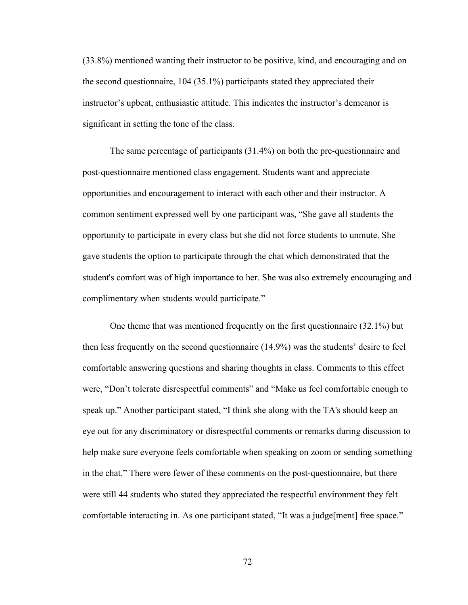(33.8%) mentioned wanting their instructor to be positive, kind, and encouraging and on the second questionnaire, 104 (35.1%) participants stated they appreciated their instructor's upbeat, enthusiastic attitude. This indicates the instructor's demeanor is significant in setting the tone of the class.

The same percentage of participants (31.4%) on both the pre-questionnaire and post-questionnaire mentioned class engagement. Students want and appreciate opportunities and encouragement to interact with each other and their instructor. A common sentiment expressed well by one participant was, "She gave all students the opportunity to participate in every class but she did not force students to unmute. She gave students the option to participate through the chat which demonstrated that the student's comfort was of high importance to her. She was also extremely encouraging and complimentary when students would participate."

One theme that was mentioned frequently on the first questionnaire (32.1%) but then less frequently on the second questionnaire (14.9%) was the students' desire to feel comfortable answering questions and sharing thoughts in class. Comments to this effect were, "Don't tolerate disrespectful comments" and "Make us feel comfortable enough to speak up." Another participant stated, "I think she along with the TA's should keep an eye out for any discriminatory or disrespectful comments or remarks during discussion to help make sure everyone feels comfortable when speaking on zoom or sending something in the chat." There were fewer of these comments on the post-questionnaire, but there were still 44 students who stated they appreciated the respectful environment they felt comfortable interacting in. As one participant stated, "It was a judge[ment] free space."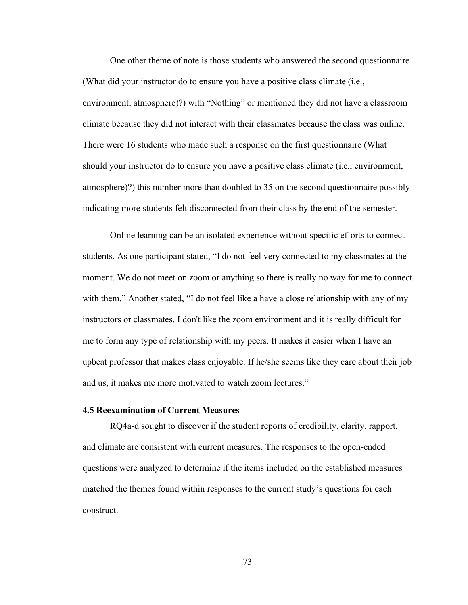One other theme of note is those students who answered the second questionnaire (What did your instructor do to ensure you have a positive class climate (i.e., environment, atmosphere)?) with "Nothing" or mentioned they did not have a classroom climate because they did not interact with their classmates because the class was online. There were 16 students who made such a response on the first questionnaire (What should your instructor do to ensure you have a positive class climate (i.e., environment, atmosphere)?) this number more than doubled to 35 on the second questionnaire possibly indicating more students felt disconnected from their class by the end of the semester.

Online learning can be an isolated experience without specific efforts to connect students. As one participant stated, "I do not feel very connected to my classmates at the moment. We do not meet on zoom or anything so there is really no way for me to connect with them." Another stated, "I do not feel like a have a close relationship with any of my instructors or classmates. I don't like the zoom environment and it is really difficult for me to form any type of relationship with my peers. It makes it easier when I have an upbeat professor that makes class enjoyable. If he/she seems like they care about their job and us, it makes me more motivated to watch zoom lectures."

#### **4.5 Reexamination of Current Measures**

RQ4a-d sought to discover if the student reports of credibility, clarity, rapport, and climate are consistent with current measures. The responses to the open-ended questions were analyzed to determine if the items included on the established measures matched the themes found within responses to the current study's questions for each construct.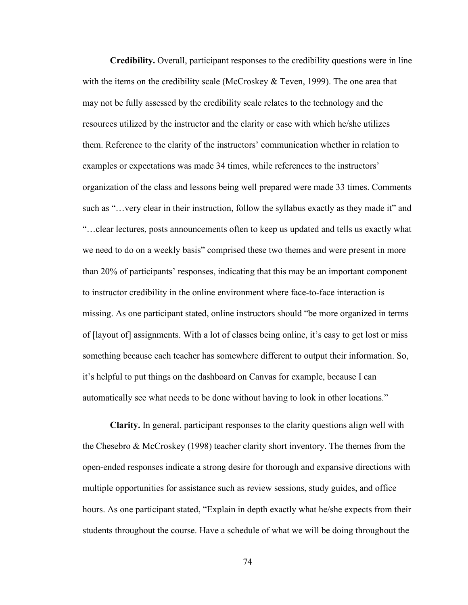**Credibility.** Overall, participant responses to the credibility questions were in line with the items on the credibility scale (McCroskey  $&$  Teven, 1999). The one area that may not be fully assessed by the credibility scale relates to the technology and the resources utilized by the instructor and the clarity or ease with which he/she utilizes them. Reference to the clarity of the instructors' communication whether in relation to examples or expectations was made 34 times, while references to the instructors' organization of the class and lessons being well prepared were made 33 times. Comments such as "…very clear in their instruction, follow the syllabus exactly as they made it" and "…clear lectures, posts announcements often to keep us updated and tells us exactly what we need to do on a weekly basis" comprised these two themes and were present in more than 20% of participants' responses, indicating that this may be an important component to instructor credibility in the online environment where face-to-face interaction is missing. As one participant stated, online instructors should "be more organized in terms of [layout of] assignments. With a lot of classes being online, it's easy to get lost or miss something because each teacher has somewhere different to output their information. So, it's helpful to put things on the dashboard on Canvas for example, because I can automatically see what needs to be done without having to look in other locations."

**Clarity.** In general, participant responses to the clarity questions align well with the Chesebro & McCroskey (1998) teacher clarity short inventory. The themes from the open-ended responses indicate a strong desire for thorough and expansive directions with multiple opportunities for assistance such as review sessions, study guides, and office hours. As one participant stated, "Explain in depth exactly what he/she expects from their students throughout the course. Have a schedule of what we will be doing throughout the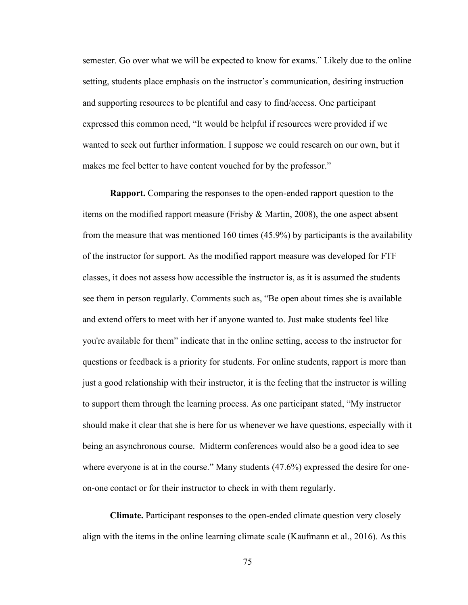semester. Go over what we will be expected to know for exams." Likely due to the online setting, students place emphasis on the instructor's communication, desiring instruction and supporting resources to be plentiful and easy to find/access. One participant expressed this common need, "It would be helpful if resources were provided if we wanted to seek out further information. I suppose we could research on our own, but it makes me feel better to have content vouched for by the professor."

**Rapport.** Comparing the responses to the open-ended rapport question to the items on the modified rapport measure (Frisby & Martin, 2008), the one aspect absent from the measure that was mentioned 160 times (45.9%) by participants is the availability of the instructor for support. As the modified rapport measure was developed for FTF classes, it does not assess how accessible the instructor is, as it is assumed the students see them in person regularly. Comments such as, "Be open about times she is available and extend offers to meet with her if anyone wanted to. Just make students feel like you're available for them" indicate that in the online setting, access to the instructor for questions or feedback is a priority for students. For online students, rapport is more than just a good relationship with their instructor, it is the feeling that the instructor is willing to support them through the learning process. As one participant stated, "My instructor should make it clear that she is here for us whenever we have questions, especially with it being an asynchronous course. Midterm conferences would also be a good idea to see where everyone is at in the course." Many students (47.6%) expressed the desire for oneon-one contact or for their instructor to check in with them regularly.

**Climate.** Participant responses to the open-ended climate question very closely align with the items in the online learning climate scale (Kaufmann et al., 2016). As this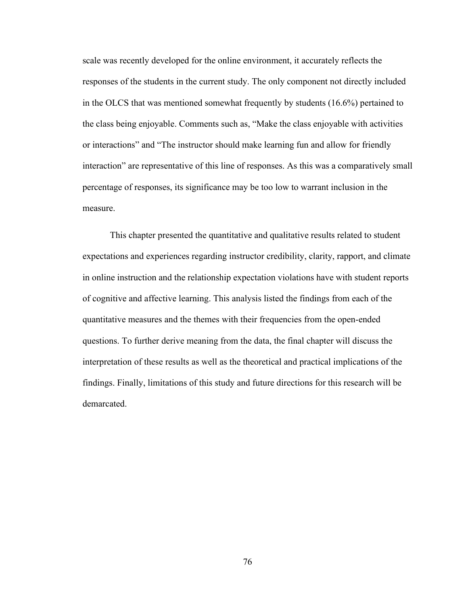scale was recently developed for the online environment, it accurately reflects the responses of the students in the current study. The only component not directly included in the OLCS that was mentioned somewhat frequently by students (16.6%) pertained to the class being enjoyable. Comments such as, "Make the class enjoyable with activities or interactions" and "The instructor should make learning fun and allow for friendly interaction" are representative of this line of responses. As this was a comparatively small percentage of responses, its significance may be too low to warrant inclusion in the measure.

This chapter presented the quantitative and qualitative results related to student expectations and experiences regarding instructor credibility, clarity, rapport, and climate in online instruction and the relationship expectation violations have with student reports of cognitive and affective learning. This analysis listed the findings from each of the quantitative measures and the themes with their frequencies from the open-ended questions. To further derive meaning from the data, the final chapter will discuss the interpretation of these results as well as the theoretical and practical implications of the findings. Finally, limitations of this study and future directions for this research will be demarcated.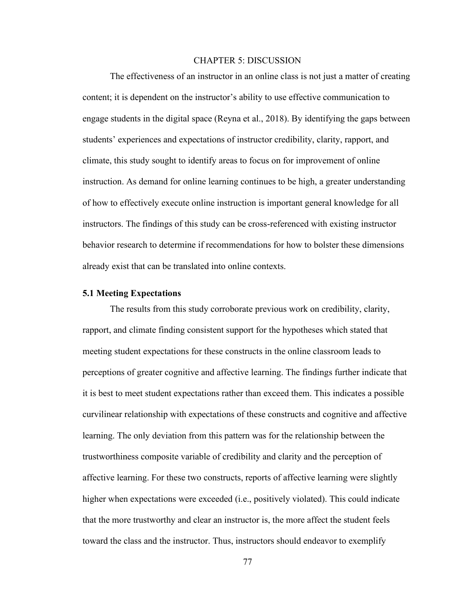## CHAPTER 5: DISCUSSION

The effectiveness of an instructor in an online class is not just a matter of creating content; it is dependent on the instructor's ability to use effective communication to engage students in the digital space (Reyna et al., 2018). By identifying the gaps between students' experiences and expectations of instructor credibility, clarity, rapport, and climate, this study sought to identify areas to focus on for improvement of online instruction. As demand for online learning continues to be high, a greater understanding of how to effectively execute online instruction is important general knowledge for all instructors. The findings of this study can be cross-referenced with existing instructor behavior research to determine if recommendations for how to bolster these dimensions already exist that can be translated into online contexts.

#### **5.1 Meeting Expectations**

The results from this study corroborate previous work on credibility, clarity, rapport, and climate finding consistent support for the hypotheses which stated that meeting student expectations for these constructs in the online classroom leads to perceptions of greater cognitive and affective learning. The findings further indicate that it is best to meet student expectations rather than exceed them. This indicates a possible curvilinear relationship with expectations of these constructs and cognitive and affective learning. The only deviation from this pattern was for the relationship between the trustworthiness composite variable of credibility and clarity and the perception of affective learning. For these two constructs, reports of affective learning were slightly higher when expectations were exceeded (i.e., positively violated). This could indicate that the more trustworthy and clear an instructor is, the more affect the student feels toward the class and the instructor. Thus, instructors should endeavor to exemplify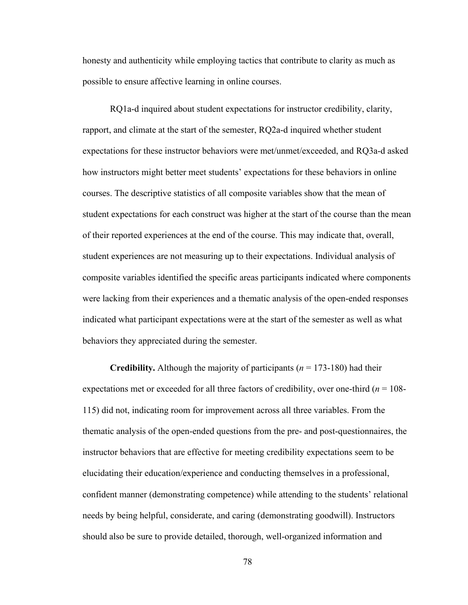honesty and authenticity while employing tactics that contribute to clarity as much as possible to ensure affective learning in online courses.

RQ1a-d inquired about student expectations for instructor credibility, clarity, rapport, and climate at the start of the semester, RQ2a-d inquired whether student expectations for these instructor behaviors were met/unmet/exceeded, and RQ3a-d asked how instructors might better meet students' expectations for these behaviors in online courses. The descriptive statistics of all composite variables show that the mean of student expectations for each construct was higher at the start of the course than the mean of their reported experiences at the end of the course. This may indicate that, overall, student experiences are not measuring up to their expectations. Individual analysis of composite variables identified the specific areas participants indicated where components were lacking from their experiences and a thematic analysis of the open-ended responses indicated what participant expectations were at the start of the semester as well as what behaviors they appreciated during the semester.

**Credibility.** Although the majority of participants ( $n = 173-180$ ) had their expectations met or exceeded for all three factors of credibility, over one-third (*n* = 108- 115) did not, indicating room for improvement across all three variables. From the thematic analysis of the open-ended questions from the pre- and post-questionnaires, the instructor behaviors that are effective for meeting credibility expectations seem to be elucidating their education/experience and conducting themselves in a professional, confident manner (demonstrating competence) while attending to the students' relational needs by being helpful, considerate, and caring (demonstrating goodwill). Instructors should also be sure to provide detailed, thorough, well-organized information and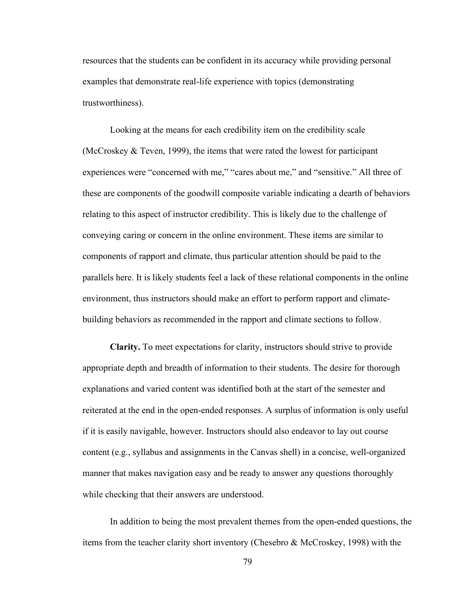resources that the students can be confident in its accuracy while providing personal examples that demonstrate real-life experience with topics (demonstrating trustworthiness).

Looking at the means for each credibility item on the credibility scale (McCroskey & Teven, 1999), the items that were rated the lowest for participant experiences were "concerned with me," "cares about me," and "sensitive." All three of these are components of the goodwill composite variable indicating a dearth of behaviors relating to this aspect of instructor credibility. This is likely due to the challenge of conveying caring or concern in the online environment. These items are similar to components of rapport and climate, thus particular attention should be paid to the parallels here. It is likely students feel a lack of these relational components in the online environment, thus instructors should make an effort to perform rapport and climatebuilding behaviors as recommended in the rapport and climate sections to follow.

**Clarity.** To meet expectations for clarity, instructors should strive to provide appropriate depth and breadth of information to their students. The desire for thorough explanations and varied content was identified both at the start of the semester and reiterated at the end in the open-ended responses. A surplus of information is only useful if it is easily navigable, however. Instructors should also endeavor to lay out course content (e.g., syllabus and assignments in the Canvas shell) in a concise, well-organized manner that makes navigation easy and be ready to answer any questions thoroughly while checking that their answers are understood.

In addition to being the most prevalent themes from the open-ended questions, the items from the teacher clarity short inventory (Chesebro & McCroskey, 1998) with the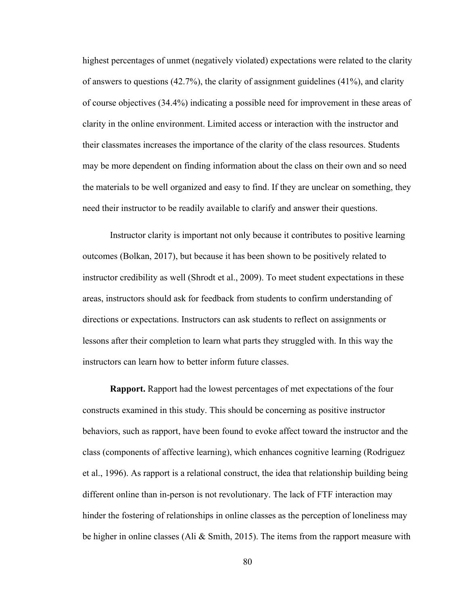highest percentages of unmet (negatively violated) expectations were related to the clarity of answers to questions (42.7%), the clarity of assignment guidelines (41%), and clarity of course objectives (34.4%) indicating a possible need for improvement in these areas of clarity in the online environment. Limited access or interaction with the instructor and their classmates increases the importance of the clarity of the class resources. Students may be more dependent on finding information about the class on their own and so need the materials to be well organized and easy to find. If they are unclear on something, they need their instructor to be readily available to clarify and answer their questions.

Instructor clarity is important not only because it contributes to positive learning outcomes (Bolkan, 2017), but because it has been shown to be positively related to instructor credibility as well (Shrodt et al., 2009). To meet student expectations in these areas, instructors should ask for feedback from students to confirm understanding of directions or expectations. Instructors can ask students to reflect on assignments or lessons after their completion to learn what parts they struggled with. In this way the instructors can learn how to better inform future classes.

**Rapport.** Rapport had the lowest percentages of met expectations of the four constructs examined in this study. This should be concerning as positive instructor behaviors, such as rapport, have been found to evoke affect toward the instructor and the class (components of affective learning), which enhances cognitive learning (Rodriguez et al., 1996). As rapport is a relational construct, the idea that relationship building being different online than in-person is not revolutionary. The lack of FTF interaction may hinder the fostering of relationships in online classes as the perception of loneliness may be higher in online classes (Ali  $\&$  Smith, 2015). The items from the rapport measure with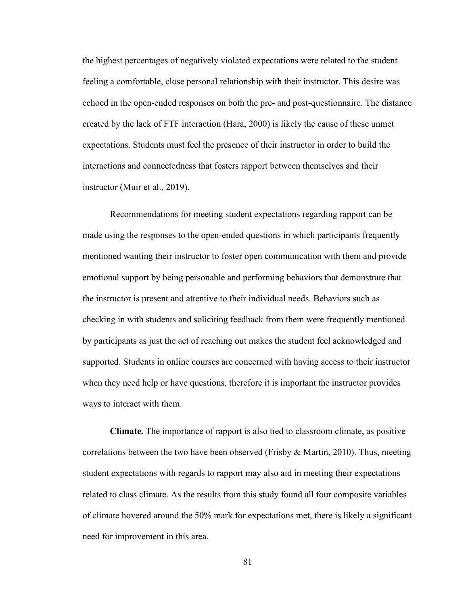the highest percentages of negatively violated expectations were related to the student feeling a comfortable, close personal relationship with their instructor. This desire was echoed in the open-ended responses on both the pre- and post-questionnaire. The distance created by the lack of FTF interaction (Hara, 2000) is likely the cause of these unmet expectations. Students must feel the presence of their instructor in order to build the interactions and connectedness that fosters rapport between themselves and their instructor (Muir et al., 2019).

Recommendations for meeting student expectations regarding rapport can be made using the responses to the open-ended questions in which participants frequently mentioned wanting their instructor to foster open communication with them and provide emotional support by being personable and performing behaviors that demonstrate that the instructor is present and attentive to their individual needs. Behaviors such as checking in with students and soliciting feedback from them were frequently mentioned by participants as just the act of reaching out makes the student feel acknowledged and supported. Students in online courses are concerned with having access to their instructor when they need help or have questions, therefore it is important the instructor provides ways to interact with them.

**Climate.** The importance of rapport is also tied to classroom climate, as positive correlations between the two have been observed (Frisby & Martin, 2010). Thus, meeting student expectations with regards to rapport may also aid in meeting their expectations related to class climate. As the results from this study found all four composite variables of climate hovered around the 50% mark for expectations met, there is likely a significant need for improvement in this area.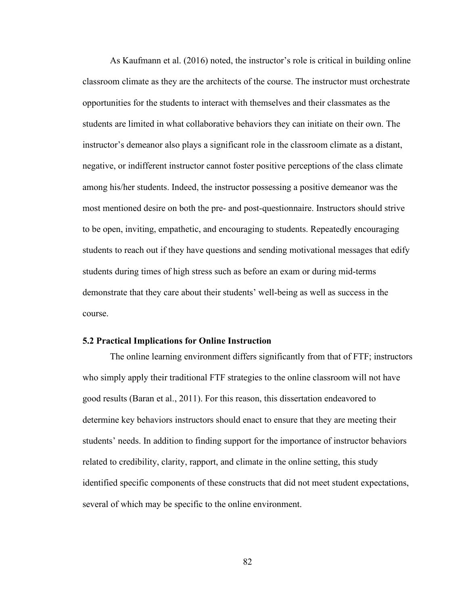As Kaufmann et al. (2016) noted, the instructor's role is critical in building online classroom climate as they are the architects of the course. The instructor must orchestrate opportunities for the students to interact with themselves and their classmates as the students are limited in what collaborative behaviors they can initiate on their own. The instructor's demeanor also plays a significant role in the classroom climate as a distant, negative, or indifferent instructor cannot foster positive perceptions of the class climate among his/her students. Indeed, the instructor possessing a positive demeanor was the most mentioned desire on both the pre- and post-questionnaire. Instructors should strive to be open, inviting, empathetic, and encouraging to students. Repeatedly encouraging students to reach out if they have questions and sending motivational messages that edify students during times of high stress such as before an exam or during mid-terms demonstrate that they care about their students' well-being as well as success in the course.

#### **5.2 Practical Implications for Online Instruction**

The online learning environment differs significantly from that of FTF; instructors who simply apply their traditional FTF strategies to the online classroom will not have good results (Baran et al., 2011). For this reason, this dissertation endeavored to determine key behaviors instructors should enact to ensure that they are meeting their students' needs. In addition to finding support for the importance of instructor behaviors related to credibility, clarity, rapport, and climate in the online setting, this study identified specific components of these constructs that did not meet student expectations, several of which may be specific to the online environment.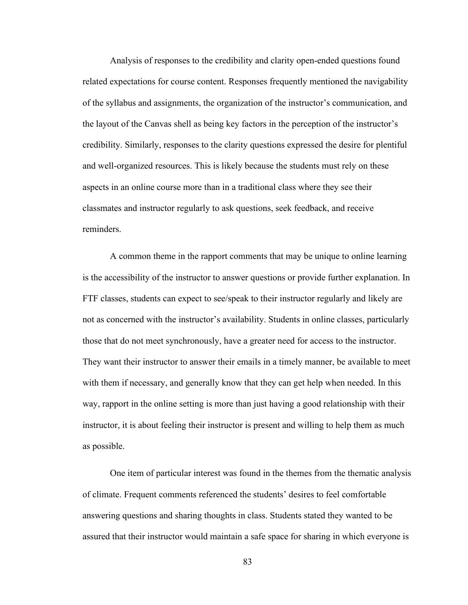Analysis of responses to the credibility and clarity open-ended questions found related expectations for course content. Responses frequently mentioned the navigability of the syllabus and assignments, the organization of the instructor's communication, and the layout of the Canvas shell as being key factors in the perception of the instructor's credibility. Similarly, responses to the clarity questions expressed the desire for plentiful and well-organized resources. This is likely because the students must rely on these aspects in an online course more than in a traditional class where they see their classmates and instructor regularly to ask questions, seek feedback, and receive reminders.

A common theme in the rapport comments that may be unique to online learning is the accessibility of the instructor to answer questions or provide further explanation. In FTF classes, students can expect to see/speak to their instructor regularly and likely are not as concerned with the instructor's availability. Students in online classes, particularly those that do not meet synchronously, have a greater need for access to the instructor. They want their instructor to answer their emails in a timely manner, be available to meet with them if necessary, and generally know that they can get help when needed. In this way, rapport in the online setting is more than just having a good relationship with their instructor, it is about feeling their instructor is present and willing to help them as much as possible.

One item of particular interest was found in the themes from the thematic analysis of climate. Frequent comments referenced the students' desires to feel comfortable answering questions and sharing thoughts in class. Students stated they wanted to be assured that their instructor would maintain a safe space for sharing in which everyone is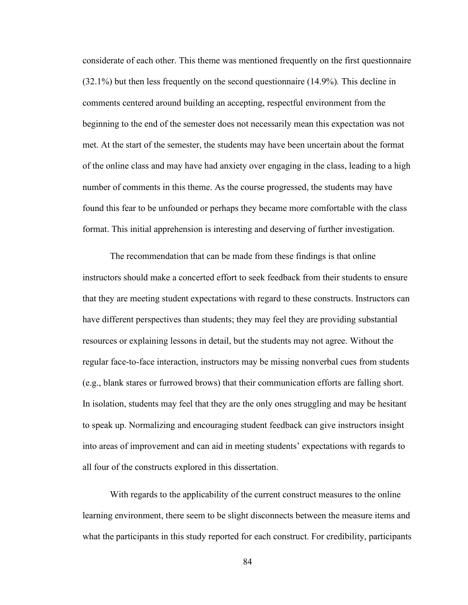considerate of each other. This theme was mentioned frequently on the first questionnaire (32.1%) but then less frequently on the second questionnaire (14.9%)*.* This decline in comments centered around building an accepting, respectful environment from the beginning to the end of the semester does not necessarily mean this expectation was not met. At the start of the semester, the students may have been uncertain about the format of the online class and may have had anxiety over engaging in the class, leading to a high number of comments in this theme. As the course progressed, the students may have found this fear to be unfounded or perhaps they became more comfortable with the class format. This initial apprehension is interesting and deserving of further investigation.

The recommendation that can be made from these findings is that online instructors should make a concerted effort to seek feedback from their students to ensure that they are meeting student expectations with regard to these constructs. Instructors can have different perspectives than students; they may feel they are providing substantial resources or explaining lessons in detail, but the students may not agree. Without the regular face-to-face interaction, instructors may be missing nonverbal cues from students (e.g., blank stares or furrowed brows) that their communication efforts are falling short. In isolation, students may feel that they are the only ones struggling and may be hesitant to speak up. Normalizing and encouraging student feedback can give instructors insight into areas of improvement and can aid in meeting students' expectations with regards to all four of the constructs explored in this dissertation.

With regards to the applicability of the current construct measures to the online learning environment, there seem to be slight disconnects between the measure items and what the participants in this study reported for each construct. For credibility, participants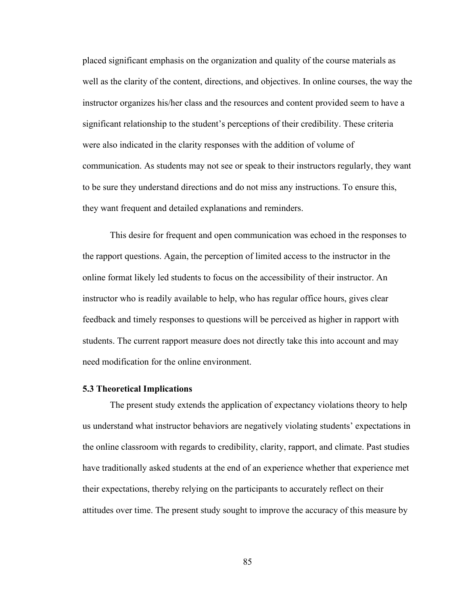placed significant emphasis on the organization and quality of the course materials as well as the clarity of the content, directions, and objectives. In online courses, the way the instructor organizes his/her class and the resources and content provided seem to have a significant relationship to the student's perceptions of their credibility. These criteria were also indicated in the clarity responses with the addition of volume of communication. As students may not see or speak to their instructors regularly, they want to be sure they understand directions and do not miss any instructions. To ensure this, they want frequent and detailed explanations and reminders.

This desire for frequent and open communication was echoed in the responses to the rapport questions. Again, the perception of limited access to the instructor in the online format likely led students to focus on the accessibility of their instructor. An instructor who is readily available to help, who has regular office hours, gives clear feedback and timely responses to questions will be perceived as higher in rapport with students. The current rapport measure does not directly take this into account and may need modification for the online environment.

#### **5.3 Theoretical Implications**

The present study extends the application of expectancy violations theory to help us understand what instructor behaviors are negatively violating students' expectations in the online classroom with regards to credibility, clarity, rapport, and climate. Past studies have traditionally asked students at the end of an experience whether that experience met their expectations, thereby relying on the participants to accurately reflect on their attitudes over time. The present study sought to improve the accuracy of this measure by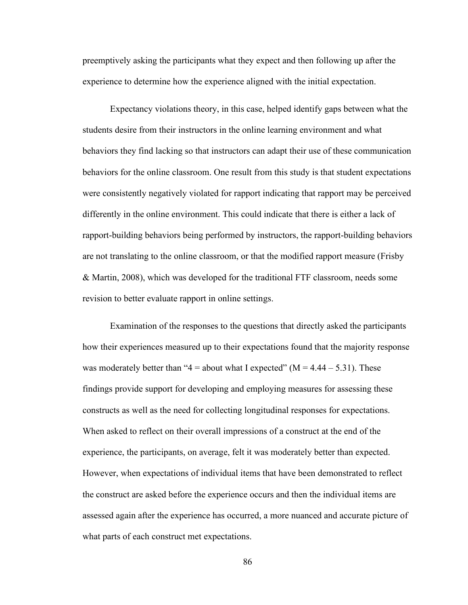preemptively asking the participants what they expect and then following up after the experience to determine how the experience aligned with the initial expectation.

Expectancy violations theory, in this case, helped identify gaps between what the students desire from their instructors in the online learning environment and what behaviors they find lacking so that instructors can adapt their use of these communication behaviors for the online classroom. One result from this study is that student expectations were consistently negatively violated for rapport indicating that rapport may be perceived differently in the online environment. This could indicate that there is either a lack of rapport-building behaviors being performed by instructors, the rapport-building behaviors are not translating to the online classroom, or that the modified rapport measure (Frisby & Martin, 2008), which was developed for the traditional FTF classroom, needs some revision to better evaluate rapport in online settings.

Examination of the responses to the questions that directly asked the participants how their experiences measured up to their expectations found that the majority response was moderately better than "4 = about what I expected" ( $M = 4.44 - 5.31$ ). These findings provide support for developing and employing measures for assessing these constructs as well as the need for collecting longitudinal responses for expectations. When asked to reflect on their overall impressions of a construct at the end of the experience, the participants, on average, felt it was moderately better than expected. However, when expectations of individual items that have been demonstrated to reflect the construct are asked before the experience occurs and then the individual items are assessed again after the experience has occurred, a more nuanced and accurate picture of what parts of each construct met expectations.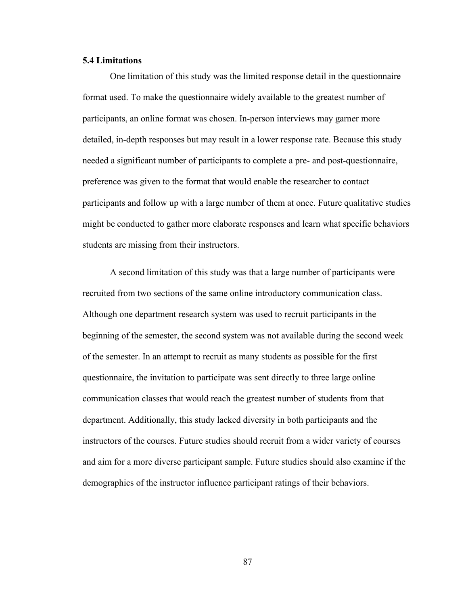### **5.4 Limitations**

One limitation of this study was the limited response detail in the questionnaire format used. To make the questionnaire widely available to the greatest number of participants, an online format was chosen. In-person interviews may garner more detailed, in-depth responses but may result in a lower response rate. Because this study needed a significant number of participants to complete a pre- and post-questionnaire, preference was given to the format that would enable the researcher to contact participants and follow up with a large number of them at once. Future qualitative studies might be conducted to gather more elaborate responses and learn what specific behaviors students are missing from their instructors.

A second limitation of this study was that a large number of participants were recruited from two sections of the same online introductory communication class. Although one department research system was used to recruit participants in the beginning of the semester, the second system was not available during the second week of the semester. In an attempt to recruit as many students as possible for the first questionnaire, the invitation to participate was sent directly to three large online communication classes that would reach the greatest number of students from that department. Additionally, this study lacked diversity in both participants and the instructors of the courses. Future studies should recruit from a wider variety of courses and aim for a more diverse participant sample. Future studies should also examine if the demographics of the instructor influence participant ratings of their behaviors.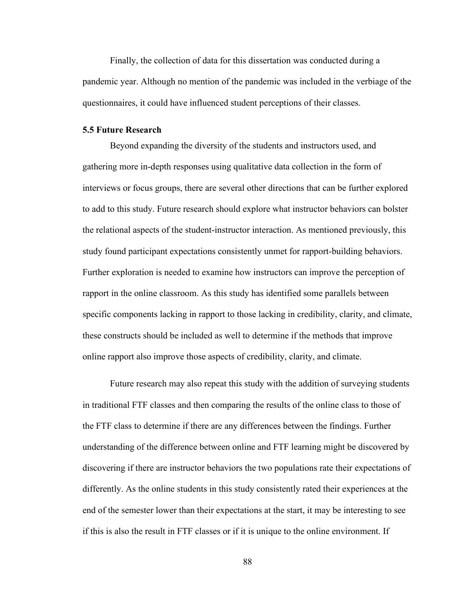Finally, the collection of data for this dissertation was conducted during a pandemic year. Although no mention of the pandemic was included in the verbiage of the questionnaires, it could have influenced student perceptions of their classes.

#### **5.5 Future Research**

Beyond expanding the diversity of the students and instructors used, and gathering more in-depth responses using qualitative data collection in the form of interviews or focus groups, there are several other directions that can be further explored to add to this study. Future research should explore what instructor behaviors can bolster the relational aspects of the student-instructor interaction. As mentioned previously, this study found participant expectations consistently unmet for rapport-building behaviors. Further exploration is needed to examine how instructors can improve the perception of rapport in the online classroom. As this study has identified some parallels between specific components lacking in rapport to those lacking in credibility, clarity, and climate, these constructs should be included as well to determine if the methods that improve online rapport also improve those aspects of credibility, clarity, and climate.

Future research may also repeat this study with the addition of surveying students in traditional FTF classes and then comparing the results of the online class to those of the FTF class to determine if there are any differences between the findings. Further understanding of the difference between online and FTF learning might be discovered by discovering if there are instructor behaviors the two populations rate their expectations of differently. As the online students in this study consistently rated their experiences at the end of the semester lower than their expectations at the start, it may be interesting to see if this is also the result in FTF classes or if it is unique to the online environment. If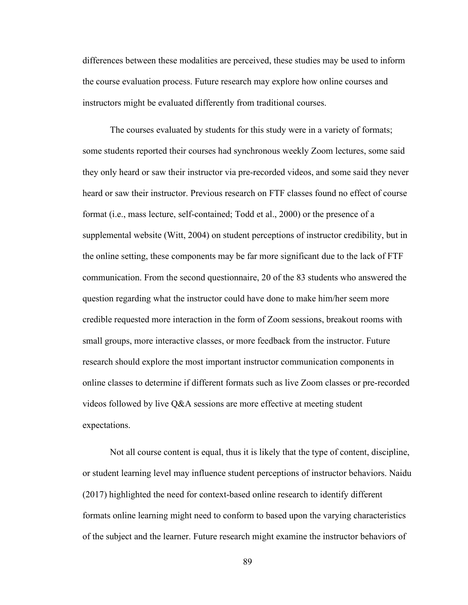differences between these modalities are perceived, these studies may be used to inform the course evaluation process. Future research may explore how online courses and instructors might be evaluated differently from traditional courses.

The courses evaluated by students for this study were in a variety of formats; some students reported their courses had synchronous weekly Zoom lectures, some said they only heard or saw their instructor via pre-recorded videos, and some said they never heard or saw their instructor. Previous research on FTF classes found no effect of course format (i.e., mass lecture, self-contained; Todd et al., 2000) or the presence of a supplemental website (Witt, 2004) on student perceptions of instructor credibility, but in the online setting, these components may be far more significant due to the lack of FTF communication. From the second questionnaire, 20 of the 83 students who answered the question regarding what the instructor could have done to make him/her seem more credible requested more interaction in the form of Zoom sessions, breakout rooms with small groups, more interactive classes, or more feedback from the instructor. Future research should explore the most important instructor communication components in online classes to determine if different formats such as live Zoom classes or pre-recorded videos followed by live Q&A sessions are more effective at meeting student expectations.

Not all course content is equal, thus it is likely that the type of content, discipline, or student learning level may influence student perceptions of instructor behaviors. Naidu (2017) highlighted the need for context-based online research to identify different formats online learning might need to conform to based upon the varying characteristics of the subject and the learner. Future research might examine the instructor behaviors of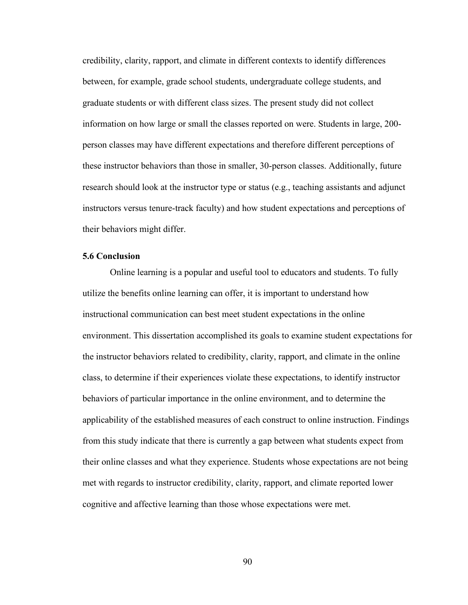credibility, clarity, rapport, and climate in different contexts to identify differences between, for example, grade school students, undergraduate college students, and graduate students or with different class sizes. The present study did not collect information on how large or small the classes reported on were. Students in large, 200 person classes may have different expectations and therefore different perceptions of these instructor behaviors than those in smaller, 30-person classes. Additionally, future research should look at the instructor type or status (e.g., teaching assistants and adjunct instructors versus tenure-track faculty) and how student expectations and perceptions of their behaviors might differ.

#### **5.6 Conclusion**

Online learning is a popular and useful tool to educators and students. To fully utilize the benefits online learning can offer, it is important to understand how instructional communication can best meet student expectations in the online environment. This dissertation accomplished its goals to examine student expectations for the instructor behaviors related to credibility, clarity, rapport, and climate in the online class, to determine if their experiences violate these expectations, to identify instructor behaviors of particular importance in the online environment, and to determine the applicability of the established measures of each construct to online instruction. Findings from this study indicate that there is currently a gap between what students expect from their online classes and what they experience. Students whose expectations are not being met with regards to instructor credibility, clarity, rapport, and climate reported lower cognitive and affective learning than those whose expectations were met.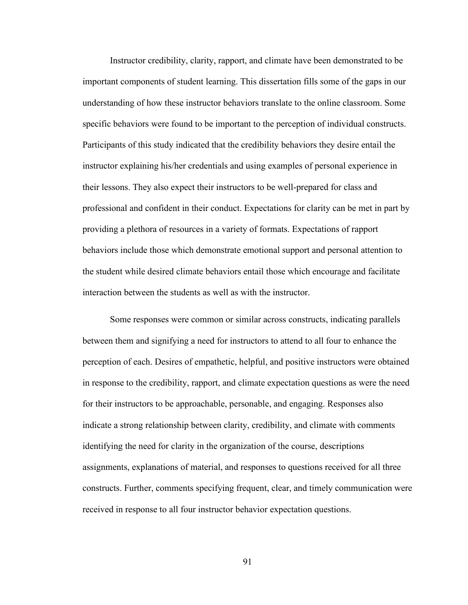Instructor credibility, clarity, rapport, and climate have been demonstrated to be important components of student learning. This dissertation fills some of the gaps in our understanding of how these instructor behaviors translate to the online classroom. Some specific behaviors were found to be important to the perception of individual constructs. Participants of this study indicated that the credibility behaviors they desire entail the instructor explaining his/her credentials and using examples of personal experience in their lessons. They also expect their instructors to be well-prepared for class and professional and confident in their conduct. Expectations for clarity can be met in part by providing a plethora of resources in a variety of formats. Expectations of rapport behaviors include those which demonstrate emotional support and personal attention to the student while desired climate behaviors entail those which encourage and facilitate interaction between the students as well as with the instructor.

Some responses were common or similar across constructs, indicating parallels between them and signifying a need for instructors to attend to all four to enhance the perception of each. Desires of empathetic, helpful, and positive instructors were obtained in response to the credibility, rapport, and climate expectation questions as were the need for their instructors to be approachable, personable, and engaging. Responses also indicate a strong relationship between clarity, credibility, and climate with comments identifying the need for clarity in the organization of the course, descriptions assignments, explanations of material, and responses to questions received for all three constructs. Further, comments specifying frequent, clear, and timely communication were received in response to all four instructor behavior expectation questions.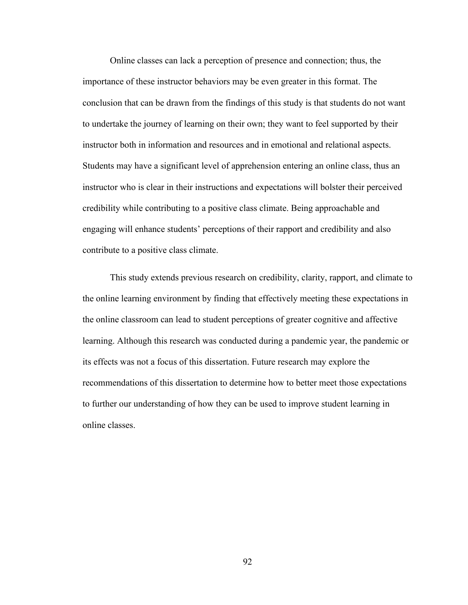Online classes can lack a perception of presence and connection; thus, the importance of these instructor behaviors may be even greater in this format. The conclusion that can be drawn from the findings of this study is that students do not want to undertake the journey of learning on their own; they want to feel supported by their instructor both in information and resources and in emotional and relational aspects. Students may have a significant level of apprehension entering an online class, thus an instructor who is clear in their instructions and expectations will bolster their perceived credibility while contributing to a positive class climate. Being approachable and engaging will enhance students' perceptions of their rapport and credibility and also contribute to a positive class climate.

This study extends previous research on credibility, clarity, rapport, and climate to the online learning environment by finding that effectively meeting these expectations in the online classroom can lead to student perceptions of greater cognitive and affective learning. Although this research was conducted during a pandemic year, the pandemic or its effects was not a focus of this dissertation. Future research may explore the recommendations of this dissertation to determine how to better meet those expectations to further our understanding of how they can be used to improve student learning in online classes.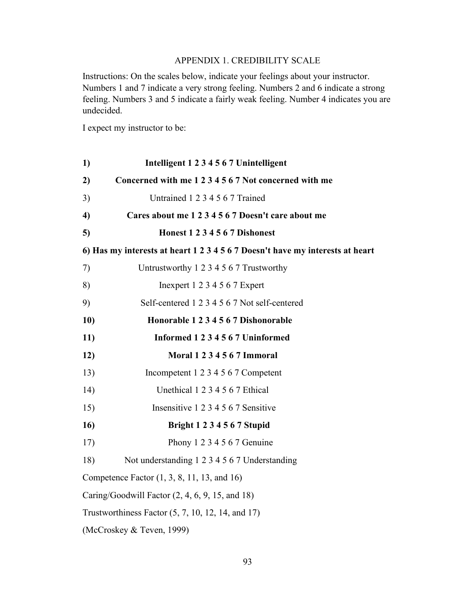# APPENDIX 1. CREDIBILITY SCALE

Instructions: On the scales below, indicate your feelings about your instructor. Numbers 1 and 7 indicate a very strong feeling. Numbers 2 and 6 indicate a strong feeling. Numbers 3 and 5 indicate a fairly weak feeling. Number 4 indicates you are undecided.

I expect my instructor to be:

| 1)  | Intelligent 1 2 3 4 5 6 7 Unintelligent                                       |
|-----|-------------------------------------------------------------------------------|
| 2)  | Concerned with me 1 2 3 4 5 6 7 Not concerned with me                         |
| 3)  | Untrained 1 2 3 4 5 6 7 Trained                                               |
| 4)  | Cares about me 1 2 3 4 5 6 7 Doesn't care about me                            |
| 5)  | Honest 1 2 3 4 5 6 7 Dishonest                                                |
|     | 6) Has my interests at heart 1 2 3 4 5 6 7 Doesn't have my interests at heart |
| 7)  | Untrustworthy 1 2 3 4 5 6 7 Trustworthy                                       |
| 8)  | Inexpert $1\ 2\ 3\ 4\ 5\ 6\ 7$ Expert                                         |
| 9)  | Self-centered 1 2 3 4 5 6 7 Not self-centered                                 |
| 10) | Honorable 1 2 3 4 5 6 7 Dishonorable                                          |
| 11) | Informed 1 2 3 4 5 6 7 Uninformed                                             |
| 12) | <b>Moral 1234567 Immoral</b>                                                  |
| 13) | Incompetent 1 2 3 4 5 6 7 Competent                                           |
| 14) | Unethical 1 2 3 4 5 6 7 Ethical                                               |
| 15) | Insensitive 1 2 3 4 5 6 7 Sensitive                                           |
| 16) | <b>Bright 1 2 3 4 5 6 7 Stupid</b>                                            |
| 17) | Phony 1 2 3 4 5 6 7 Genuine                                                   |
| 18) | Not understanding 1 2 3 4 5 6 7 Understanding                                 |
|     | Competence Factor (1, 3, 8, 11, 13, and 16)                                   |
|     | Caring/Goodwill Factor $(2, 4, 6, 9, 15,$ and 18)                             |
|     | Trustworthiness Factor $(5, 7, 10, 12, 14,$ and $17)$                         |
|     | (McCroskey & Teven, 1999)                                                     |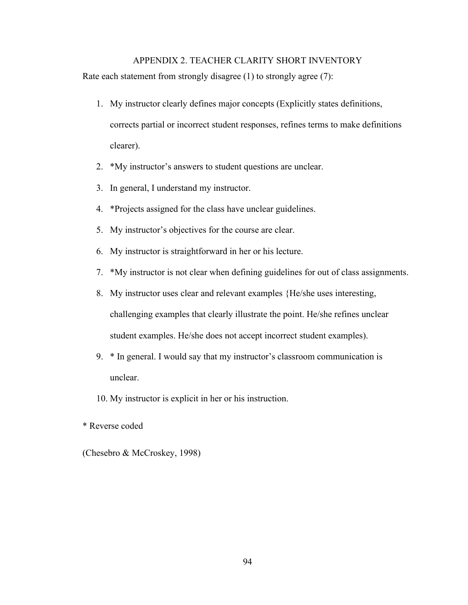### APPENDIX 2. TEACHER CLARITY SHORT INVENTORY

Rate each statement from strongly disagree (1) to strongly agree (7):

- 1. My instructor clearly defines major concepts (Explicitly states definitions, corrects partial or incorrect student responses, refines terms to make definitions clearer).
- 2. \*My instructor's answers to student questions are unclear.
- 3. In general, I understand my instructor.
- 4. \*Projects assigned for the class have unclear guidelines.
- 5. My instructor's objectives for the course are clear.
- 6. My instructor is straightforward in her or his lecture.
- 7. \*My instructor is not clear when defining guidelines for out of class assignments.
- 8. My instructor uses clear and relevant examples {He/she uses interesting, challenging examples that clearly illustrate the point. He/she refines unclear student examples. He/she does not accept incorrect student examples).
- 9. \* In general. I would say that my instructor's classroom communication is unclear.
- 10. My instructor is explicit in her or his instruction.

\* Reverse coded

(Chesebro & McCroskey, 1998)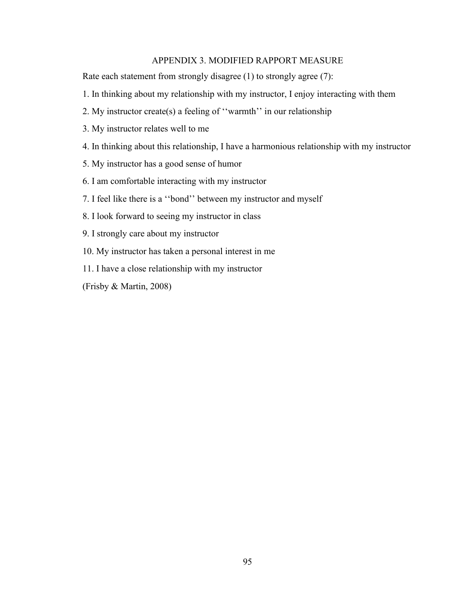# APPENDIX 3. MODIFIED RAPPORT MEASURE

Rate each statement from strongly disagree (1) to strongly agree (7):

- 1. In thinking about my relationship with my instructor, I enjoy interacting with them
- 2. My instructor create(s) a feeling of ''warmth'' in our relationship
- 3. My instructor relates well to me
- 4. In thinking about this relationship, I have a harmonious relationship with my instructor
- 5. My instructor has a good sense of humor
- 6. I am comfortable interacting with my instructor
- 7. I feel like there is a ''bond'' between my instructor and myself
- 8. I look forward to seeing my instructor in class
- 9. I strongly care about my instructor
- 10. My instructor has taken a personal interest in me
- 11. I have a close relationship with my instructor
- (Frisby & Martin, 2008)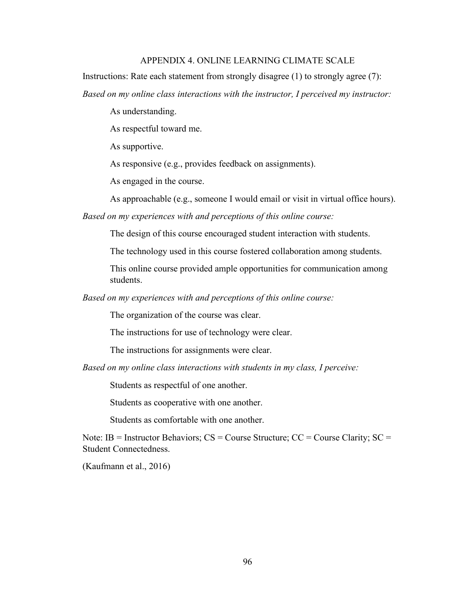# APPENDIX 4. ONLINE LEARNING CLIMATE SCALE

Instructions: Rate each statement from strongly disagree (1) to strongly agree (7): *Based on my online class interactions with the instructor, I perceived my instructor:*

As understanding.

As respectful toward me.

As supportive.

As responsive (e.g., provides feedback on assignments).

As engaged in the course.

As approachable (e.g., someone I would email or visit in virtual office hours).

*Based on my experiences with and perceptions of this online course:*

The design of this course encouraged student interaction with students.

The technology used in this course fostered collaboration among students.

This online course provided ample opportunities for communication among students.

*Based on my experiences with and perceptions of this online course:*

The organization of the course was clear.

The instructions for use of technology were clear.

The instructions for assignments were clear.

*Based on my online class interactions with students in my class, I perceive:*

Students as respectful of one another.

Students as cooperative with one another.

Students as comfortable with one another.

Note: IB = Instructor Behaviors;  $CS =$  Course Structure;  $CC =$  Course Clarity;  $SC =$ Student Connectedness.

(Kaufmann et al., 2016)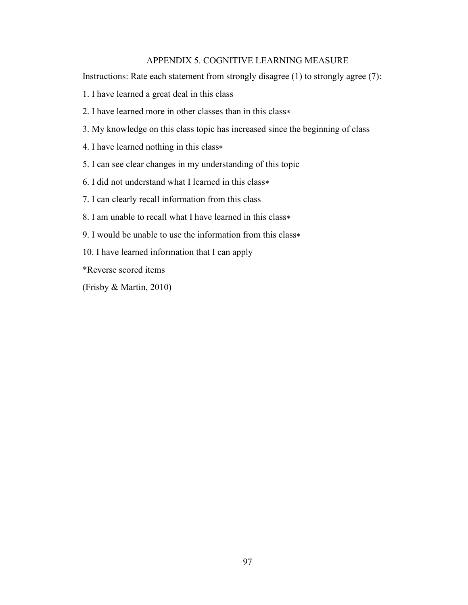# APPENDIX 5. COGNITIVE LEARNING MEASURE

Instructions: Rate each statement from strongly disagree (1) to strongly agree (7):

- 1. I have learned a great deal in this class
- 2. I have learned more in other classes than in this class∗
- 3. My knowledge on this class topic has increased since the beginning of class
- 4. I have learned nothing in this class∗
- 5. I can see clear changes in my understanding of this topic
- 6. I did not understand what I learned in this class∗
- 7. I can clearly recall information from this class
- 8. I am unable to recall what I have learned in this class∗
- 9. I would be unable to use the information from this class<sup>\*</sup>
- 10. I have learned information that I can apply

\*Reverse scored items

(Frisby & Martin, 2010)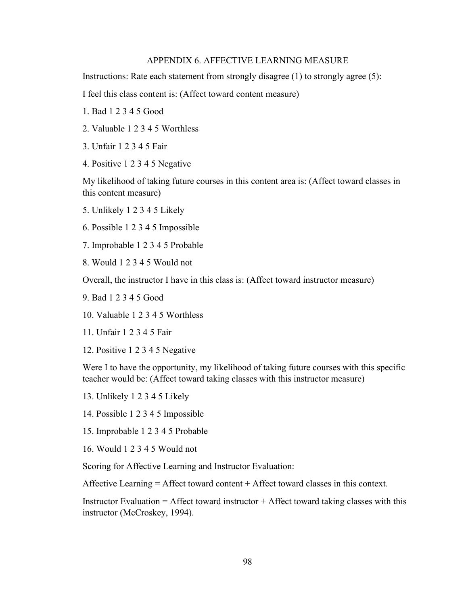# APPENDIX 6. AFFECTIVE LEARNING MEASURE

Instructions: Rate each statement from strongly disagree  $(1)$  to strongly agree  $(5)$ :

I feel this class content is: (Affect toward content measure)

- 1. Bad 1 2 3 4 5 Good
- 2. Valuable 1 2 3 4 5 Worthless
- 3. Unfair 1 2 3 4 5 Fair
- 4. Positive 1 2 3 4 5 Negative

My likelihood of taking future courses in this content area is: (Affect toward classes in this content measure)

- 5. Unlikely 1 2 3 4 5 Likely
- 6. Possible 1 2 3 4 5 Impossible
- 7. Improbable 1 2 3 4 5 Probable
- 8. Would 1 2 3 4 5 Would not

Overall, the instructor I have in this class is: (Affect toward instructor measure)

- 9. Bad 1 2 3 4 5 Good
- 10. Valuable 1 2 3 4 5 Worthless
- 11. Unfair 1 2 3 4 5 Fair
- 12. Positive 1 2 3 4 5 Negative

Were I to have the opportunity, my likelihood of taking future courses with this specific teacher would be: (Affect toward taking classes with this instructor measure)

- 13. Unlikely 1 2 3 4 5 Likely
- 14. Possible 1 2 3 4 5 Impossible
- 15. Improbable 1 2 3 4 5 Probable
- 16. Would 1 2 3 4 5 Would not

Scoring for Affective Learning and Instructor Evaluation:

Affective Learning = Affect toward content + Affect toward classes in this context.

Instructor Evaluation = Affect toward instructor  $+$  Affect toward taking classes with this instructor (McCroskey, 1994).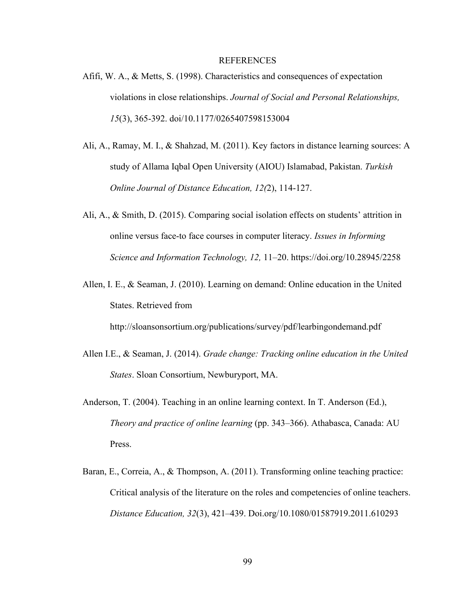#### REFERENCES

- Afifi, W. A., & Metts, S. (1998). Characteristics and consequences of expectation violations in close relationships. *Journal of Social and Personal Relationships, 15*(3), 365-392. doi/10.1177/0265407598153004
- Ali, A., Ramay, M. I., & Shahzad, M. (2011). Key factors in distance learning sources: A study of Allama Iqbal Open University (AIOU) Islamabad, Pakistan. *Turkish Online Journal of Distance Education, 12(*2), 114-127.
- Ali, A., & Smith, D. (2015). Comparing social isolation effects on students' attrition in online versus face-to face courses in computer literacy. *Issues in Informing Science and Information Technology, 12,* 11–20. https://doi.org/10.28945/2258
- Allen, I. E., & Seaman, J. (2010). Learning on demand: Online education in the United States. Retrieved from

http://sloansonsortium.org/publications/survey/pdf/learbingondemand.pdf

- Allen I.E., & Seaman, J. (2014). *Grade change: Tracking online education in the United States*. Sloan Consortium, Newburyport, MA.
- Anderson, T. (2004). Teaching in an online learning context. In T. Anderson (Ed.), *Theory and practice of online learning* (pp. 343–366). Athabasca, Canada: AU Press.
- Baran, E., Correia, A., & Thompson, A. (2011). Transforming online teaching practice: Critical analysis of the literature on the roles and competencies of online teachers. *Distance Education, 32*(3), 421–439. Doi.org/10.1080/01587919.2011.610293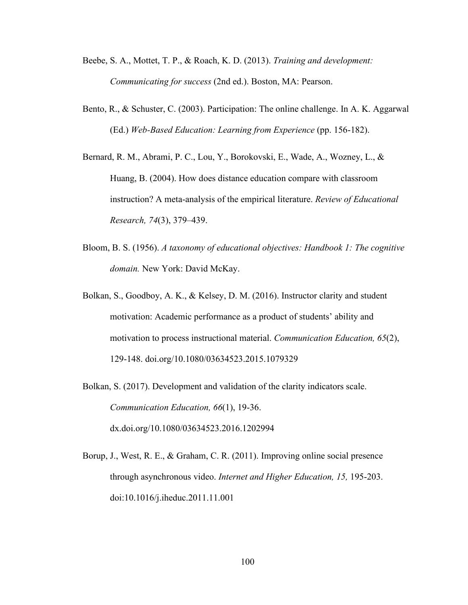- Beebe, S. A., Mottet, T. P., & Roach, K. D. (2013). *Training and development: Communicating for success* (2nd ed.). Boston, MA: Pearson.
- Bento, R., & Schuster, C. (2003). Participation: The online challenge. In A. K. Aggarwal (Ed.) *Web-Based Education: Learning from Experience* (pp. 156-182).
- Bernard, R. M., Abrami, P. C., Lou, Y., Borokovski, E., Wade, A., Wozney, L., & Huang, B. (2004). How does distance education compare with classroom instruction? A meta-analysis of the empirical literature. *Review of Educational Research, 74*(3), 379–439.
- Bloom, B. S. (1956). *A taxonomy of educational objectives: Handbook 1: The cognitive domain.* New York: David McKay.
- Bolkan, S., Goodboy, A. K., & Kelsey, D. M. (2016). Instructor clarity and student motivation: Academic performance as a product of students' ability and motivation to process instructional material. *Communication Education, 65*(2), 129-148. doi.org/10.1080/03634523.2015.1079329
- Bolkan, S. (2017). Development and validation of the clarity indicators scale. *Communication Education, 66*(1), 19-36. dx.doi.org/10.1080/03634523.2016.1202994
- Borup, J., West, R. E., & Graham, C. R. (2011). Improving online social presence through asynchronous video. *Internet and Higher Education, 15,* 195-203. doi:10.1016/j.iheduc.2011.11.001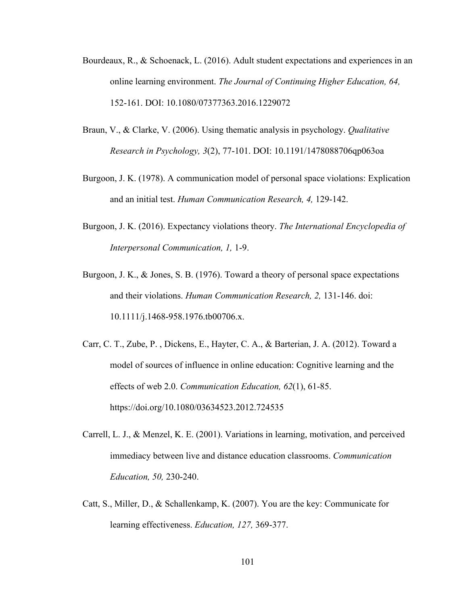- Bourdeaux, R., & Schoenack, L. (2016). Adult student expectations and experiences in an online learning environment. *The Journal of Continuing Higher Education, 64,* 152-161. DOI: 10.1080/07377363.2016.1229072
- Braun, V., & Clarke, V. (2006). Using thematic analysis in psychology. *Qualitative Research in Psychology, 3*(2), 77-101. DOI: 10.1191/1478088706qp063oa
- Burgoon, J. K. (1978). A communication model of personal space violations: Explication and an initial test. *Human Communication Research, 4,* 129-142.
- Burgoon, J. K. (2016). Expectancy violations theory. *The International Encyclopedia of Interpersonal Communication, 1,* 1-9.
- Burgoon, J. K., & Jones, S. B. (1976). Toward a theory of personal space expectations and their violations. *Human Communication Research, 2,* 131-146. doi: 10.1111/j.1468‐958.1976.tb00706.x.
- Carr, C. T., Zube, P. , Dickens, E., Hayter, C. A., & Barterian, J. A. (2012). Toward a model of sources of influence in online education: Cognitive learning and the effects of web 2.0. *Communication Education, 62*(1), 61-85. https://doi.org/10.1080/03634523.2012.724535
- Carrell, L. J., & Menzel, K. E. (2001). Variations in learning, motivation, and perceived immediacy between live and distance education classrooms. *Communication Education, 50,* 230-240.
- Catt, S., Miller, D., & Schallenkamp, K. (2007). You are the key: Communicate for learning effectiveness. *Education, 127,* 369-377.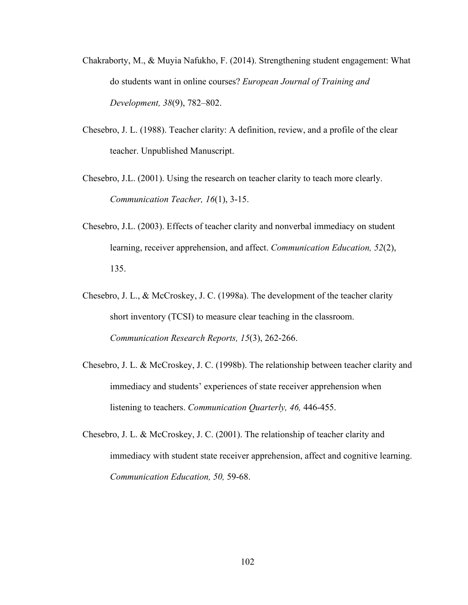- Chakraborty, M., & Muyia Nafukho, F. (2014). Strengthening student engagement: What do students want in online courses? *European Journal of Training and Development, 38*(9), 782–802.
- Chesebro, J. L. (1988). Teacher clarity: A definition, review, and a profile of the clear teacher. Unpublished Manuscript.
- Chesebro, J.L. (2001). Using the research on teacher clarity to teach more clearly. *Communication Teacher, 16*(1), 3-15.
- Chesebro, J.L. (2003). Effects of teacher clarity and nonverbal immediacy on student learning, receiver apprehension, and affect. *Communication Education, 52*(2), 135.
- Chesebro, J. L., & McCroskey, J. C. (1998a). The development of the teacher clarity short inventory (TCSI) to measure clear teaching in the classroom. *Communication Research Reports, 15*(3), 262-266.
- Chesebro, J. L. & McCroskey, J. C. (1998b). The relationship between teacher clarity and immediacy and students' experiences of state receiver apprehension when listening to teachers. *Communication Quarterly, 46,* 446-455.
- Chesebro, J. L. & McCroskey, J. C. (2001). The relationship of teacher clarity and immediacy with student state receiver apprehension, affect and cognitive learning. *Communication Education, 50,* 59-68.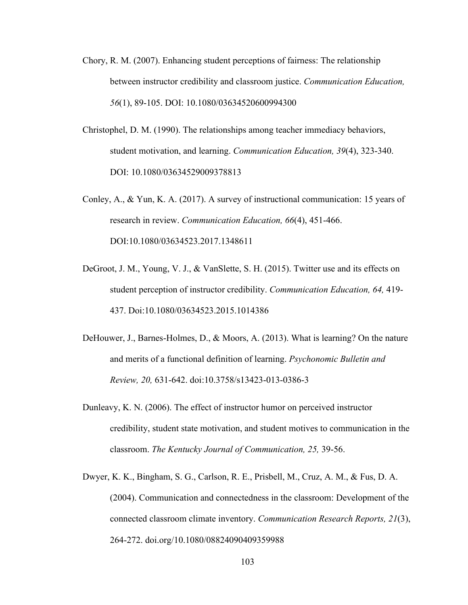- Chory, R. M. (2007). Enhancing student perceptions of fairness: The relationship between instructor credibility and classroom justice. *Communication Education, 56*(1), 89-105. DOI: 10.1080/03634520600994300
- Christophel, D. M. (1990). The relationships among teacher immediacy behaviors, student motivation, and learning. *Communication Education, 39*(4), 323-340. DOI: 10.1080/03634529009378813
- Conley, A., & Yun, K. A. (2017). A survey of instructional communication: 15 years of research in review. *Communication Education, 66*(4), 451-466. DOI:10.1080/03634523.2017.1348611
- DeGroot, J. M., Young, V. J., & VanSlette, S. H. (2015). Twitter use and its effects on student perception of instructor credibility. *Communication Education, 64,* 419- 437. Doi:10.1080/03634523.2015.1014386
- DeHouwer, J., Barnes-Holmes, D., & Moors, A. (2013). What is learning? On the nature and merits of a functional definition of learning. *Psychonomic Bulletin and Review, 20,* 631-642. doi:10.3758/s13423-013-0386-3
- Dunleavy, K. N. (2006). The effect of instructor humor on perceived instructor credibility, student state motivation, and student motives to communication in the classroom. *The Kentucky Journal of Communication, 25,* 39-56.
- Dwyer, K. K., Bingham, S. G., Carlson, R. E., Prisbell, M., Cruz, A. M., & Fus, D. A. (2004). Communication and connectedness in the classroom: Development of the connected classroom climate inventory. *Communication Research Reports, 21*(3), 264-272. doi.org/10.1080/08824090409359988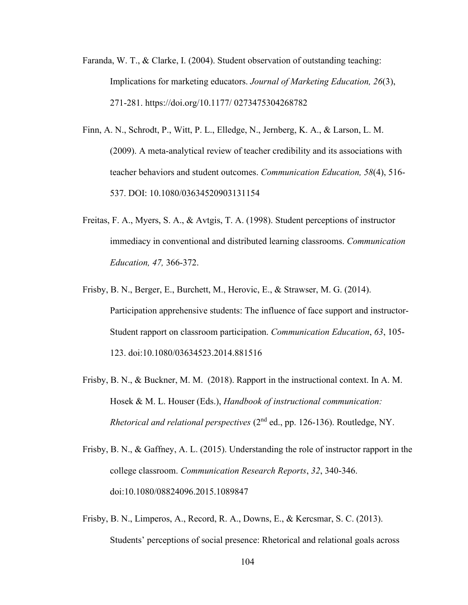- Faranda, W. T., & Clarke, I. (2004). Student observation of outstanding teaching: Implications for marketing educators. *Journal of Marketing Education, 26*(3), 271-281. https://doi.org/10.1177/ 0273475304268782
- Finn, A. N., Schrodt, P., Witt, P. L., Elledge, N., Jernberg, K. A., & Larson, L. M. (2009). A meta-analytical review of teacher credibility and its associations with teacher behaviors and student outcomes. *Communication Education, 58*(4), 516- 537. DOI: 10.1080/03634520903131154
- Freitas, F. A., Myers, S. A., & Avtgis, T. A. (1998). Student perceptions of instructor immediacy in conventional and distributed learning classrooms. *Communication Education, 47,* 366-372.
- Frisby, B. N., Berger, E., Burchett, M., Herovic, E., & Strawser, M. G. (2014). Participation apprehensive students: The influence of face support and instructor-Student rapport on classroom participation. *Communication Education*, *63*, 105- 123. doi:10.1080/03634523.2014.881516
- Frisby, B. N., & Buckner, M. M. (2018). Rapport in the instructional context. In A. M. Hosek & M. L. Houser (Eds.), *Handbook of instructional communication: Rhetorical and relational perspectives* (2nd ed., pp. 126-136). Routledge, NY.
- Frisby, B. N., & Gaffney, A. L. (2015). Understanding the role of instructor rapport in the college classroom. *Communication Research Reports*, *32*, 340-346. doi:10.1080/08824096.2015.1089847
- Frisby, B. N., Limperos, A., Record, R. A., Downs, E., & Kercsmar, S. C. (2013). Students' perceptions of social presence: Rhetorical and relational goals across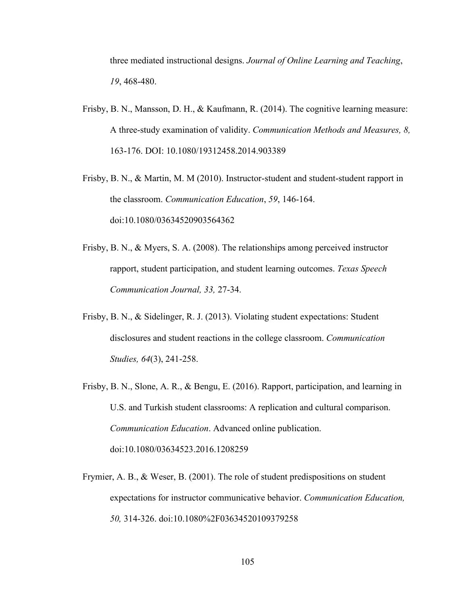three mediated instructional designs. *Journal of Online Learning and Teaching*, *19*, 468-480.

- Frisby, B. N., Mansson, D. H., & Kaufmann, R. (2014). The cognitive learning measure: A three-study examination of validity. *Communication Methods and Measures, 8,* 163-176. DOI: 10.1080/19312458.2014.903389
- Frisby, B. N., & Martin, M. M (2010). Instructor-student and student-student rapport in the classroom. *Communication Education*, *59*, 146-164. doi:10.1080/03634520903564362
- Frisby, B. N., & Myers, S. A. (2008). The relationships among perceived instructor rapport, student participation, and student learning outcomes. *Texas Speech Communication Journal, 33,* 27-34.
- Frisby, B. N., & Sidelinger, R. J. (2013). Violating student expectations: Student disclosures and student reactions in the college classroom. *Communication Studies, 64*(3), 241-258.
- Frisby, B. N., Slone, A. R., & Bengu, E. (2016). Rapport, participation, and learning in U.S. and Turkish student classrooms: A replication and cultural comparison. *Communication Education*. Advanced online publication. doi:10.1080/03634523.2016.1208259
- Frymier, A. B., & Weser, B. (2001). The role of student predispositions on student expectations for instructor communicative behavior. *Communication Education, 50,* 314-326. doi:10.1080%2F03634520109379258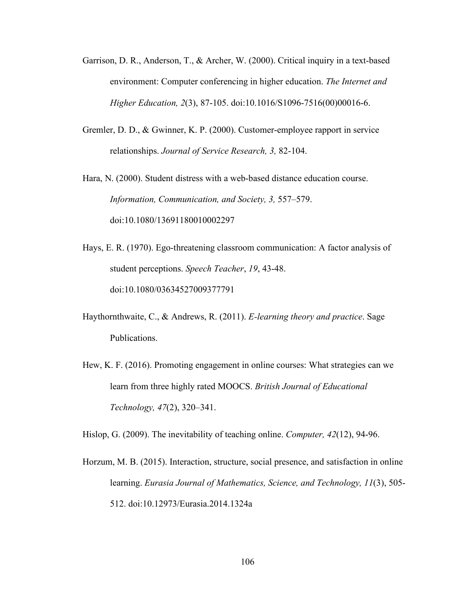- Garrison, D. R., Anderson, T., & Archer, W. (2000). Critical inquiry in a text-based environment: Computer conferencing in higher education. *The Internet and Higher Education, 2*(3), 87-105. doi:10.1016/S1096-7516(00)00016-6.
- Gremler, D. D., & Gwinner, K. P. (2000). Customer-employee rapport in service relationships. *Journal of Service Research, 3,* 82-104.
- Hara, N. (2000). Student distress with a web-based distance education course. *Information, Communication, and Society, 3,* 557–579. doi:10.1080/13691180010002297
- Hays, E. R. (1970). Ego-threatening classroom communication: A factor analysis of student perceptions. *Speech Teacher*, *19*, 43-48. doi:10.1080/03634527009377791
- Haythornthwaite, C., & Andrews, R. (2011). *E-learning theory and practice*. Sage Publications.
- Hew, K. F. (2016). Promoting engagement in online courses: What strategies can we learn from three highly rated MOOCS. *British Journal of Educational Technology, 47*(2), 320–341.

Hislop, G. (2009). The inevitability of teaching online. *Computer, 42*(12), 94-96.

Horzum, M. B. (2015). Interaction, structure, social presence, and satisfaction in online learning. *Eurasia Journal of Mathematics, Science, and Technology, 11*(3), 505- 512. doi:10.12973/Eurasia.2014.1324a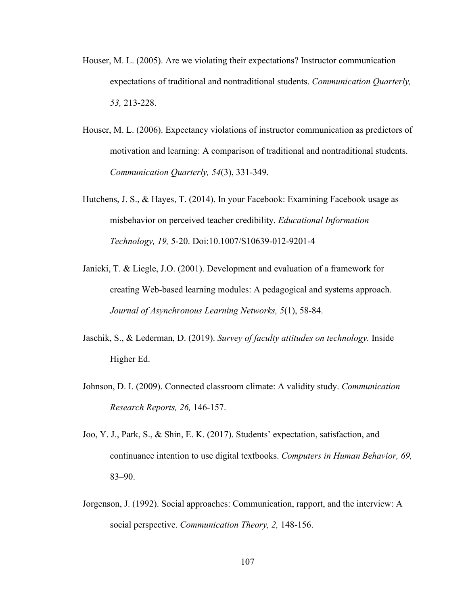- Houser, M. L. (2005). Are we violating their expectations? Instructor communication expectations of traditional and nontraditional students. *Communication Quarterly, 53,* 213-228.
- Houser, M. L. (2006). Expectancy violations of instructor communication as predictors of motivation and learning: A comparison of traditional and nontraditional students. *Communication Quarterly, 54*(3), 331-349.
- Hutchens, J. S., & Hayes, T. (2014). In your Facebook: Examining Facebook usage as misbehavior on perceived teacher credibility. *Educational Information Technology, 19,* 5-20. Doi:10.1007/S10639-012-9201-4
- Janicki, T. & Liegle, J.O. (2001). Development and evaluation of a framework for creating Web-based learning modules: A pedagogical and systems approach. *Journal of Asynchronous Learning Networks, 5*(1), 58-84.
- Jaschik, S., & Lederman, D. (2019). *Survey of faculty attitudes on technology.* Inside Higher Ed.
- Johnson, D. I. (2009). Connected classroom climate: A validity study. *Communication Research Reports, 26,* 146-157.
- Joo, Y. J., Park, S., & Shin, E. K. (2017). Students' expectation, satisfaction, and continuance intention to use digital textbooks. *Computers in Human Behavior, 69,* 83–90.
- Jorgenson, J. (1992). Social approaches: Communication, rapport, and the interview: A social perspective. *Communication Theory, 2,* 148-156.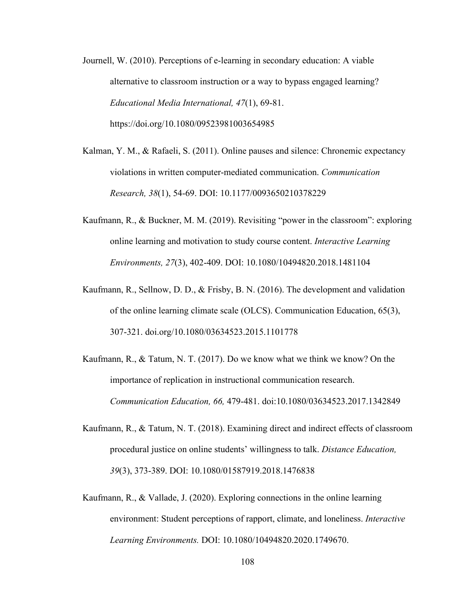- Journell, W. (2010). Perceptions of e-learning in secondary education: A viable alternative to classroom instruction or a way to bypass engaged learning? *Educational Media International, 47*(1), 69-81. https://doi.org/10.1080/09523981003654985
- Kalman, Y. M., & Rafaeli, S. (2011). Online pauses and silence: Chronemic expectancy violations in written computer-mediated communication. *Communication Research, 38*(1), 54-69. DOI: 10.1177/0093650210378229
- Kaufmann, R., & Buckner, M. M. (2019). Revisiting "power in the classroom": exploring online learning and motivation to study course content. *Interactive Learning Environments, 27*(3), 402-409. DOI: 10.1080/10494820.2018.1481104
- Kaufmann, R., Sellnow, D. D., & Frisby, B. N. (2016). The development and validation of the online learning climate scale (OLCS). Communication Education, 65(3), 307-321. doi.org/10.1080/03634523.2015.1101778
- Kaufmann, R., & Tatum, N. T. (2017). Do we know what we think we know? On the importance of replication in instructional communication research. *Communication Education, 66,* 479-481. doi:10.1080/03634523.2017.1342849
- Kaufmann, R., & Tatum, N. T. (2018). Examining direct and indirect effects of classroom procedural justice on online students' willingness to talk. *Distance Education, 39*(3), 373-389. DOI: 10.1080/01587919.2018.1476838
- Kaufmann, R., & Vallade, J. (2020). Exploring connections in the online learning environment: Student perceptions of rapport, climate, and loneliness. *Interactive Learning Environments.* DOI: 10.1080/10494820.2020.1749670.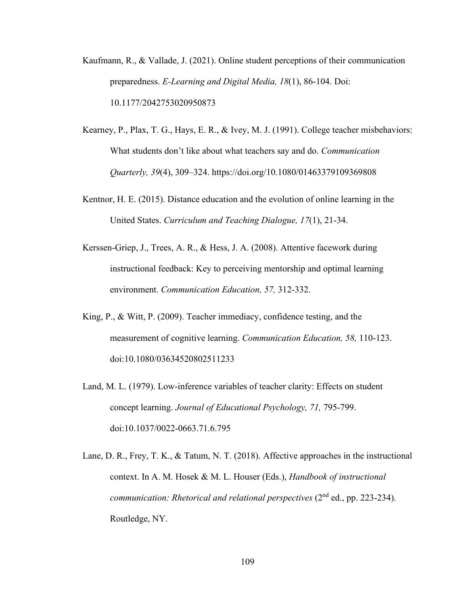- Kaufmann, R., & Vallade, J. (2021). Online student perceptions of their communication preparedness. *E-Learning and Digital Media, 18*(1), 86-104. Doi: 10.1177/2042753020950873
- Kearney, P., Plax, T. G., Hays, E. R., & Ivey, M. J. (1991). College teacher misbehaviors: What students don't like about what teachers say and do. *Communication Quarterly, 39*(4), 309–324. https://doi.org/10.1080/01463379109369808
- Kentnor, H. E. (2015). Distance education and the evolution of online learning in the United States. *Curriculum and Teaching Dialogue, 17*(1), 21-34.
- Kerssen-Griep, J., Trees, A. R., & Hess, J. A. (2008). Attentive facework during instructional feedback: Key to perceiving mentorship and optimal learning environment. *Communication Education, 57,* 312-332.
- King, P., & Witt, P. (2009). Teacher immediacy, confidence testing, and the measurement of cognitive learning. *Communication Education, 58,* 110-123. doi:10.1080/03634520802511233
- Land, M. L. (1979). Low-inference variables of teacher clarity: Effects on student concept learning. *Journal of Educational Psychology, 71,* 795-799. doi:10.1037/0022-0663.71.6.795
- Lane, D. R., Frey, T. K., & Tatum, N. T. (2018). Affective approaches in the instructional context. In A. M. Hosek & M. L. Houser (Eds.), *Handbook of instructional communication: Rhetorical and relational perspectives* (2<sup>nd</sup> ed., pp. 223-234). Routledge, NY.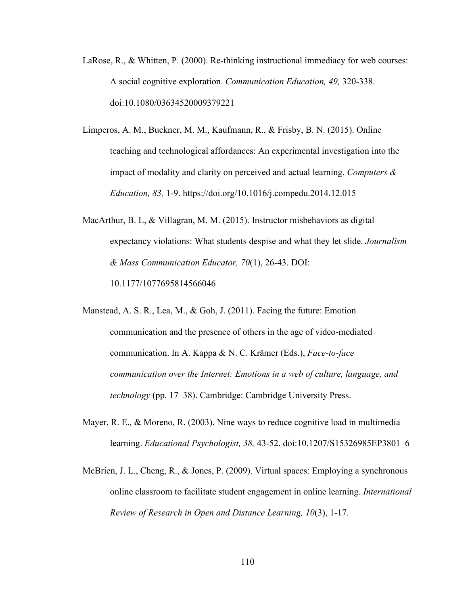- LaRose, R., & Whitten, P. (2000). Re-thinking instructional immediacy for web courses: A social cognitive exploration. *Communication Education, 49,* 320-338. doi:10.1080/03634520009379221
- Limperos, A. M., Buckner, M. M., Kaufmann, R., & Frisby, B. N. (2015). Online teaching and technological affordances: An experimental investigation into the impact of modality and clarity on perceived and actual learning. *Computers & Education, 83,* 1-9. https://doi.org/10.1016/j.compedu.2014.12.015
- MacArthur, B. L, & Villagran, M. M. (2015). Instructor misbehaviors as digital expectancy violations: What students despise and what they let slide. *Journalism & Mass Communication Educator, 70*(1), 26-43. DOI: 10.1177/1077695814566046
- Manstead, A. S. R., Lea, M., & Goh, J. (2011). Facing the future: Emotion communication and the presence of others in the age of video-mediated communication. In A. Kappa & N. C. Krämer (Eds.), *Face-to-face communication over the Internet: Emotions in a web of culture, language, and technology* (pp. 17–38). Cambridge: Cambridge University Press.
- Mayer, R. E., & Moreno, R. (2003). Nine ways to reduce cognitive load in multimedia learning. *Educational Psychologist, 38,* 43-52. doi:10.1207/S15326985EP3801\_6
- McBrien, J. L., Cheng, R., & Jones, P. (2009). Virtual spaces: Employing a synchronous online classroom to facilitate student engagement in online learning. *International Review of Research in Open and Distance Learning, 10*(3), 1-17.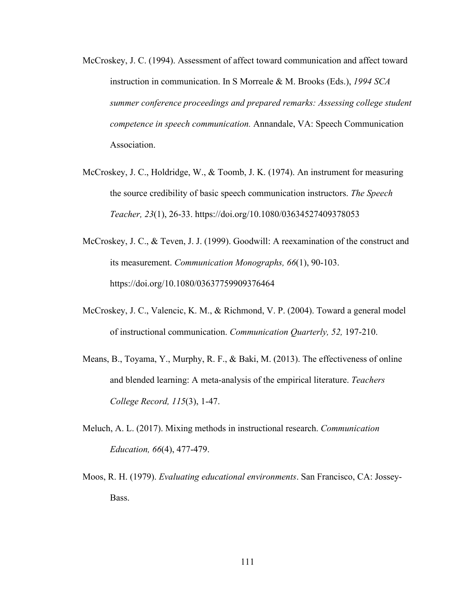- McCroskey, J. C. (1994). Assessment of affect toward communication and affect toward instruction in communication. In S Morreale & M. Brooks (Eds.), *1994 SCA summer conference proceedings and prepared remarks: Assessing college student competence in speech communication.* Annandale, VA: Speech Communication Association.
- McCroskey, J. C., Holdridge, W., & Toomb, J. K. (1974). An instrument for measuring the source credibility of basic speech communication instructors. *The Speech Teacher, 23*(1), 26-33. https://doi.org/10.1080/03634527409378053
- McCroskey, J. C., & Teven, J. J. (1999). Goodwill: A reexamination of the construct and its measurement. *Communication Monographs, 66*(1), 90-103. https://doi.org/10.1080/03637759909376464
- McCroskey, J. C., Valencic, K. M., & Richmond, V. P. (2004). Toward a general model of instructional communication. *Communication Quarterly, 52,* 197-210.
- Means, B., Toyama, Y., Murphy, R. F., & Baki, M. (2013). The effectiveness of online and blended learning: A meta-analysis of the empirical literature. *Teachers College Record, 115*(3), 1-47.
- Meluch, A. L. (2017). Mixing methods in instructional research. *Communication Education, 66*(4), 477-479.
- Moos, R. H. (1979). *Evaluating educational environments*. San Francisco, CA: Jossey-Bass.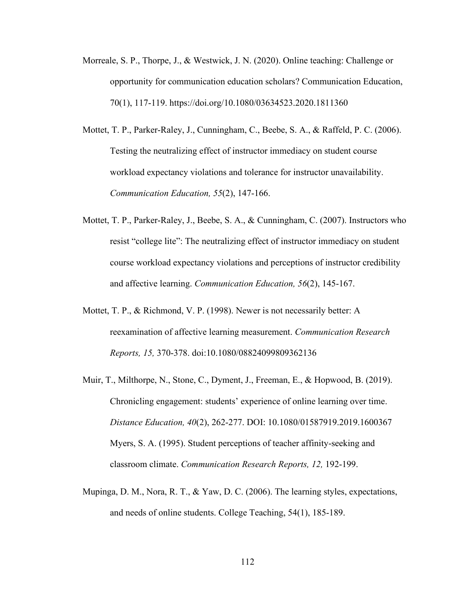- Morreale, S. P., Thorpe, J., & Westwick, J. N. (2020). Online teaching: Challenge or opportunity for communication education scholars? Communication Education, 70(1), 117-119. https://doi.org/10.1080/03634523.2020.1811360
- Mottet, T. P., Parker-Raley, J., Cunningham, C., Beebe, S. A., & Raffeld, P. C. (2006). Testing the neutralizing effect of instructor immediacy on student course workload expectancy violations and tolerance for instructor unavailability. *Communication Education, 55*(2), 147-166.
- Mottet, T. P., Parker-Raley, J., Beebe, S. A., & Cunningham, C. (2007). Instructors who resist "college lite": The neutralizing effect of instructor immediacy on student course workload expectancy violations and perceptions of instructor credibility and affective learning. *Communication Education, 56*(2), 145-167.
- Mottet, T. P., & Richmond, V. P. (1998). Newer is not necessarily better: A reexamination of affective learning measurement. *Communication Research Reports, 15,* 370-378. doi:10.1080/08824099809362136
- Muir, T., Milthorpe, N., Stone, C., Dyment, J., Freeman, E., & Hopwood, B. (2019). Chronicling engagement: students' experience of online learning over time. *Distance Education, 40*(2), 262-277. DOI: 10.1080/01587919.2019.1600367 Myers, S. A. (1995). Student perceptions of teacher affinity-seeking and classroom climate. *Communication Research Reports, 12,* 192-199.
- Mupinga, D. M., Nora, R. T., & Yaw, D. C. (2006). The learning styles, expectations, and needs of online students. College Teaching, 54(1), 185-189.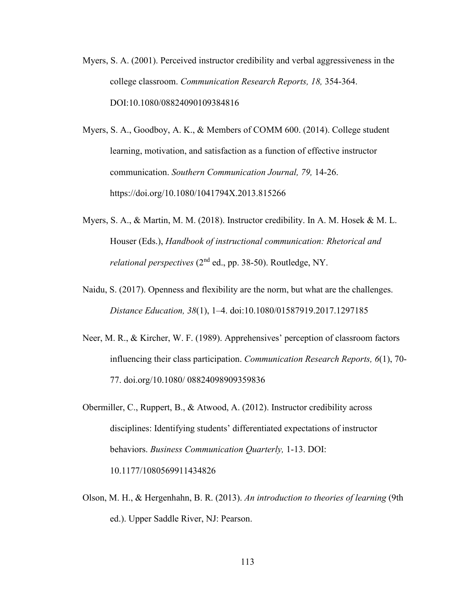- Myers, S. A. (2001). Perceived instructor credibility and verbal aggressiveness in the college classroom. *Communication Research Reports, 18,* 354-364. DOI:10.1080/08824090109384816
- Myers, S. A., Goodboy, A. K., & Members of COMM 600. (2014). College student learning, motivation, and satisfaction as a function of effective instructor communication. *Southern Communication Journal, 79,* 14-26. https://doi.org/10.1080/1041794X.2013.815266
- Myers, S. A., & Martin, M. M. (2018). Instructor credibility. In A. M. Hosek & M. L. Houser (Eds.), *Handbook of instructional communication: Rhetorical and relational perspectives* (2<sup>nd</sup> ed., pp. 38-50). Routledge, NY.
- Naidu, S. (2017). Openness and flexibility are the norm, but what are the challenges. *Distance Education, 38*(1), 1–4. doi:10.1080/01587919.2017.1297185
- Neer, M. R., & Kircher, W. F. (1989). Apprehensives' perception of classroom factors influencing their class participation. *Communication Research Reports, 6*(1), 70- 77. doi.org/10.1080/ 08824098909359836
- Obermiller, C., Ruppert, B., & Atwood, A. (2012). Instructor credibility across disciplines: Identifying students' differentiated expectations of instructor behaviors. *Business Communication Quarterly,* 1-13. DOI: 10.1177/1080569911434826
- Olson, M. H., & Hergenhahn, B. R. (2013). *An introduction to theories of learning* (9th ed.). Upper Saddle River, NJ: Pearson.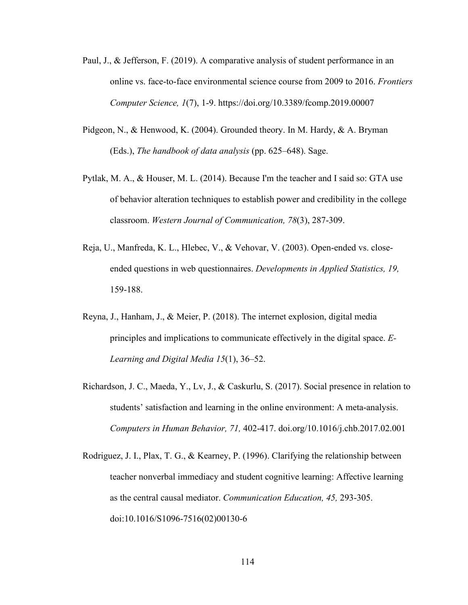- Paul, J., & Jefferson, F. (2019). A comparative analysis of student performance in an online vs. face-to-face environmental science course from 2009 to 2016. *Frontiers Computer Science, 1*(7), 1-9. https://doi.org/10.3389/fcomp.2019.00007
- Pidgeon, N., & Henwood, K. (2004). Grounded theory. In M. Hardy, & A. Bryman (Eds.), *The handbook of data analysis* (pp. 625–648). Sage.
- Pytlak, M. A., & Houser, M. L. (2014). Because I'm the teacher and I said so: GTA use of behavior alteration techniques to establish power and credibility in the college classroom. *Western Journal of Communication, 78*(3), 287-309.
- Reja, U., Manfreda, K. L., Hlebec, V., & Vehovar, V. (2003). Open-ended vs. closeended questions in web questionnaires. *Developments in Applied Statistics, 19,* 159-188.
- Reyna, J., Hanham, J., & Meier, P. (2018). The internet explosion, digital media principles and implications to communicate effectively in the digital space. *E-Learning and Digital Media 15*(1), 36–52.
- Richardson, J. C., Maeda, Y., Lv, J., & Caskurlu, S. (2017). Social presence in relation to students' satisfaction and learning in the online environment: A meta-analysis. *Computers in Human Behavior, 71,* 402-417. doi.org/10.1016/j.chb.2017.02.001
- Rodriguez, J. I., Plax, T. G., & Kearney, P. (1996). Clarifying the relationship between teacher nonverbal immediacy and student cognitive learning: Affective learning as the central causal mediator. *Communication Education, 45,* 293-305. doi:10.1016/S1096-7516(02)00130-6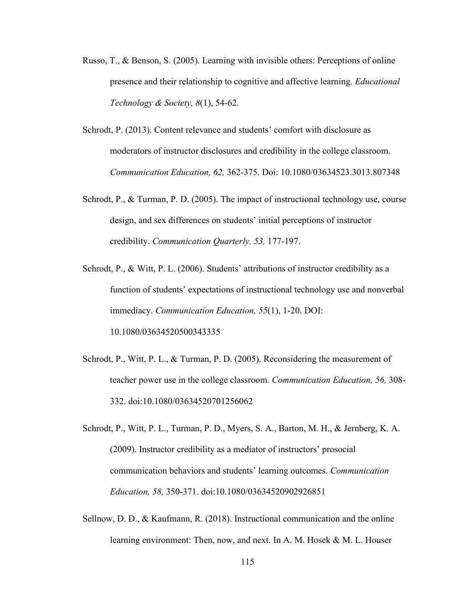- Russo, T., & Benson, S. (2005). Learning with invisible others: Perceptions of online presence and their relationship to cognitive and affective learning. *Educational Technology & Society, 8*(1), 54-62.
- Schrodt, P. (2013). Content relevance and students' comfort with disclosure as moderators of instructor disclosures and credibility in the college classroom. *Communication Education, 62,* 362-375. Doi: 10.1080/03634523.3013.807348
- Schrodt, P., & Turman, P. D. (2005). The impact of instructional technology use, course design, and sex differences on students' initial perceptions of instructor credibility. *Communication Quarterly, 53,* 177-197.
- Schrodt, P., & Witt, P. L. (2006). Students' attributions of instructor credibility as a function of students' expectations of instructional technology use and nonverbal immediacy. *Communication Education, 55*(1), 1-20. DOI: 10.1080/03634520500343335
- Schrodt, P., Witt, P. L., & Turman, P. D. (2005). Reconsidering the measurement of teacher power use in the college classroom. *Communication Education, 56,* 308- 332. doi:10.1080/03634520701256062
- Schrodt, P., Witt, P. L., Turman, P. D., Myers, S. A., Barton, M. H., & Jernberg, K. A. (2009). Instructor credibility as a mediator of instructors' prosocial communication behaviors and students' learning outcomes. *Communication Education, 58,* 350-371. doi:10.1080/03634520902926851
- Sellnow, D. D., & Kaufmann, R. (2018). Instructional communication and the online learning environment: Then, now, and next. In A. M. Hosek & M. L. Houser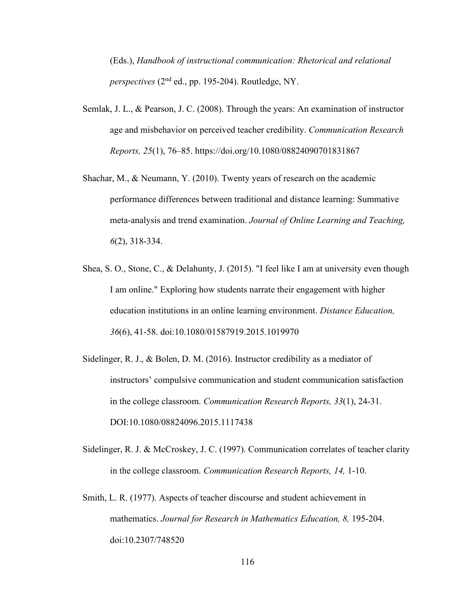(Eds.), *Handbook of instructional communication: Rhetorical and relational perspectives* (2nd ed., pp. 195-204). Routledge, NY.

- Semlak, J. L., & Pearson, J. C. (2008). Through the years: An examination of instructor age and misbehavior on perceived teacher credibility. *Communication Research Reports, 25*(1), 76–85. https://doi.org/10.1080/08824090701831867
- Shachar, M., & Neumann, Y. (2010). Twenty years of research on the academic performance differences between traditional and distance learning: Summative meta-analysis and trend examination. *Journal of Online Learning and Teaching, 6*(2), 318-334.
- Shea, S. O., Stone, C., & Delahunty, J. (2015). "I feel like I am at university even though I am online." Exploring how students narrate their engagement with higher education institutions in an online learning environment. *Distance Education, 36*(6), 41-58. doi:10.1080/01587919.2015.1019970
- Sidelinger, R. J., & Bolen, D. M. (2016). Instructor credibility as a mediator of instructors' compulsive communication and student communication satisfaction in the college classroom. *Communication Research Reports, 33*(1), 24-31. DOI:10.1080/08824096.2015.1117438
- Sidelinger, R. J. & McCroskey, J. C. (1997). Communication correlates of teacher clarity in the college classroom. *Communication Research Reports, 14,* 1-10.
- Smith, L. R. (1977). Aspects of teacher discourse and student achievement in mathematics. *Journal for Research in Mathematics Education, 8,* 195-204. doi:10.2307/748520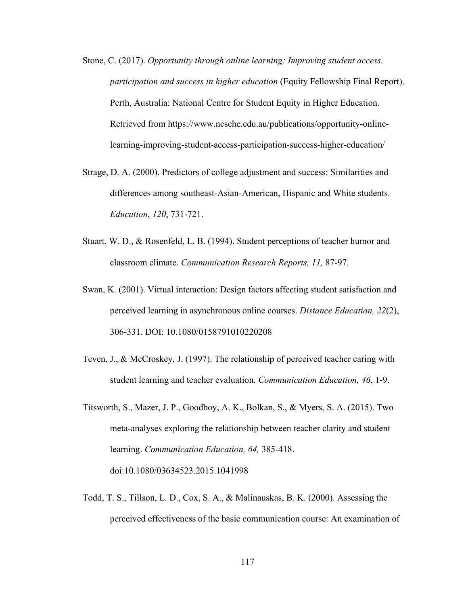- Stone, C. (2017). *Opportunity through online learning: Improving student access, participation and success in higher education* (Equity Fellowship Final Report). Perth, Australia: National Centre for Student Equity in Higher Education. Retrieved from https://www.ncsehe.edu.au/publications/opportunity-onlinelearning-improving-student-access-participation-success-higher-education/
- Strage, D. A. (2000). Predictors of college adjustment and success: Similarities and differences among southeast-Asian-American, Hispanic and White students. *Education*, *120*, 731-721.
- Stuart, W. D., & Rosenfeld, L. B. (1994). Student perceptions of teacher humor and classroom climate. *Communication Research Reports, 11,* 87-97.
- Swan, K. (2001). Virtual interaction: Design factors affecting student satisfaction and perceived learning in asynchronous online courses. *Distance Education, 22*(2), 306-331. DOI: 10.1080/0158791010220208
- Teven, J., & McCroskey, J. (1997). The relationship of perceived teacher caring with student learning and teacher evaluation. *Communication Education, 46*, 1-9.
- Titsworth, S., Mazer, J. P., Goodboy, A. K., Bolkan, S., & Myers, S. A. (2015). Two meta-analyses exploring the relationship between teacher clarity and student learning. *Communication Education, 64,* 385-418. doi:10.1080/03634523.2015.1041998
- Todd, T. S., Tillson, L. D., Cox, S. A., & Malinauskas, B. K. (2000). Assessing the perceived effectiveness of the basic communication course: An examination of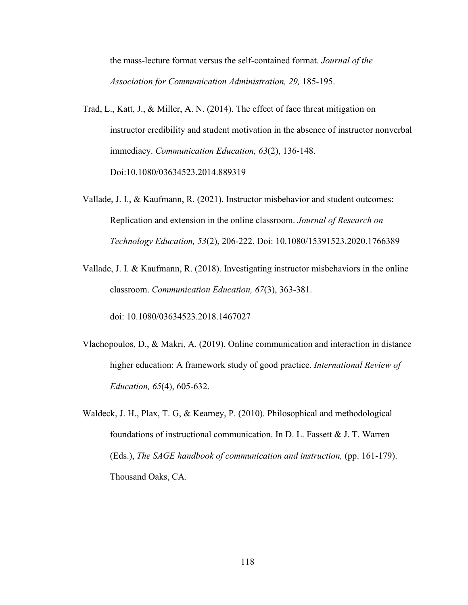the mass-lecture format versus the self-contained format. *Journal of the Association for Communication Administration, 29,* 185-195.

- Trad, L., Katt, J., & Miller, A. N. (2014). The effect of face threat mitigation on instructor credibility and student motivation in the absence of instructor nonverbal immediacy. *Communication Education, 63*(2), 136-148. Doi:10.1080/03634523.2014.889319
- Vallade, J. I., & Kaufmann, R. (2021). Instructor misbehavior and student outcomes: Replication and extension in the online classroom. *Journal of Research on Technology Education, 53*(2), 206-222. Doi: 10.1080/15391523.2020.1766389
- Vallade, J. I. & Kaufmann, R. (2018). Investigating instructor misbehaviors in the online classroom. *Communication Education, 67*(3), 363-381.

doi: 10.1080/03634523.2018.1467027

- Vlachopoulos, D., & Makri, A. (2019). Online communication and interaction in distance higher education: A framework study of good practice. *International Review of Education, 65*(4), 605-632.
- Waldeck, J. H., Plax, T. G, & Kearney, P. (2010). Philosophical and methodological foundations of instructional communication. In D. L. Fassett & J. T. Warren (Eds.), *The SAGE handbook of communication and instruction,* (pp. 161-179). Thousand Oaks, CA.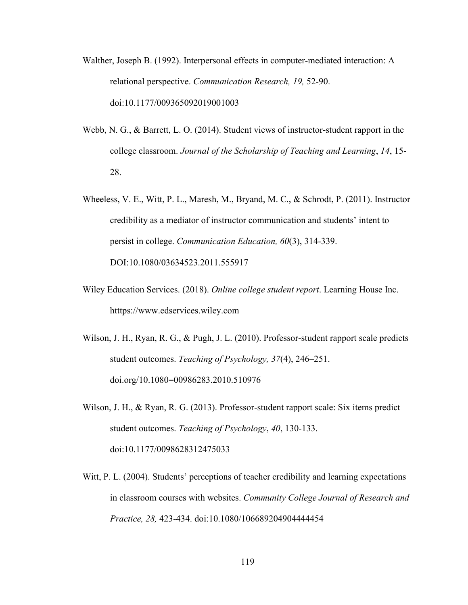- Walther, Joseph B. (1992). Interpersonal effects in computer-mediated interaction: A relational perspective. *Communication Research, 19,* 52-90. doi:10.1177/009365092019001003
- Webb, N. G., & Barrett, L. O. (2014). Student views of instructor-student rapport in the college classroom. *Journal of the Scholarship of Teaching and Learning*, *14*, 15- 28.
- Wheeless, V. E., Witt, P. L., Maresh, M., Bryand, M. C., & Schrodt, P. (2011). Instructor credibility as a mediator of instructor communication and students' intent to persist in college. *Communication Education, 60*(3), 314-339. DOI:10.1080/03634523.2011.555917
- Wiley Education Services. (2018). *Online college student report*. Learning House Inc. htttps://www.edservices.wiley.com
- Wilson, J. H., Ryan, R. G., & Pugh, J. L. (2010). Professor-student rapport scale predicts student outcomes. *Teaching of Psychology, 37*(4), 246–251. doi.org/10.1080=00986283.2010.510976
- Wilson, J. H., & Ryan, R. G. (2013). Professor-student rapport scale: Six items predict student outcomes. *Teaching of Psychology*, *40*, 130-133. doi:10.1177/0098628312475033
- Witt, P. L. (2004). Students' perceptions of teacher credibility and learning expectations in classroom courses with websites. *Community College Journal of Research and Practice, 28,* 423-434. doi:10.1080/106689204904444454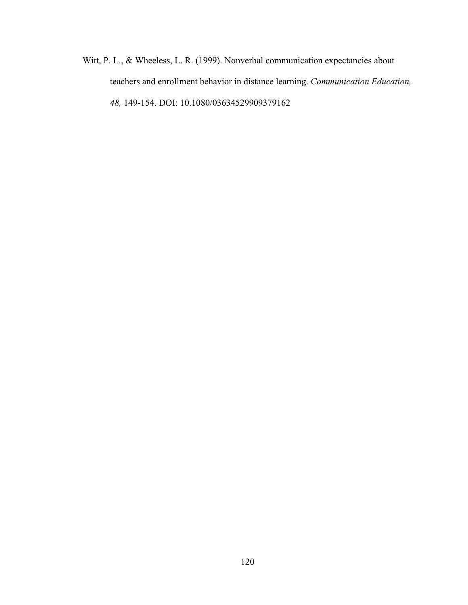Witt, P. L., & Wheeless, L. R. (1999). Nonverbal communication expectancies about teachers and enrollment behavior in distance learning. *Communication Education, 48,* 149-154. DOI: 10.1080/03634529909379162